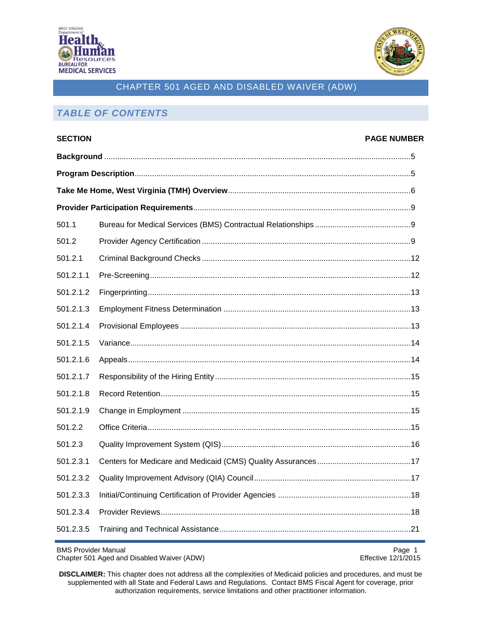



# *TABLE OF CONTENTS*

| <b>SECTION</b> |  | <b>PAGE NUMBER</b> |
|----------------|--|--------------------|
|                |  |                    |
|                |  |                    |
|                |  |                    |
|                |  |                    |
| 501.1          |  |                    |
| 501.2          |  |                    |
| 501.2.1        |  |                    |
| 501.2.1.1      |  |                    |
| 501.2.1.2      |  |                    |
| 501.2.1.3      |  |                    |
| 501.2.1.4      |  |                    |
| 501.2.1.5      |  |                    |
| 501.2.1.6      |  |                    |
| 501.2.1.7      |  |                    |
| 501.2.1.8      |  |                    |
| 501.2.1.9      |  |                    |
| 501.2.2        |  |                    |
| 501.2.3        |  |                    |
| 501.2.3.1      |  |                    |
| 501.2.3.2      |  |                    |
| 501.2.3.3      |  |                    |
| 501.2.3.4      |  |                    |
| 501.2.3.5      |  |                    |

BMS Provider Manual Page 1<br>Chapter 501 Aged and Disabled Waiver (ADW) example a matrix of the effective 12/1/2015 Chapter 501 Aged and Disabled Waiver (ADW)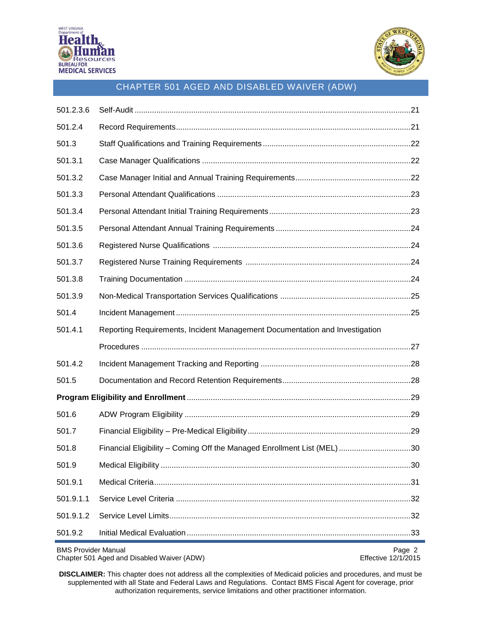



| 501.2.3.6                  |                                                                             |                               |  |
|----------------------------|-----------------------------------------------------------------------------|-------------------------------|--|
| 501.2.4                    |                                                                             |                               |  |
| 501.3                      |                                                                             |                               |  |
| 501.3.1                    |                                                                             |                               |  |
| 501.3.2                    |                                                                             |                               |  |
| 501.3.3                    |                                                                             |                               |  |
| 501.3.4                    |                                                                             |                               |  |
| 501.3.5                    |                                                                             |                               |  |
| 501.3.6                    |                                                                             |                               |  |
| 501.3.7                    |                                                                             |                               |  |
| 501.3.8                    |                                                                             |                               |  |
| 501.3.9                    |                                                                             |                               |  |
| 501.4                      |                                                                             |                               |  |
| 501.4.1                    | Reporting Requirements, Incident Management Documentation and Investigation |                               |  |
|                            |                                                                             |                               |  |
| 501.4.2                    |                                                                             |                               |  |
| 501.5                      |                                                                             |                               |  |
|                            |                                                                             |                               |  |
| 501.6                      |                                                                             |                               |  |
| 501.7                      |                                                                             |                               |  |
| 501.8                      | Financial Eligibility - Coming Off the Managed Enrollment List (MEL) 30     |                               |  |
| 501.9                      |                                                                             |                               |  |
| 501.9.1                    |                                                                             |                               |  |
| 501.9.1.1                  |                                                                             |                               |  |
| 501.9.1.2                  |                                                                             |                               |  |
| 501.9.2                    |                                                                             |                               |  |
| <b>BMS Provider Manual</b> | Chapter 501 Aged and Disabled Waiver (ADW)                                  | Page 2<br>Effective 12/1/2015 |  |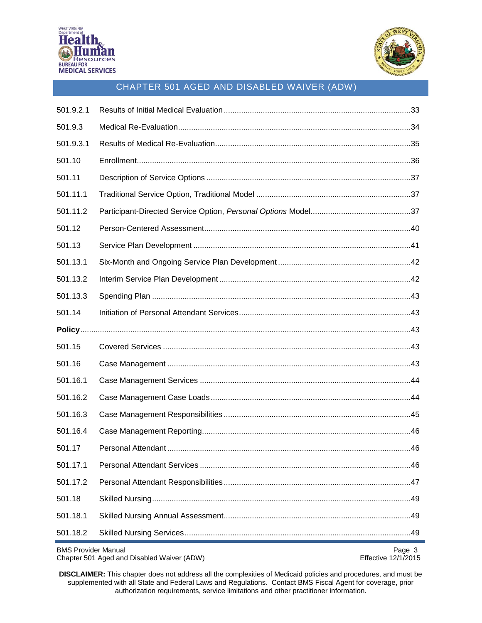



| 501.9.2.1                  |                                            |                               |
|----------------------------|--------------------------------------------|-------------------------------|
| 501.9.3                    |                                            |                               |
| 501.9.3.1                  |                                            |                               |
| 501.10                     |                                            |                               |
| 501.11                     |                                            |                               |
| 501.11.1                   |                                            |                               |
| 501.11.2                   |                                            |                               |
| 501.12                     |                                            |                               |
| 501.13                     |                                            |                               |
| 501.13.1                   |                                            |                               |
| 501.13.2                   |                                            |                               |
| 501.13.3                   |                                            |                               |
| 501.14                     |                                            |                               |
|                            |                                            |                               |
| 501.15                     |                                            |                               |
| 501.16                     |                                            |                               |
| 501.16.1                   |                                            |                               |
| 501.16.2                   |                                            |                               |
| 501.16.3                   |                                            |                               |
| 501.16.4                   |                                            |                               |
| 501.17                     |                                            |                               |
| 501.17.1                   |                                            |                               |
| 501.17.2                   |                                            |                               |
| 501.18                     |                                            |                               |
| 501.18.1                   |                                            |                               |
| 501.18.2                   |                                            |                               |
| <b>BMS Provider Manual</b> | Chapter 501 Aged and Disabled Waiver (ADW) | Page 3<br>Effective 12/1/2015 |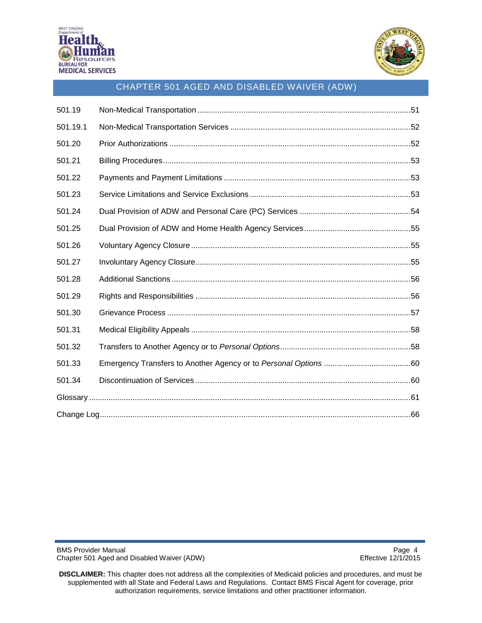



| 501.19   |  |
|----------|--|
| 501.19.1 |  |
| 501.20   |  |
| 501.21   |  |
| 501.22   |  |
| 501.23   |  |
| 501.24   |  |
| 501.25   |  |
| 501.26   |  |
| 501.27   |  |
| 501.28   |  |
| 501.29   |  |
| 501.30   |  |
| 501.31   |  |
| 501.32   |  |
| 501.33   |  |
| 501.34   |  |
|          |  |
|          |  |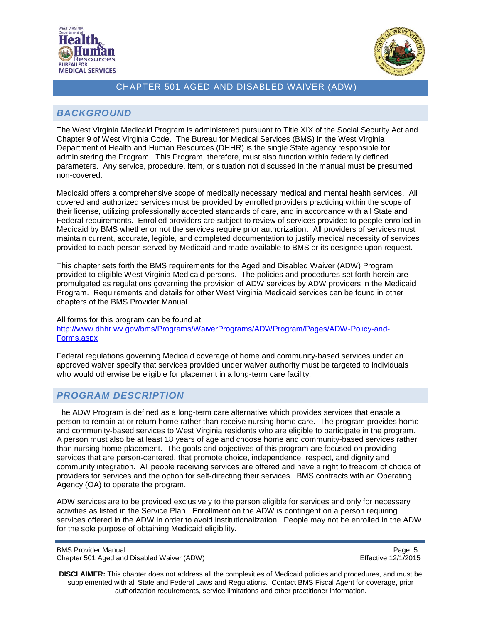



## <span id="page-4-0"></span>*BACKGROUND*

The West Virginia Medicaid Program is administered pursuant to Title XIX of the Social Security Act and Chapter 9 of West Virginia Code. The Bureau for Medical Services (BMS) in the West Virginia Department of Health and Human Resources (DHHR) is the single State agency responsible for administering the Program. This Program, therefore, must also function within federally defined parameters. Any service, procedure, item, or situation not discussed in the manual must be presumed non-covered.

Medicaid offers a comprehensive scope of medically necessary medical and mental health services. All covered and authorized services must be provided by enrolled providers practicing within the scope of their license, utilizing professionally accepted standards of care, and in accordance with all State and Federal requirements. Enrolled providers are subject to review of services provided to people enrolled in Medicaid by BMS whether or not the services require prior authorization. All providers of services must maintain current, accurate, legible, and completed documentation to justify medical necessity of services provided to each person served by Medicaid and made available to BMS or its designee upon request.

This chapter sets forth the BMS requirements for the Aged and Disabled Waiver (ADW) Program provided to eligible West Virginia Medicaid persons. The policies and procedures set forth herein are promulgated as regulations governing the provision of ADW services by ADW providers in the Medicaid Program. Requirements and details for other West Virginia Medicaid services can be found in other chapters of the BMS Provider Manual.

All forms for this program can be found at: [http://www.dhhr.wv.gov/bms/Programs/WaiverPrograms/ADWProgram/Pages/ADW-Policy-and-](http://www.dhhr.wv.gov/bms/Programs/WaiverPrograms/ADWProgram/Pages/ADW-Policy-and-Forms.aspx)[Forms.aspx](http://www.dhhr.wv.gov/bms/Programs/WaiverPrograms/ADWProgram/Pages/ADW-Policy-and-Forms.aspx)

Federal regulations governing Medicaid coverage of home and community-based services under an approved waiver specify that services provided under waiver authority must be targeted to individuals who would otherwise be eligible for placement in a long-term care facility.

### <span id="page-4-1"></span>*PROGRAM DESCRIPTION*

The ADW Program is defined as a long-term care alternative which provides services that enable a person to remain at or return home rather than receive nursing home care. The program provides home and community-based services to West Virginia residents who are eligible to participate in the program. A person must also be at least 18 years of age and choose home and community-based services rather than nursing home placement. The goals and objectives of this program are focused on providing services that are person-centered, that promote choice, independence, respect, and dignity and community integration. All people receiving services are offered and have a right to freedom of choice of providers for services and the option for self-directing their services. BMS contracts with an Operating Agency (OA) to operate the program.

ADW services are to be provided exclusively to the person eligible for services and only for necessary activities as listed in the Service Plan. Enrollment on the ADW is contingent on a person requiring services offered in the ADW in order to avoid institutionalization. People may not be enrolled in the ADW for the sole purpose of obtaining Medicaid eligibility.

BMS Provider Manual Page 5<br>Chapter 501 Aged and Disabled Waiver (ADW) National Page 12/1/2015 Chapter 501 Aged and Disabled Waiver (ADW)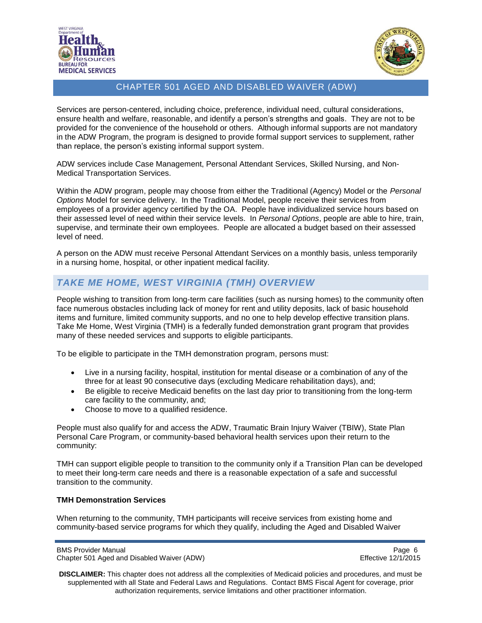



Services are person-centered, including choice, preference, individual need, cultural considerations, ensure health and welfare, reasonable, and identify a person's strengths and goals. They are not to be provided for the convenience of the household or others. Although informal supports are not mandatory in the ADW Program, the program is designed to provide formal support services to supplement, rather than replace, the person's existing informal support system.

ADW services include Case Management, Personal Attendant Services, Skilled Nursing, and Non-Medical Transportation Services.

Within the ADW program, people may choose from either the Traditional (Agency) Model or the *Personal Options* Model for service delivery. In the Traditional Model, people receive their services from employees of a provider agency certified by the OA. People have individualized service hours based on their assessed level of need within their service levels. In *Personal Options*, people are able to hire, train, supervise, and terminate their own employees. People are allocated a budget based on their assessed level of need.

A person on the ADW must receive Personal Attendant Services on a monthly basis, unless temporarily in a nursing home, hospital, or other inpatient medical facility.

## <span id="page-5-0"></span>*TAKE ME HOME, WEST VIRGINIA (TMH) OVERVIEW*

People wishing to transition from long-term care facilities (such as nursing homes) to the community often face numerous obstacles including lack of money for rent and utility deposits, lack of basic household items and furniture, limited community supports, and no one to help develop effective transition plans. Take Me Home, West Virginia (TMH) is a federally funded demonstration grant program that provides many of these needed services and supports to eligible participants.

To be eligible to participate in the TMH demonstration program, persons must:

- Live in a nursing facility, hospital, institution for mental disease or a combination of any of the three for at least 90 consecutive days (excluding Medicare rehabilitation days), and;
- Be eligible to receive Medicaid benefits on the last day prior to transitioning from the long-term care facility to the community, and;
- Choose to move to a qualified residence.

People must also qualify for and access the ADW, Traumatic Brain Injury Waiver (TBIW), State Plan Personal Care Program, or community-based behavioral health services upon their return to the community:

TMH can support eligible people to transition to the community only if a Transition Plan can be developed to meet their long-term care needs and there is a reasonable expectation of a safe and successful transition to the community.

#### **TMH Demonstration Services**

When returning to the community, TMH participants will receive services from existing home and community-based service programs for which they qualify, including the Aged and Disabled Waiver

BMS Provider Manual Page 6<br>Chapter 501 Aged and Disabled Waiver (ADW) National Page 12/1/2015 Chapter 501 Aged and Disabled Waiver (ADW)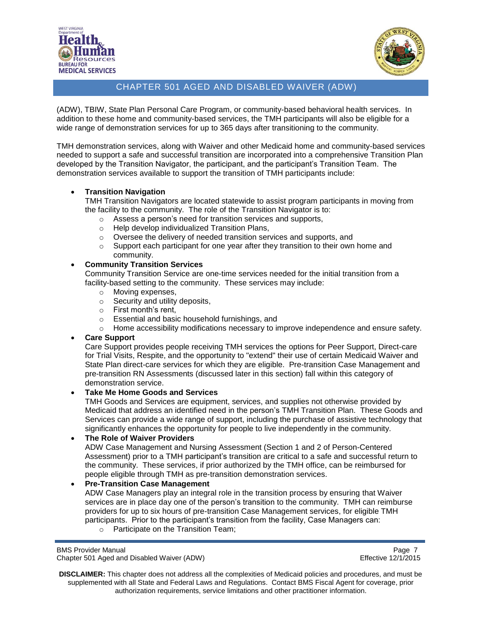



(ADW), TBIW, State Plan Personal Care Program, or community-based behavioral health services. In addition to these home and community-based services, the TMH participants will also be eligible for a wide range of demonstration services for up to 365 days after transitioning to the community.

TMH demonstration services, along with Waiver and other Medicaid home and community-based services needed to support a safe and successful transition are incorporated into a comprehensive Transition Plan developed by the Transition Navigator, the participant, and the participant's Transition Team. The demonstration services available to support the transition of TMH participants include:

#### **Transition Navigation**

TMH Transition Navigators are located statewide to assist program participants in moving from the facility to the community. The role of the Transition Navigator is to:

- o Assess a person's need for transition services and supports,
- o Help develop individualized Transition Plans,
- $\circ$  Oversee the delivery of needed transition services and supports, and
- o Support each participant for one year after they transition to their own home and community.

#### **Community Transition Services**

Community Transition Service are one-time services needed for the initial transition from a facility-based setting to the community. These services may include:

- o Moving expenses,
- $\circ$  Security and utility deposits,
- o First month's rent,
- o Essential and basic household furnishings, and
- $\circ$  Home accessibility modifications necessary to improve independence and ensure safety.

#### **Care Support**

Care Support provides people receiving TMH services the options for Peer Support, Direct-care for Trial Visits, Respite, and the opportunity to "extend" their use of certain Medicaid Waiver and State Plan direct-care services for which they are eligible. Pre-transition Case Management and pre-transition RN Assessments (discussed later in this section) fall within this category of demonstration service.

#### **Take Me Home Goods and Services**

TMH Goods and Services are equipment, services, and supplies not otherwise provided by Medicaid that address an identified need in the person's TMH Transition Plan. These Goods and Services can provide a wide range of support, including the purchase of assistive technology that significantly enhances the opportunity for people to live independently in the community.

#### **The Role of Waiver Providers**

ADW Case Management and Nursing Assessment (Section 1 and 2 of Person-Centered Assessment) prior to a TMH participant's transition are critical to a safe and successful return to the community. These services, if prior authorized by the TMH office, can be reimbursed for people eligible through TMH as pre-transition demonstration services.

#### **Pre-Transition Case Management**

ADW Case Managers play an integral role in the transition process by ensuring that Waiver services are in place day one of the person's transition to the community. TMH can reimburse providers for up to six hours of pre-transition Case Management services, for eligible TMH participants. Prior to the participant's transition from the facility, Case Managers can:

o Participate on the Transition Team;

BMS Provider Manual Page 7<br>Chapter 501 Aged and Disabled Waiver (ADW) National Page 7 Chapter 501 Aged 2/1/2015 Chapter 501 Aged and Disabled Waiver (ADW)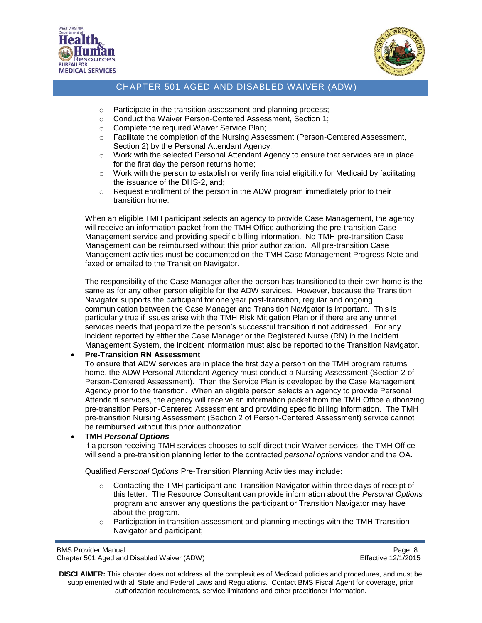



- o Participate in the transition assessment and planning process;
- o Conduct the Waiver Person-Centered Assessment, Section 1;
- o Complete the required Waiver Service Plan;
- o Facilitate the completion of the Nursing Assessment (Person-Centered Assessment, Section 2) by the Personal Attendant Agency;
- $\circ$  Work with the selected Personal Attendant Agency to ensure that services are in place for the first day the person returns home;
- $\circ$  Work with the person to establish or verify financial eligibility for Medicaid by facilitating the issuance of the DHS-2, and;
- $\circ$  Request enrollment of the person in the ADW program immediately prior to their transition home.

When an eligible TMH participant selects an agency to provide Case Management, the agency will receive an information packet from the TMH Office authorizing the pre-transition Case Management service and providing specific billing information. No TMH pre-transition Case Management can be reimbursed without this prior authorization. All pre-transition Case Management activities must be documented on the TMH Case Management Progress Note and faxed or emailed to the Transition Navigator.

The responsibility of the Case Manager after the person has transitioned to their own home is the same as for any other person eligible for the ADW services. However, because the Transition Navigator supports the participant for one year post-transition, regular and ongoing communication between the Case Manager and Transition Navigator is important. This is particularly true if issues arise with the TMH Risk Mitigation Plan or if there are any unmet services needs that jeopardize the person's successful transition if not addressed. For any incident reported by either the Case Manager or the Registered Nurse (RN) in the Incident Management System, the incident information must also be reported to the Transition Navigator.

#### **Pre-Transition RN Assessment**

To ensure that ADW services are in place the first day a person on the TMH program returns home, the ADW Personal Attendant Agency must conduct a Nursing Assessment (Section 2 of Person-Centered Assessment). Then the Service Plan is developed by the Case Management Agency prior to the transition. When an eligible person selects an agency to provide Personal Attendant services, the agency will receive an information packet from the TMH Office authorizing pre-transition Person-Centered Assessment and providing specific billing information. The TMH pre-transition Nursing Assessment (Section 2 of Person-Centered Assessment) service cannot be reimbursed without this prior authorization.

#### **TMH** *Personal Options*

If a person receiving TMH services chooses to self-direct their Waiver services, the TMH Office will send a pre-transition planning letter to the contracted *personal options* vendor and the OA.

Qualified *Personal Options* Pre-Transition Planning Activities may include:

- $\circ$  Contacting the TMH participant and Transition Navigator within three days of receipt of this letter. The Resource Consultant can provide information about the *Personal Options* program and answer any questions the participant or Transition Navigator may have about the program.
- $\circ$  Participation in transition assessment and planning meetings with the TMH Transition Navigator and participant;

BMS Provider Manual Page 8<br>Chapter 501 Aged and Disabled Waiver (ADW) National Page 8 Schapter 501 Aged 2/1/2015 Chapter 501 Aged and Disabled Waiver (ADW)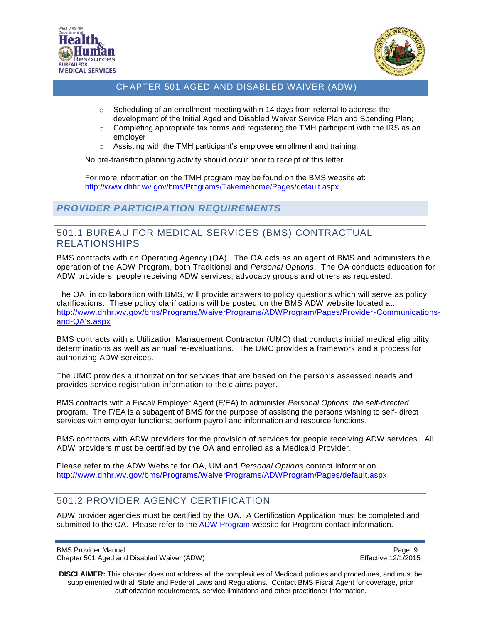



- $\circ$  Scheduling of an enrollment meeting within 14 days from referral to address the development of the Initial Aged and Disabled Waiver Service Plan and Spending Plan;
- $\circ$  Completing appropriate tax forms and registering the TMH participant with the IRS as an employer
- o Assisting with the TMH participant's employee enrollment and training.

No pre-transition planning activity should occur prior to receipt of this letter.

For more information on the TMH program may be found on the BMS website at: <http://www.dhhr.wv.gov/bms/Programs/Takemehome/Pages/default.aspx>

## <span id="page-8-0"></span>*PROVIDER PARTICIPATION REQUIREMENTS*

#### <span id="page-8-1"></span>501.1 BUREAU FOR MEDICAL SERVICES (BMS) CONTRACTUAL RELATIONSHIPS

BMS contracts with an Operating Agency (OA). The OA acts as an agent of BMS and administers the operation of the ADW Program, both Traditional and *Personal Options*. The OA conducts education for ADW providers, people receiving ADW services, advocacy groups and others as requested.

The OA, in collaboration with BMS, will provide answers to policy questions which will serve as policy clarifications. These policy clarifications will be posted on the BMS ADW website located at: [http://www.dhhr.wv.gov/bms/Programs/WaiverPrograms/ADWProgram/Pages/Provider-Communications](http://www.dhhr.wv.gov/bms/Programs/WaiverPrograms/ADWProgram/Pages/Provider-Communications-and-QA)[and-QA's.aspx](http://www.dhhr.wv.gov/bms/Programs/WaiverPrograms/ADWProgram/Pages/Provider-Communications-and-QA)

BMS contracts with a Utilization Management Contractor (UMC) that conducts initial medical eligibility determinations as well as annual re-evaluations. The UMC provides a framework and a process for authorizing ADW services.

The UMC provides authorization for services that are based on the person's assessed needs and provides service registration information to the claims payer.

BMS contracts with a Fiscal/ Employer Agent (F/EA) to administer *Personal Options, the self-directed*  program. The F/EA is a subagent of BMS for the purpose of assisting the persons wishing to self- direct services with employer functions; perform payroll and information and resource functions.

BMS contracts with ADW providers for the provision of services for people receiving ADW services. All ADW providers must be certified by the OA and enrolled as a Medicaid Provider.

Please refer to the ADW Website for OA, UM and *Personal Options* contact information. <http://www.dhhr.wv.gov/bms/Programs/WaiverPrograms/ADWProgram/Pages/default.aspx>

## <span id="page-8-2"></span>501.2 PROVIDER AGENCY CERTIFICATION

ADW provider agencies must be certified by the OA. A Certification Application must be completed and submitted to the OA. Please refer to the [ADW Program](http://www.dhhr.wv.gov/bms/Programs/WaiverPrograms/ADWProgram/Pages/default.aspx) website for Program contact information.

BMS Provider Manual Page 9<br>Chapter 501 Aged and Disabled Waiver (ADW) National Page 9 Research 2/1/2015 Chapter 501 Aged and Disabled Waiver (ADW)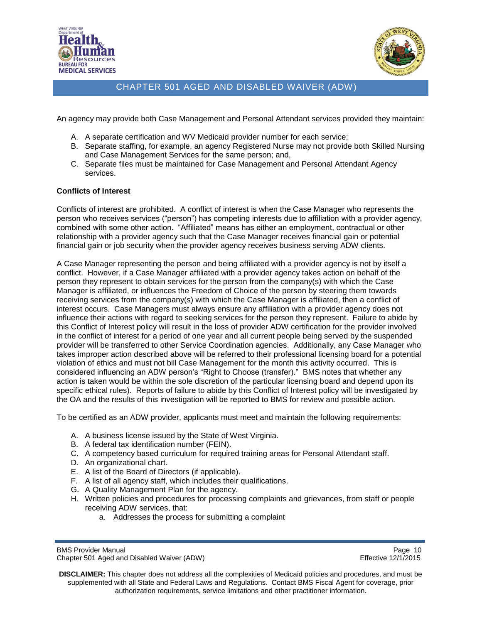



An agency may provide both Case Management and Personal Attendant services provided they maintain:

- A. A separate certification and WV Medicaid provider number for each service;
- B. Separate staffing, for example, an agency Registered Nurse may not provide both Skilled Nursing and Case Management Services for the same person; and,
- C. Separate files must be maintained for Case Management and Personal Attendant Agency services.

#### **Conflicts of Interest**

Conflicts of interest are prohibited. A conflict of interest is when the Case Manager who represents the person who receives services ("person") has competing interests due to affiliation with a provider agency, combined with some other action. "Affiliated" means has either an employment, contractual or other relationship with a provider agency such that the Case Manager receives financial gain or potential financial gain or job security when the provider agency receives business serving ADW clients.

A Case Manager representing the person and being affiliated with a provider agency is not by itself a conflict. However, if a Case Manager affiliated with a provider agency takes action on behalf of the person they represent to obtain services for the person from the company(s) with which the Case Manager is affiliated, or influences the Freedom of Choice of the person by steering them towards receiving services from the company(s) with which the Case Manager is affiliated, then a conflict of interest occurs. Case Managers must always ensure any affiliation with a provider agency does not influence their actions with regard to seeking services for the person they represent. Failure to abide by this Conflict of Interest policy will result in the loss of provider ADW certification for the provider involved in the conflict of interest for a period of one year and all current people being served by the suspended provider will be transferred to other Service Coordination agencies. Additionally, any Case Manager who takes improper action described above will be referred to their professional licensing board for a potential violation of ethics and must not bill Case Management for the month this activity occurred. This is considered influencing an ADW person's "Right to Choose (transfer)." BMS notes that whether any action is taken would be within the sole discretion of the particular licensing board and depend upon its specific ethical rules). Reports of failure to abide by this Conflict of Interest policy will be investigated by the OA and the results of this investigation will be reported to BMS for review and possible action.

To be certified as an ADW provider, applicants must meet and maintain the following requirements:

- A. A business license issued by the State of West Virginia.
- B. A federal tax identification number (FEIN).
- C. A competency based curriculum for required training areas for Personal Attendant staff.
- D. An organizational chart.
- E. A list of the Board of Directors (if applicable).
- F. A list of all agency staff, which includes their qualifications.
- G. A Quality Management Plan for the agency.
- H. Written policies and procedures for processing complaints and grievances, from staff or people receiving ADW services, that:
	- a. Addresses the process for submitting a complaint

BMS Provider Manual Page 10<br>Chapter 501 Aged and Disabled Waiver (ADW) example and the example of the Effective 12/1/2015 Chapter 501 Aged and Disabled Waiver (ADW)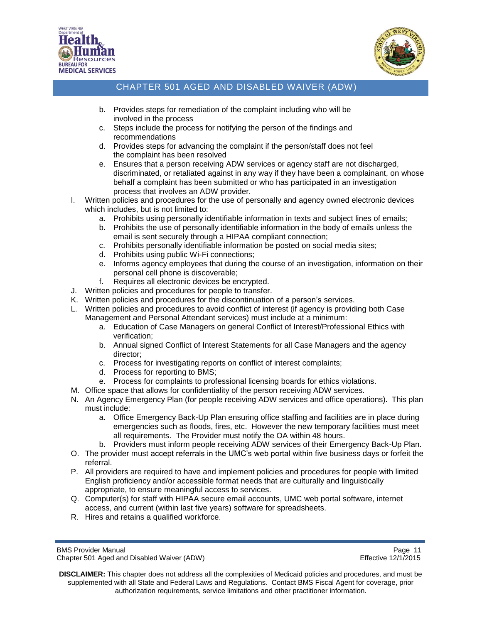



- b. Provides steps for remediation of the complaint including who will be involved in the process
- c. Steps include the process for notifying the person of the findings and recommendations
- d. Provides steps for advancing the complaint if the person/staff does not feel the complaint has been resolved
- e. Ensures that a person receiving ADW services or agency staff are not discharged, discriminated, or retaliated against in any way if they have been a complainant, on whose behalf a complaint has been submitted or who has participated in an investigation process that involves an ADW provider.
- I. Written policies and procedures for the use of personally and agency owned electronic devices which includes, but is not limited to:
	- a. Prohibits using personally identifiable information in texts and subject lines of emails;
	- b. Prohibits the use of personally identifiable information in the body of emails unless the email is sent securely through a HIPAA compliant connection;
	- c. Prohibits personally identifiable information be posted on social media sites;
	- d. Prohibits using public Wi-Fi connections;
	- e. Informs agency employees that during the course of an investigation, information on their personal cell phone is discoverable;
	- f. Requires all electronic devices be encrypted.
- J. Written policies and procedures for people to transfer.
- K. Written policies and procedures for the discontinuation of a person's services.
- L. Written policies and procedures to avoid conflict of interest (if agency is providing both Case Management and Personal Attendant services) must include at a minimum:
	- a. Education of Case Managers on general Conflict of Interest/Professional Ethics with verification;
	- b. Annual signed Conflict of Interest Statements for all Case Managers and the agency director;
	- c. Process for investigating reports on conflict of interest complaints;
	- d. Process for reporting to BMS;
	- e. Process for complaints to professional licensing boards for ethics violations.
- M. Office space that allows for confidentiality of the person receiving ADW services.
- N. An Agency Emergency Plan (for people receiving ADW services and office operations). This plan must include:
	- a. Office Emergency Back-Up Plan ensuring office staffing and facilities are in place during emergencies such as floods, fires, etc. However the new temporary facilities must meet all requirements. The Provider must notify the OA within 48 hours.
	- b. Providers must inform people receiving ADW services of their Emergency Back-Up Plan.
- O. The provider must accept referrals in the UMC's web portal within five business days or forfeit the referral.
- P. All providers are required to have and implement policies and procedures for people with limited English proficiency and/or accessible format needs that are culturally and linguistically appropriate, to ensure meaningful access to services.
- Q. Computer(s) for staff with HIPAA secure email accounts, UMC web portal software, internet access, and current (within last five years) software for spreadsheets.
- R. Hires and retains a qualified workforce.

BMS Provider Manual Page 11<br>Chapter 501 Aged and Disabled Waiver (ADW) National Page 11 Chapter 501 Aged 20172015 Chapter 501 Aged and Disabled Waiver (ADW)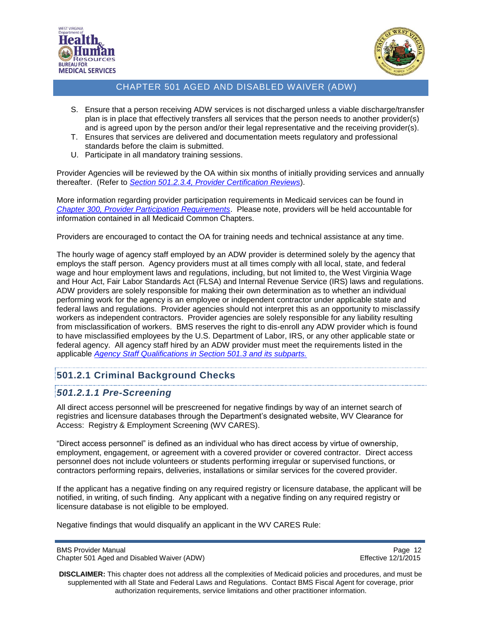



- S. Ensure that a person receiving ADW services is not discharged unless a viable discharge/transfer plan is in place that effectively transfers all services that the person needs to another provider(s) and is agreed upon by the person and/or their legal representative and the receiving provider(s).
- T. Ensures that services are delivered and documentation meets regulatory and professional standards before the claim is submitted.
- U. Participate in all mandatory training sessions.

Provider Agencies will be reviewed by the OA within six months of initially providing services and annually thereafter. (Refer to *[Section 501.2.3.4, Provider Certification Reviews](#page-17-1)*).

More information regarding provider participation requirements in Medicaid services can be found in *[Chapter 300, Provider Participation Requirements](http://www.dhhr.wv.gov/bms/Pages/Manuals.aspx)*. Please note, providers will be held accountable for information contained in all Medicaid Common Chapters.

Providers are encouraged to contact the OA for training needs and technical assistance at any time.

The hourly wage of agency staff employed by an ADW provider is determined solely by the agency that employs the staff person. Agency providers must at all times comply with all local, state, and federal wage and hour employment laws and regulations, including, but not limited to, the West Virginia Wage and Hour Act, Fair Labor Standards Act (FLSA) and Internal Revenue Service (IRS) laws and regulations. ADW providers are solely responsible for making their own determination as to whether an individual performing work for the agency is an employee or independent contractor under applicable state and federal laws and regulations. Provider agencies should not interpret this as an opportunity to misclassify workers as independent contractors. Provider agencies are solely responsible for any liability resulting from misclassification of workers. BMS reserves the right to dis-enroll any ADW provider which is found to have misclassified employees by the U.S. Department of Labor, IRS, or any other applicable state or federal agency. All agency staff hired by an ADW provider must meet the requirements listed in the applicable *[Agency Staff Qualifications in Section 501.3 and its subparts.](#page-21-0)*

### <span id="page-11-0"></span>**501.2.1 Criminal Background Checks**

### <span id="page-11-1"></span>*501.2.1.1 Pre-Screening*

All direct access personnel will be prescreened for negative findings by way of an internet search of registries and licensure databases through the Department's designated website, WV Clearance for Access: Registry & Employment Screening (WV CARES).

"Direct access personnel" is defined as an individual who has direct access by virtue of ownership, employment, engagement, or agreement with a covered provider or covered contractor. Direct access personnel does not include volunteers or students performing irregular or supervised functions, or contractors performing repairs, deliveries, installations or similar services for the covered provider.

If the applicant has a negative finding on any required registry or licensure database, the applicant will be notified, in writing, of such finding. Any applicant with a negative finding on any required registry or licensure database is not eligible to be employed.

Negative findings that would disqualify an applicant in the WV CARES Rule:

BMS Provider Manual Page 12<br>Chapter 501 Aged and Disabled Waiver (ADW) example a series of the effective 12/1/2015 Chapter 501 Aged and Disabled Waiver (ADW)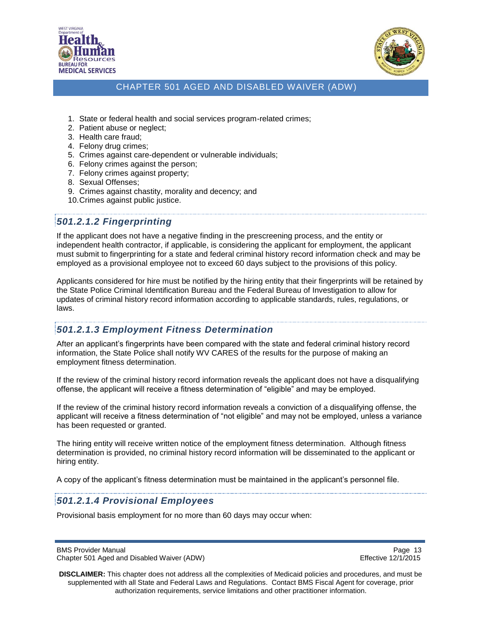



- 1. State or federal health and social services program-related crimes;
- 2. Patient abuse or neglect;
- 3. Health care fraud;
- 4. Felony drug crimes;
- 5. Crimes against care-dependent or vulnerable individuals;
- 6. Felony crimes against the person;
- 7. Felony crimes against property;
- 8. Sexual Offenses;
- 9. Crimes against chastity, morality and decency; and
- 10.Crimes against public justice.

## <span id="page-12-0"></span>*501.2.1.2 Fingerprinting*

If the applicant does not have a negative finding in the prescreening process, and the entity or independent health contractor, if applicable, is considering the applicant for employment, the applicant must submit to fingerprinting for a state and federal criminal history record information check and may be employed as a provisional employee not to exceed 60 days subject to the provisions of this policy.

Applicants considered for hire must be notified by the hiring entity that their fingerprints will be retained by the State Police Criminal Identification Bureau and the Federal Bureau of Investigation to allow for updates of criminal history record information according to applicable standards, rules, regulations, or laws.

### <span id="page-12-1"></span>*501.2.1.3 Employment Fitness Determination*

After an applicant's fingerprints have been compared with the state and federal criminal history record information, the State Police shall notify WV CARES of the results for the purpose of making an employment fitness determination.

If the review of the criminal history record information reveals the applicant does not have a disqualifying offense, the applicant will receive a fitness determination of "eligible" and may be employed.

If the review of the criminal history record information reveals a conviction of a disqualifying offense, the applicant will receive a fitness determination of "not eligible" and may not be employed, unless a variance has been requested or granted.

The hiring entity will receive written notice of the employment fitness determination. Although fitness determination is provided, no criminal history record information will be disseminated to the applicant or hiring entity.

A copy of the applicant's fitness determination must be maintained in the applicant's personnel file.

### <span id="page-12-2"></span>*501.2.1.4 Provisional Employees*

Provisional basis employment for no more than 60 days may occur when:

BMS Provider Manual **Page 13** Chapter 501 Aged and Disabled Waiver (ADW) **Effective 12/1/2015**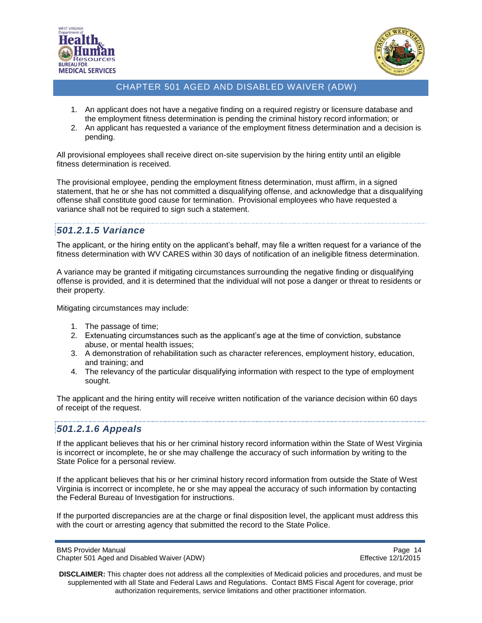



- 1. An applicant does not have a negative finding on a required registry or licensure database and the employment fitness determination is pending the criminal history record information; or
- 2. An applicant has requested a variance of the employment fitness determination and a decision is pending.

All provisional employees shall receive direct on-site supervision by the hiring entity until an eligible fitness determination is received.

The provisional employee, pending the employment fitness determination, must affirm, in a signed statement, that he or she has not committed a disqualifying offense, and acknowledge that a disqualifying offense shall constitute good cause for termination. Provisional employees who have requested a variance shall not be required to sign such a statement.

## <span id="page-13-0"></span>*501.2.1.5 Variance*

The applicant, or the hiring entity on the applicant's behalf, may file a written request for a variance of the fitness determination with WV CARES within 30 days of notification of an ineligible fitness determination.

A variance may be granted if mitigating circumstances surrounding the negative finding or disqualifying offense is provided, and it is determined that the individual will not pose a danger or threat to residents or their property.

Mitigating circumstances may include:

- 1. The passage of time;
- 2. Extenuating circumstances such as the applicant's age at the time of conviction, substance abuse, or mental health issues;
- 3. A demonstration of rehabilitation such as character references, employment history, education, and training; and
- 4. The relevancy of the particular disqualifying information with respect to the type of employment sought.

The applicant and the hiring entity will receive written notification of the variance decision within 60 days of receipt of the request.

### <span id="page-13-1"></span>*501.2.1.6 Appeals*

If the applicant believes that his or her criminal history record information within the State of West Virginia is incorrect or incomplete, he or she may challenge the accuracy of such information by writing to the State Police for a personal review.

If the applicant believes that his or her criminal history record information from outside the State of West Virginia is incorrect or incomplete, he or she may appeal the accuracy of such information by contacting the Federal Bureau of Investigation for instructions.

If the purported discrepancies are at the charge or final disposition level, the applicant must address this with the court or arresting agency that submitted the record to the State Police.

BMS Provider Manual **Page 14** Chapter 501 Aged and Disabled Waiver (ADW) **Effective 12/1/2015**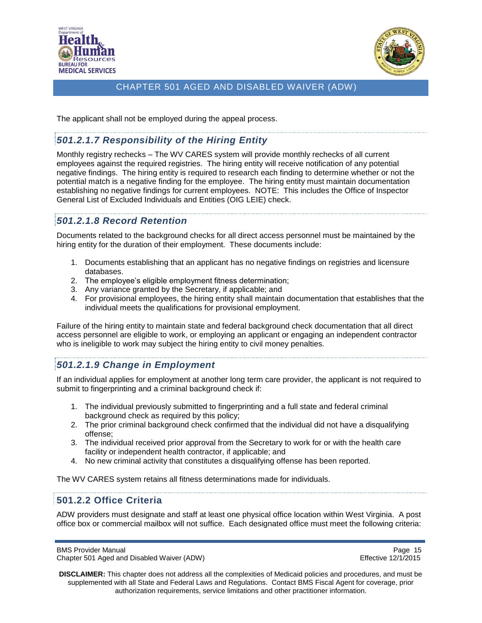



The applicant shall not be employed during the appeal process.

# <span id="page-14-0"></span>*501.2.1.7 Responsibility of the Hiring Entity*

Monthly registry rechecks – The WV CARES system will provide monthly rechecks of all current employees against the required registries. The hiring entity will receive notification of any potential negative findings. The hiring entity is required to research each finding to determine whether or not the potential match is a negative finding for the employee. The hiring entity must maintain documentation establishing no negative findings for current employees. NOTE: This includes the Office of Inspector General List of Excluded Individuals and Entities (OIG LEIE) check.

# <span id="page-14-1"></span>*501.2.1.8 Record Retention*

Documents related to the background checks for all direct access personnel must be maintained by the hiring entity for the duration of their employment. These documents include:

- 1. Documents establishing that an applicant has no negative findings on registries and licensure databases.
- 2. The employee's eligible employment fitness determination;
- 3. Any variance granted by the Secretary, if applicable; and
- 4. For provisional employees, the hiring entity shall maintain documentation that establishes that the individual meets the qualifications for provisional employment.

Failure of the hiring entity to maintain state and federal background check documentation that all direct access personnel are eligible to work, or employing an applicant or engaging an independent contractor who is ineligible to work may subject the hiring entity to civil money penalties.

### <span id="page-14-2"></span>*501.2.1.9 Change in Employment*

If an individual applies for employment at another long term care provider, the applicant is not required to submit to fingerprinting and a criminal background check if:

- 1. The individual previously submitted to fingerprinting and a full state and federal criminal background check as required by this policy;
- 2. The prior criminal background check confirmed that the individual did not have a disqualifying offense;
- 3. The individual received prior approval from the Secretary to work for or with the health care facility or independent health contractor, if applicable; and
- 4. No new criminal activity that constitutes a disqualifying offense has been reported.

The WV CARES system retains all fitness determinations made for individuals.

### <span id="page-14-3"></span>**501.2.2 Office Criteria**

ADW providers must designate and staff at least one physical office location within West Virginia. A post office box or commercial mailbox will not suffice. Each designated office must meet the following criteria:

BMS Provider Manual Page 15<br>Chapter 501 Aged and Disabled Waiver (ADW) example and the example of the Effective 12/1/2015 Chapter 501 Aged and Disabled Waiver (ADW)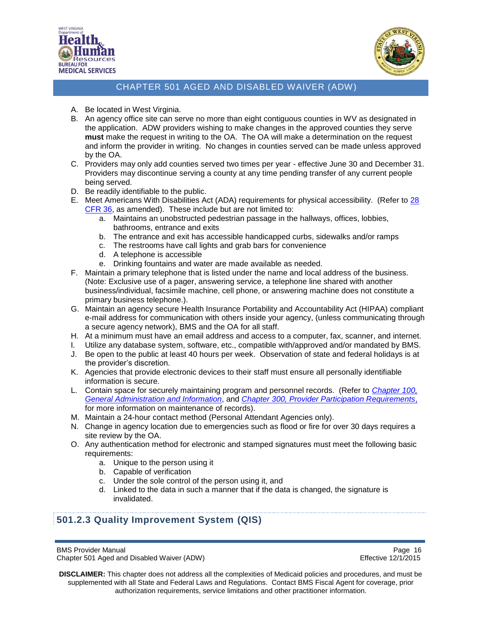



- A. Be located in West Virginia.
- B. An agency office site can serve no more than eight contiguous counties in WV as designated in the application. ADW providers wishing to make changes in the approved counties they serve **must** make the request in writing to the OA. The OA will make a determination on the request and inform the provider in writing. No changes in counties served can be made unless approved by the OA.
- C. Providers may only add counties served two times per year effective June 30 and December 31. Providers may discontinue serving a county at any time pending transfer of any current people being served.
- D. Be readily identifiable to the public.
- E. Meet Americans With Disabilities Act (ADA) requirements for physical accessibility. (Refer to [28](http://www.law.cornell.edu/cfr/text/28/part-36)  [CFR 36,](http://www.law.cornell.edu/cfr/text/28/part-36) as amended). These include but are not limited to:
	- a. Maintains an unobstructed pedestrian passage in the hallways, offices, lobbies, bathrooms, entrance and exits
	- b. The entrance and exit has accessible handicapped curbs, sidewalks and/or ramps
	- c. The restrooms have call lights and grab bars for convenience
	- d. A telephone is accessible
	- e. Drinking fountains and water are made available as needed.
- F. Maintain a primary telephone that is listed under the name and local address of the business. (Note: Exclusive use of a pager, answering service, a telephone line shared with another business/individual, facsimile machine, cell phone, or answering machine does not constitute a primary business telephone.).
- G. Maintain an agency secure Health Insurance Portability and Accountability Act (HIPAA) compliant e-mail address for communication with others inside your agency, (unless communicating through a secure agency network), BMS and the OA for all staff.
- H. At a minimum must have an email address and access to a computer, fax, scanner, and internet.
- I. Utilize any database system, software, etc., compatible with/approved and/or mandated by BMS.
- J. Be open to the public at least 40 hours per week. Observation of state and federal holidays is at the provider's discretion.
- K. Agencies that provide electronic devices to their staff must ensure all personally identifiable information is secure.
- L. Contain space for securely maintaining program and personnel records. (Refer to *[Chapter 100,](http://www.dhhr.wv.gov/bms/Pages/Manuals.aspx)  [General Administration and Information](http://www.dhhr.wv.gov/bms/Pages/Manuals.aspx)*, and *[Chapter 300, Provider Participation Requirements](http://www.dhhr.wv.gov/bms/Pages/Manuals.aspx)*, for more information on maintenance of records).
- M. Maintain a 24-hour contact method (Personal Attendant Agencies only).
- N. Change in agency location due to emergencies such as flood or fire for over 30 days requires a site review by the OA.
- O. Any authentication method for electronic and stamped signatures must meet the following basic requirements:
	- a. Unique to the person using it
	- b. Capable of verification
	- c. Under the sole control of the person using it, and
	- d. Linked to the data in such a manner that if the data is changed, the signature is invalidated.

### <span id="page-15-0"></span>**501.2.3 Quality Improvement System (QIS)**

BMS Provider Manual Page 16<br>Chapter 501 Aged and Disabled Waiver (ADW) example and the example of the Effective 12/1/2015 Chapter 501 Aged and Disabled Waiver (ADW)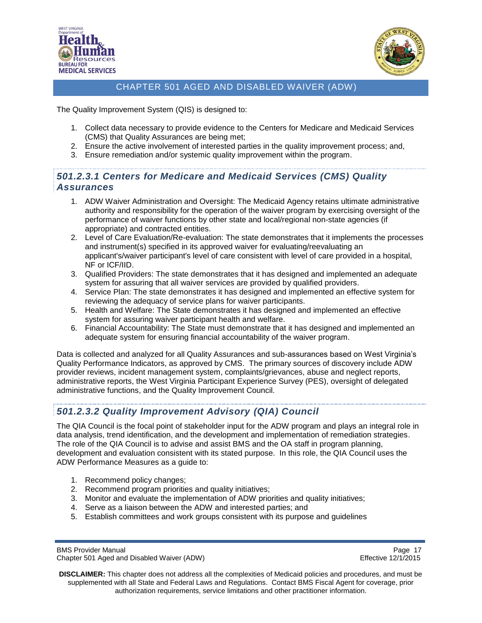



The Quality Improvement System (QIS) is designed to:

- 1. Collect data necessary to provide evidence to the Centers for Medicare and Medicaid Services (CMS) that Quality Assurances are being met;
- 2. Ensure the active involvement of interested parties in the quality improvement process; and,
- 3. Ensure remediation and/or systemic quality improvement within the program.

## <span id="page-16-0"></span>*501.2.3.1 Centers for Medicare and Medicaid Services (CMS) Quality Assurances*

- 1. ADW Waiver Administration and Oversight: The Medicaid Agency retains ultimate administrative authority and responsibility for the operation of the waiver program by exercising oversight of the performance of waiver functions by other state and local/regional non-state agencies (if appropriate) and contracted entities.
- 2. Level of Care Evaluation/Re-evaluation: The state demonstrates that it implements the processes and instrument(s) specified in its approved waiver for evaluating/reevaluating an applicant's/waiver participant's level of care consistent with level of care provided in a hospital, NF or ICF/IID.
- 3. Qualified Providers: The state demonstrates that it has designed and implemented an adequate system for assuring that all waiver services are provided by qualified providers.
- 4. Service Plan: The state demonstrates it has designed and implemented an effective system for reviewing the adequacy of service plans for waiver participants.
- 5. Health and Welfare: The State demonstrates it has designed and implemented an effective system for assuring waiver participant health and welfare.
- 6. Financial Accountability: The State must demonstrate that it has designed and implemented an adequate system for ensuring financial accountability of the waiver program.

Data is collected and analyzed for all Quality Assurances and sub-assurances based on West Virginia's Quality Performance Indicators, as approved by CMS. The primary sources of discovery include ADW provider reviews, incident management system, complaints/grievances, abuse and neglect reports, administrative reports, the West Virginia Participant Experience Survey (PES), oversight of delegated administrative functions, and the Quality Improvement Council.

# <span id="page-16-1"></span>*501.2.3.2 Quality Improvement Advisory (QIA) Council*

The QIA Council is the focal point of stakeholder input for the ADW program and plays an integral role in data analysis, trend identification, and the development and implementation of remediation strategies. The role of the QIA Council is to advise and assist BMS and the OA staff in program planning, development and evaluation consistent with its stated purpose. In this role, the QIA Council uses the ADW Performance Measures as a guide to:

- 1. Recommend policy changes;
- 2. Recommend program priorities and quality initiatives;
- 3. Monitor and evaluate the implementation of ADW priorities and quality initiatives;
- 4. Serve as a liaison between the ADW and interested parties; and
- 5. Establish committees and work groups consistent with its purpose and guidelines

BMS Provider Manual Page 17<br>Chapter 501 Aged and Disabled Waiver (ADW) National Page 17 Chapter 501 Aged 2012015 Chapter 501 Aged and Disabled Waiver (ADW)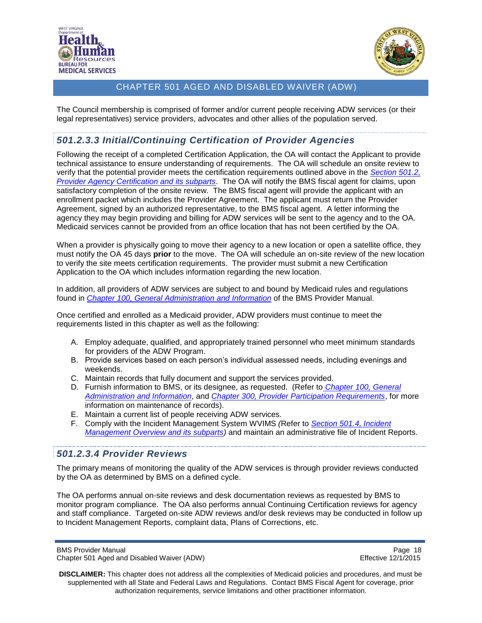



The Council membership is comprised of former and/or current people receiving ADW services (or their legal representatives) service providers, advocates and other allies of the population served.

## <span id="page-17-0"></span>*501.2.3.3 Initial/Continuing Certification of Provider Agencies*

Following the receipt of a completed Certification Application, the OA will contact the Applicant to provide technical assistance to ensure understanding of requirements. The OA will schedule an onsite review to verify that the potential provider meets the certification requirements outlined above in the *[Section 501.2,](#page-8-2)  [Provider Agency Certification and its subparts](#page-8-2)*. The OA will notify the BMS fiscal agent for claims, upon satisfactory completion of the onsite review. The BMS fiscal agent will provide the applicant with an enrollment packet which includes the Provider Agreement. The applicant must return the Provider Agreement, signed by an authorized representative, to the BMS fiscal agent. A letter informing the agency they may begin providing and billing for ADW services will be sent to the agency and to the OA. Medicaid services cannot be provided from an office location that has not been certified by the OA.

When a provider is physically going to move their agency to a new location or open a satellite office, they must notify the OA 45 days **prior** to the move. The OA will schedule an on-site review of the new location to verify the site meets certification requirements. The provider must submit a new Certification Application to the OA which includes information regarding the new location.

In addition, all providers of ADW services are subject to and bound by Medicaid rules and regulations found in *Chapter 100, General [Administration and Information](http://www.dhhr.wv.gov/bms/Pages/Manuals.aspx)* of the BMS Provider Manual.

Once certified and enrolled as a Medicaid provider, ADW providers must continue to meet the requirements listed in this chapter as well as the following:

- A. Employ adequate, qualified, and appropriately trained personnel who meet minimum standards for providers of the ADW Program.
- B. Provide services based on each person's individual assessed needs, including evenings and weekends.
- C. Maintain records that fully document and support the services provided.
- D. Furnish information to BMS, or its designee, as requested. (Refer to *[Chapter 100,](http://www.dhhr.wv.gov/bms/Pages/Manuals.aspx) General [Administration and Information](http://www.dhhr.wv.gov/bms/Pages/Manuals.aspx)*, and *[Chapter 300, Provider Participation Requirements](http://www.dhhr.wv.gov/bms/Pages/Manuals.aspx)*, for more information on maintenance of records).
- E. Maintain a current list of people receiving ADW services.
- F. Comply with the Incident Management System WVIMS *(*Refer to *[Section 501.4, Incident](#page-24-1)  [Management Overview and its subparts\)](#page-24-1)* and maintain an administrative file of Incident Reports.

### <span id="page-17-1"></span>*501.2.3.4 Provider Reviews*

The primary means of monitoring the quality of the ADW services is through provider reviews conducted by the OA as determined by BMS on a defined cycle.

The OA performs annual on-site reviews and desk documentation reviews as requested by BMS to monitor program compliance. The OA also performs annual Continuing Certification reviews for agency and staff compliance. Targeted on-site ADW reviews and/or desk reviews may be conducted in follow up to Incident Management Reports, complaint data, Plans of Corrections, etc.

BMS Provider Manual Page 18<br>Chapter 501 Aged and Disabled Waiver (ADW) example and the example of the Effective 12/1/2015 Chapter 501 Aged and Disabled Waiver (ADW)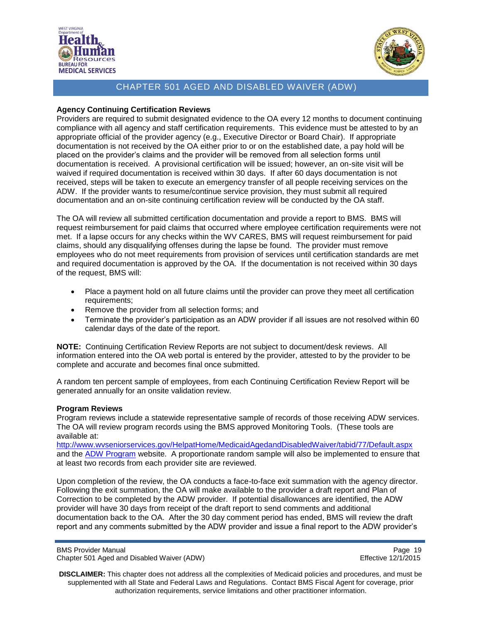



#### **Agency Continuing Certification Reviews**

Providers are required to submit designated evidence to the OA every 12 months to document continuing compliance with all agency and staff certification requirements. This evidence must be attested to by an appropriate official of the provider agency (e.g., Executive Director or Board Chair). If appropriate documentation is not received by the OA either prior to or on the established date, a pay hold will be placed on the provider's claims and the provider will be removed from all selection forms until documentation is received. A provisional certification will be issued; however, an on-site visit will be waived if required documentation is received within 30 days. If after 60 days documentation is not received, steps will be taken to execute an emergency transfer of all people receiving services on the ADW. If the provider wants to resume/continue service provision, they must submit all required documentation and an on-site continuing certification review will be conducted by the OA staff.

The OA will review all submitted certification documentation and provide a report to BMS. BMS will request reimbursement for paid claims that occurred where employee certification requirements were not met. If a lapse occurs for any checks within the WV CARES, BMS will request reimbursement for paid claims, should any disqualifying offenses during the lapse be found. The provider must remove employees who do not meet requirements from provision of services until certification standards are met and required documentation is approved by the OA. If the documentation is not received within 30 days of the request, BMS will:

- Place a payment hold on all future claims until the provider can prove they meet all certification requirements;
- Remove the provider from all selection forms; and
- Terminate the provider's participation as an ADW provider if all issues are not resolved within 60 calendar days of the date of the report.

**NOTE:** Continuing Certification Review Reports are not subject to document/desk reviews. All information entered into the OA web portal is entered by the provider, attested to by the provider to be complete and accurate and becomes final once submitted.

A random ten percent sample of employees, from each Continuing Certification Review Report will be generated annually for an onsite validation review.

#### **Program Reviews**

Program reviews include a statewide representative sample of records of those receiving ADW services. The OA will review program records using the BMS approved Monitoring Tools. (These tools are available at:

<http://www.wvseniorservices.gov/HelpatHome/MedicaidAgedandDisabledWaiver/tabid/77/Default.aspx> and the [ADW Program](http://www.dhhr.wv.gov/bms/Programs/WaiverPrograms/ADWProgram/Pages/ADW-Policy-and-Forms.aspx) website. A proportionate random sample will also be implemented to ensure that at least two records from each provider site are reviewed.

Upon completion of the review, the OA conducts a face-to-face exit summation with the agency director. Following the exit summation, the OA will make available to the provider a draft report and Plan of Correction to be completed by the ADW provider. If potential disallowances are identified, the ADW provider will have 30 days from receipt of the draft report to send comments and additional documentation back to the OA. After the 30 day comment period has ended, BMS will review the draft report and any comments submitted by the ADW provider and issue a final report to the ADW provider's

BMS Provider Manual Page 19<br>Chapter 501 Aged and Disabled Waiver (ADW) example and the example of the Effective 12/1/2015 Chapter 501 Aged and Disabled Waiver (ADW)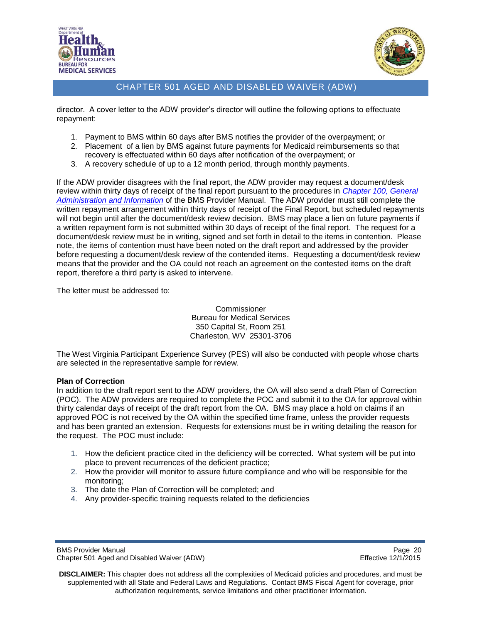



director. A cover letter to the ADW provider's director will outline the following options to effectuate repayment:

- 1. Payment to BMS within 60 days after BMS notifies the provider of the overpayment; or
- 2. Placement of a lien by BMS against future payments for Medicaid reimbursements so that recovery is effectuated within 60 days after notification of the overpayment; or
- 3. A recovery schedule of up to a 12 month period, through monthly payments.

If the ADW provider disagrees with the final report, the ADW provider may request a document/desk review within thirty days of receipt of the final report pursuant to the procedures in *[Chapter 100, General](http://www.dhhr.wv.gov/bms/Pages/Manuals.aspx)  Administration [and Information](http://www.dhhr.wv.gov/bms/Pages/Manuals.aspx)* of the BMS Provider Manual. The ADW provider must still complete the written repayment arrangement within thirty days of receipt of the Final Report, but scheduled repayments will not begin until after the document/desk review decision. BMS may place a lien on future payments if a written repayment form is not submitted within 30 days of receipt of the final report. The request for a document/desk review must be in writing, signed and set forth in detail to the items in contention. Please note, the items of contention must have been noted on the draft report and addressed by the provider before requesting a document/desk review of the contended items. Requesting a document/desk review means that the provider and the OA could not reach an agreement on the contested items on the draft report, therefore a third party is asked to intervene.

The letter must be addressed to:

Commissioner Bureau for Medical Services 350 Capital St, Room 251 Charleston, WV 25301-3706

The West Virginia Participant Experience Survey (PES) will also be conducted with people whose charts are selected in the representative sample for review.

#### **Plan of Correction**

In addition to the draft report sent to the ADW providers, the OA will also send a draft Plan of Correction (POC). The ADW providers are required to complete the POC and submit it to the OA for approval within thirty calendar days of receipt of the draft report from the OA. BMS may place a hold on claims if an approved POC is not received by the OA within the specified time frame, unless the provider requests and has been granted an extension. Requests for extensions must be in writing detailing the reason for the request. The POC must include:

- 1. How the deficient practice cited in the deficiency will be corrected. What system will be put into place to prevent recurrences of the deficient practice;
- 2. How the provider will monitor to assure future compliance and who will be responsible for the monitoring;
- 3. The date the Plan of Correction will be completed; and
- 4. Any provider-specific training requests related to the deficiencies

BMS Provider Manual **Page 20** Chapter 501 Aged and Disabled Waiver (ADW) **Effective 12/1/2015**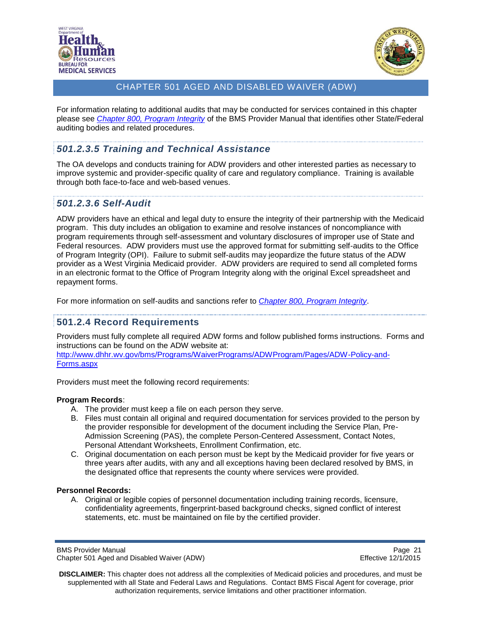



For information relating to additional audits that may be conducted for services contained in this chapter please see *[Chapter 800, Program Integrity](http://www.dhhr.wv.gov/bms/Pages/Manuals.aspx)* of the BMS Provider Manual that identifies other State/Federal auditing bodies and related procedures.

# <span id="page-20-0"></span>*501.2.3.5 Training and Technical Assistance*

The OA develops and conducts training for ADW providers and other interested parties as necessary to improve systemic and provider-specific quality of care and regulatory compliance. Training is available through both face-to-face and web-based venues.

## <span id="page-20-1"></span>*501.2.3.6 Self-Audit*

ADW providers have an ethical and legal duty to ensure the integrity of their partnership with the Medicaid program. This duty includes an obligation to examine and resolve instances of noncompliance with program requirements through self-assessment and voluntary disclosures of improper use of State and Federal resources. ADW providers must use the approved format for submitting self-audits to the Office of Program Integrity (OPI). Failure to submit self-audits may jeopardize the future status of the ADW provider as a West Virginia Medicaid provider. ADW providers are required to send all completed forms in an electronic format to the Office of Program Integrity along with the original Excel spreadsheet and repayment forms.

For more information on self-audits and sanctions refer to *[Chapter 800, Program Integrity](http://www.dhhr.wv.gov/bms/Pages/Manuals.aspx)*.

## <span id="page-20-2"></span>**501.2.4 Record Requirements**

Providers must fully complete all required ADW forms and follow published forms instructions. Forms and instructions can be found on the ADW website at:

[http://www.dhhr.wv.gov/bms/Programs/WaiverPrograms/ADWProgram/Pages/ADW-Policy-and-](http://www.dhhr.wv.gov/bms/Programs/WaiverPrograms/ADWProgram/Pages/ADW-Policy-and-Forms.aspx)[Forms.aspx](http://www.dhhr.wv.gov/bms/Programs/WaiverPrograms/ADWProgram/Pages/ADW-Policy-and-Forms.aspx)

Providers must meet the following record requirements:

#### **Program Records**:

- A. The provider must keep a file on each person they serve.
- B. Files must contain all original and required documentation for services provided to the person by the provider responsible for development of the document including the Service Plan, Pre-Admission Screening (PAS), the complete Person-Centered Assessment, Contact Notes, Personal Attendant Worksheets, Enrollment Confirmation, etc.
- C. Original documentation on each person must be kept by the Medicaid provider for five years or three years after audits, with any and all exceptions having been declared resolved by BMS, in the designated office that represents the county where services were provided.

#### **Personnel Records:**

A. Original or legible copies of personnel documentation including training records, licensure, confidentiality agreements, fingerprint-based background checks, signed conflict of interest statements, etc. must be maintained on file by the certified provider.

BMS Provider Manual **Page 21** Chapter 501 Aged and Disabled Waiver (ADW) **Effective 12/1/2015**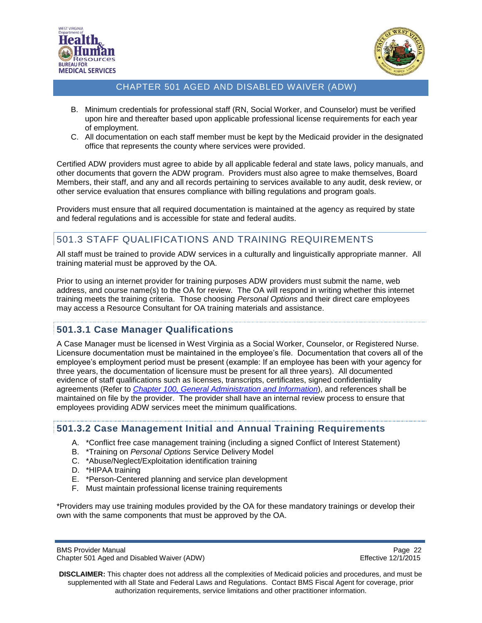



- B. Minimum credentials for professional staff (RN, Social Worker, and Counselor) must be verified upon hire and thereafter based upon applicable professional license requirements for each year of employment.
- C. All documentation on each staff member must be kept by the Medicaid provider in the designated office that represents the county where services were provided.

Certified ADW providers must agree to abide by all applicable federal and state laws, policy manuals, and other documents that govern the ADW program. Providers must also agree to make themselves, Board Members, their staff, and any and all records pertaining to services available to any audit, desk review, or other service evaluation that ensures compliance with billing regulations and program goals.

Providers must ensure that all required documentation is maintained at the agency as required by state and federal regulations and is accessible for state and federal audits.

# <span id="page-21-0"></span>501.3 STAFF QUALIFICATIONS AND TRAINING REQUIREMENTS

All staff must be trained to provide ADW services in a culturally and linguistically appropriate manner. All training material must be approved by the OA.

Prior to using an internet provider for training purposes ADW providers must submit the name, web address, and course name(s) to the OA for review. The OA will respond in writing whether this internet training meets the training criteria. Those choosing *Personal Options* and their direct care employees may access a Resource Consultant for OA training materials and assistance.

### <span id="page-21-1"></span>**501.3.1 Case Manager Qualifications**

A Case Manager must be licensed in West Virginia as a Social Worker, Counselor, or Registered Nurse. Licensure documentation must be maintained in the employee's file. Documentation that covers all of the employee's employment period must be present (example: If an employee has been with your agency for three years, the documentation of licensure must be present for all three years). All documented evidence of staff qualifications such as licenses, transcripts, certificates, signed confidentiality agreements (Refer to *[Chapter 100, General Administration and Information](http://www.dhhr.wv.gov/bms/Pages/Manuals.aspx)*), and references shall be maintained on file by the provider. The provider shall have an internal review process to ensure that employees providing ADW services meet the minimum qualifications.

### <span id="page-21-2"></span>**501.3.2 Case Management Initial and Annual Training Requirements**

- A. \*Conflict free case management training (including a signed Conflict of Interest Statement)
- B. \*Training on *Personal Options* Service Delivery Model
- C. \*Abuse/Neglect/Exploitation identification training
- D. \*HIPAA training
- E. \*Person-Centered planning and service plan development
- F. Must maintain professional license training requirements

\*Providers may use training modules provided by the OA for these mandatory trainings or develop their own with the same components that must be approved by the OA.

BMS Provider Manual **Page 22 Page 22** Chapter 501 Aged and Disabled Waiver (ADW) Effective 12/1/2015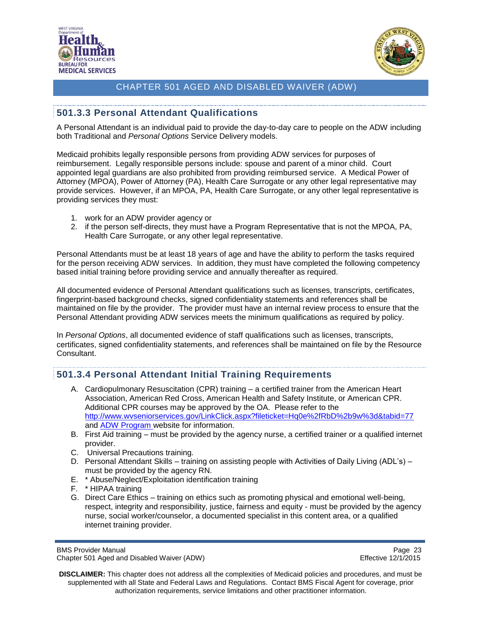



## <span id="page-22-0"></span>**501.3.3 Personal Attendant Qualifications**

A Personal Attendant is an individual paid to provide the day-to-day care to people on the ADW including both Traditional and *Personal Options* Service Delivery models.

Medicaid prohibits legally responsible persons from providing ADW services for purposes of reimbursement. Legally responsible persons include: spouse and parent of a minor child. Court appointed legal guardians are also prohibited from providing reimbursed service. A Medical Power of Attorney (MPOA), Power of Attorney (PA), Health Care Surrogate or any other legal representative may provide services. However, if an MPOA, PA, Health Care Surrogate, or any other legal representative is providing services they must:

- 1. work for an ADW provider agency or
- 2. if the person self-directs, they must have a Program Representative that is not the MPOA, PA, Health Care Surrogate, or any other legal representative.

Personal Attendants must be at least 18 years of age and have the ability to perform the tasks required for the person receiving ADW services. In addition, they must have completed the following competency based initial training before providing service and annually thereafter as required.

All documented evidence of Personal Attendant qualifications such as licenses, transcripts, certificates, fingerprint-based background checks, signed confidentiality statements and references shall be maintained on file by the provider. The provider must have an internal review process to ensure that the Personal Attendant providing ADW services meets the minimum qualifications as required by policy.

In *Personal Options*, all documented evidence of staff qualifications such as licenses, transcripts, certificates, signed confidentiality statements, and references shall be maintained on file by the Resource Consultant.

### <span id="page-22-1"></span>**501.3.4 Personal Attendant Initial Training Requirements**

- A. Cardiopulmonary Resuscitation (CPR) training a certified trainer from the American Heart Association, American Red Cross, American Health and Safety Institute, or American CPR. Additional CPR courses may be approved by the OA. Please refer to the <http://www.wvseniorservices.gov/LinkClick.aspx?fileticket=Hq0e%2fRbD%2b9w%3d&tabid=77> and [ADW Program](http://www.dhhr.wv.gov/bms/Programs/WaiverPrograms/ADWProgram/Pages/default.aspx) website for information.
- B. First Aid training must be provided by the agency nurse, a certified trainer or a qualified internet provider.
- C. Universal Precautions training.
- D. Personal Attendant Skills training on assisting people with Activities of Daily Living (ADL's) must be provided by the agency RN.
- E. \* Abuse/Neglect/Exploitation identification training
- F. \* HIPAA training
- G. Direct Care Ethics training on ethics such as promoting physical and emotional well-being, respect, integrity and responsibility, justice, fairness and equity - must be provided by the agency nurse, social worker/counselor, a documented specialist in this content area, or a qualified internet training provider.

BMS Provider Manual Page 23<br>Chapter 501 Aged and Disabled Waiver (ADW) National Page 23 Chapter 501 Aged 2/1/2015 Chapter 501 Aged and Disabled Waiver (ADW)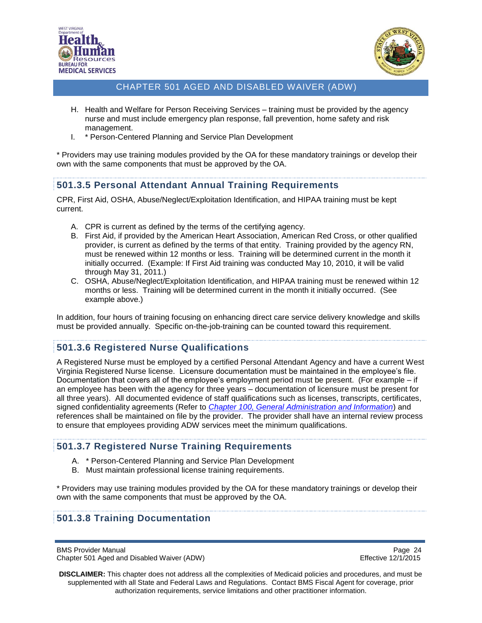



- H. Health and Welfare for Person Receiving Services training must be provided by the agency nurse and must include emergency plan response, fall prevention, home safety and risk management.
- I. \* Person-Centered Planning and Service Plan Development

\* Providers may use training modules provided by the OA for these mandatory trainings or develop their own with the same components that must be approved by the OA.

## <span id="page-23-0"></span>**501.3.5 Personal Attendant Annual Training Requirements**

CPR, First Aid, OSHA, Abuse/Neglect/Exploitation Identification, and HIPAA training must be kept current.

- A. CPR is current as defined by the terms of the certifying agency.
- B. First Aid, if provided by the American Heart Association, American Red Cross, or other qualified provider, is current as defined by the terms of that entity. Training provided by the agency RN, must be renewed within 12 months or less. Training will be determined current in the month it initially occurred. (Example: If First Aid training was conducted May 10, 2010, it will be valid through May 31, 2011.)
- C. OSHA, Abuse/Neglect/Exploitation Identification, and HIPAA training must be renewed within 12 months or less. Training will be determined current in the month it initially occurred. (See example above.)

In addition, four hours of training focusing on enhancing direct care service delivery knowledge and skills must be provided annually. Specific on-the-job-training can be counted toward this requirement.

### <span id="page-23-1"></span>**501.3.6 Registered Nurse Qualifications**

A Registered Nurse must be employed by a certified Personal Attendant Agency and have a current West Virginia Registered Nurse license. Licensure documentation must be maintained in the employee's file. Documentation that covers all of the employee's employment period must be present. (For example – if an employee has been with the agency for three years – documentation of licensure must be present for all three years). All documented evidence of staff qualifications such as licenses, transcripts, certificates, signed confidentiality agreements (Refer to *[Chapter 100, General Administration and Information](http://www.dhhr.wv.gov/bms/Pages/Manuals.aspx)*) and references shall be maintained on file by the provider. The provider shall have an internal review process to ensure that employees providing ADW services meet the minimum qualifications.

### <span id="page-23-2"></span>**501.3.7 Registered Nurse Training Requirements**

- A. \* Person-Centered Planning and Service Plan Development
- B. Must maintain professional license training requirements.

\* Providers may use training modules provided by the OA for these mandatory trainings or develop their own with the same components that must be approved by the OA.

### <span id="page-23-3"></span>**501.3.8 Training Documentation**

BMS Provider Manual Page 24<br>Chapter 501 Aged and Disabled Waiver (ADW) example a series of the effective 12/1/2015 Chapter 501 Aged and Disabled Waiver (ADW)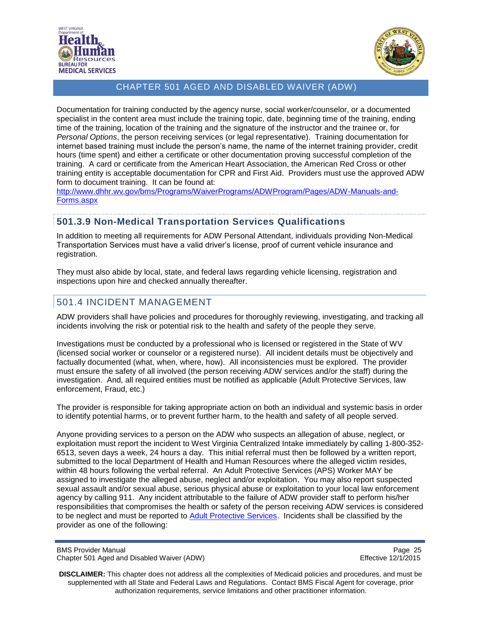



Documentation for training conducted by the agency nurse, social worker/counselor, or a documented specialist in the content area must include the training topic, date, beginning time of the training, ending time of the training, location of the training and the signature of the instructor and the trainee or, for *Personal Options*, the person receiving services (or legal representative). Training documentation for internet based training must include the person's name, the name of the internet training provider, credit hours (time spent) and either a certificate or other documentation proving successful completion of the training. A card or certificate from the American Heart Association, the American Red Cross or other training entity is acceptable documentation for CPR and First Aid. Providers must use the approved ADW form to document training. It can be found at:

[http://www.dhhr.wv.gov/bms/Programs/WaiverPrograms/ADWProgram/Pages/ADW-Manuals-and-](http://www.dhhr.wv.gov/bms/Programs/WaiverPrograms/ADWProgram/Pages/ADW-Policy-and-Forms.aspx)[Forms.aspx](http://www.dhhr.wv.gov/bms/Programs/WaiverPrograms/ADWProgram/Pages/ADW-Policy-and-Forms.aspx)

## <span id="page-24-0"></span>**501.3.9 Non-Medical Transportation Services Qualifications**

In addition to meeting all requirements for ADW Personal Attendant, individuals providing Non-Medical Transportation Services must have a valid driver's license, proof of current vehicle insurance and registration.

They must also abide by local, state, and federal laws regarding vehicle licensing, registration and inspections upon hire and checked annually thereafter.

# <span id="page-24-1"></span>501.4 INCIDENT MANAGEMENT

ADW providers shall have policies and procedures for thoroughly reviewing, investigating, and tracking all incidents involving the risk or potential risk to the health and safety of the people they serve.

Investigations must be conducted by a professional who is licensed or registered in the State of WV (licensed social worker or counselor or a registered nurse). All incident details must be objectively and factually documented (what, when, where, how). All inconsistencies must be explored. The provider must ensure the safety of all involved (the person receiving ADW services and/or the staff) during the investigation. And, all required entities must be notified as applicable (Adult Protective Services, law enforcement, Fraud, etc.)

The provider is responsible for taking appropriate action on both an individual and systemic basis in order to identify potential harms, or to prevent further harm, to the health and safety of all people served.

Anyone providing services to a person on the ADW who suspects an allegation of abuse, neglect, or exploitation must report the incident to West Virginia Centralized Intake immediately by calling 1-800-352- 6513, seven days a week, 24 hours a day. This initial referral must then be followed by a written report, submitted to the local Department of Health and Human Resources where the alleged victim resides, within 48 hours following the verbal referral. An Adult Protective Services (APS) Worker MAY be assigned to investigate the alleged abuse, neglect and/or exploitation. You may also report suspected sexual assault and/or sexual abuse, serious physical abuse or exploitation to your local law enforcement agency by calling 911. Any incident attributable to the failure of ADW provider staff to perform his/her responsibilities that compromises the health or safety of the person receiving ADW services is considered to be neglect and must be reported to [Adult Protective Services.](http://www.wvdhhr.org/bcf/children_adult/aps/report.asp) Incidents shall be classified by the provider as one of the following:

BMS Provider Manual Page 25<br>Chapter 501 Aged and Disabled Waiver (ADW) example and the example of the Effective 12/1/2015 Chapter 501 Aged and Disabled Waiver (ADW)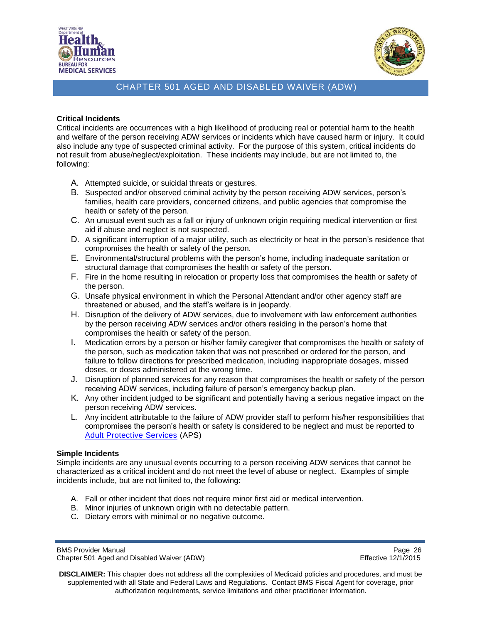



#### **Critical Incidents**

Critical incidents are occurrences with a high likelihood of producing real or potential harm to the health and welfare of the person receiving ADW services or incidents which have caused harm or injury. It could also include any type of suspected criminal activity. For the purpose of this system, critical incidents do not result from abuse/neglect/exploitation. These incidents may include, but are not limited to, the following:

- A. Attempted suicide, or suicidal threats or gestures.
- B. Suspected and/or observed criminal activity by the person receiving ADW services, person's families, health care providers, concerned citizens, and public agencies that compromise the health or safety of the person.
- C. An unusual event such as a fall or injury of unknown origin requiring medical intervention or first aid if abuse and neglect is not suspected.
- D. A significant interruption of a major utility, such as electricity or heat in the person's residence that compromises the health or safety of the person.
- E. Environmental/structural problems with the person's home, including inadequate sanitation or structural damage that compromises the health or safety of the person.
- F. Fire in the home resulting in relocation or property loss that compromises the health or safety of the person.
- G. Unsafe physical environment in which the Personal Attendant and/or other agency staff are threatened or abused, and the staff's welfare is in jeopardy.
- H. Disruption of the delivery of ADW services, due to involvement with law enforcement authorities by the person receiving ADW services and/or others residing in the person's home that compromises the health or safety of the person.
- I. Medication errors by a person or his/her family caregiver that compromises the health or safety of the person, such as medication taken that was not prescribed or ordered for the person, and failure to follow directions for prescribed medication, including inappropriate dosages, missed doses, or doses administered at the wrong time.
- J. Disruption of planned services for any reason that compromises the health or safety of the person receiving ADW services, including failure of person's emergency backup plan.
- K. Any other incident judged to be significant and potentially having a serious negative impact on the person receiving ADW services.
- L. Any incident attributable to the failure of ADW provider staff to perform his/her responsibilities that compromises the person's health or safety is considered to be neglect and must be reported to [Adult Protective Services](http://www.wvdhhr.org/bcf/children_adult/aps/report.asp) (APS)

#### **Simple Incidents**

Simple incidents are any unusual events occurring to a person receiving ADW services that cannot be characterized as a critical incident and do not meet the level of abuse or neglect. Examples of simple incidents include, but are not limited to, the following:

- A. Fall or other incident that does not require minor first aid or medical intervention.
- B. Minor injuries of unknown origin with no detectable pattern.
- C. Dietary errors with minimal or no negative outcome.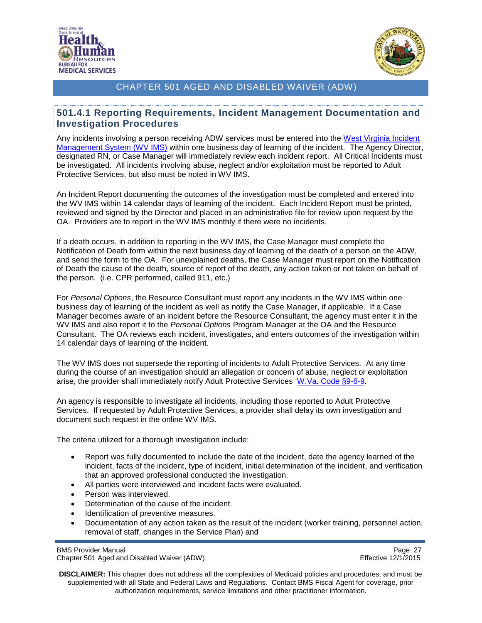



#### <span id="page-26-0"></span>**501.4.1 Reporting Requirements, Incident Management Documentation and Investigation Procedures**

Any incidents involving a person receiving ADW services must be entered into the West Virginia Incident [Management System \(WV](https://www.wvdhhr.org/wvims/) IMS) within one business day of learning of the incident. The Agency Director, designated RN, or Case Manager will immediately review each incident report. All Critical Incidents must be investigated. All incidents involving abuse, neglect and/or exploitation must be reported to Adult Protective Services, but also must be noted in WV IMS.

An Incident Report documenting the outcomes of the investigation must be completed and entered into the WV IMS within 14 calendar days of learning of the incident. Each Incident Report must be printed, reviewed and signed by the Director and placed in an administrative file for review upon request by the OA. Providers are to report in the WV IMS monthly if there were no incidents.

If a death occurs, in addition to reporting in the WV IMS, the Case Manager must complete the Notification of Death form within the next business day of learning of the death of a person on the ADW, and send the form to the OA. For unexplained deaths, the Case Manager must report on the Notification of Death the cause of the death, source of report of the death, any action taken or not taken on behalf of the person. (i.e. CPR performed, called 911, etc.)

For *Personal Options*, the Resource Consultant must report any incidents in the WV IMS within one business day of learning of the incident as well as notify the Case Manager, if applicable. If a Case Manager becomes aware of an incident before the Resource Consultant, the agency must enter it in the WV IMS and also report it to the *Personal Options* Program Manager at the OA and the Resource Consultant. The OA reviews each incident, investigates, and enters outcomes of the investigation within 14 calendar days of learning of the incident.

The WV IMS does not supersede the reporting of incidents to Adult Protective Services. At any time during the course of an investigation should an allegation or concern of abuse, neglect or exploitation arise, the provider shall immediately notify Adult Protective Services [W.Va. Code §9-6-9.](http://www.legis.state.wv.us/wvcode/ChapterEntire.cfm?chap=09&art=6)

An agency is responsible to investigate all incidents, including those reported to Adult Protective Services. If requested by Adult Protective Services, a provider shall delay its own investigation and document such request in the online WV IMS.

The criteria utilized for a thorough investigation include:

- Report was fully documented to include the date of the incident, date the agency learned of the incident, facts of the incident, type of incident, initial determination of the incident, and verification that an approved professional conducted the investigation.
- All parties were interviewed and incident facts were evaluated.
- Person was interviewed.
- Determination of the cause of the incident.
- Identification of preventive measures.
- Documentation of any action taken as the result of the incident (worker training, personnel action, removal of staff, changes in the Service Plan) and

BMS Provider Manual Page 27<br>Chapter 501 Aged and Disabled Waiver (ADW) example a series of the effective 12/1/2015 Chapter 501 Aged and Disabled Waiver (ADW)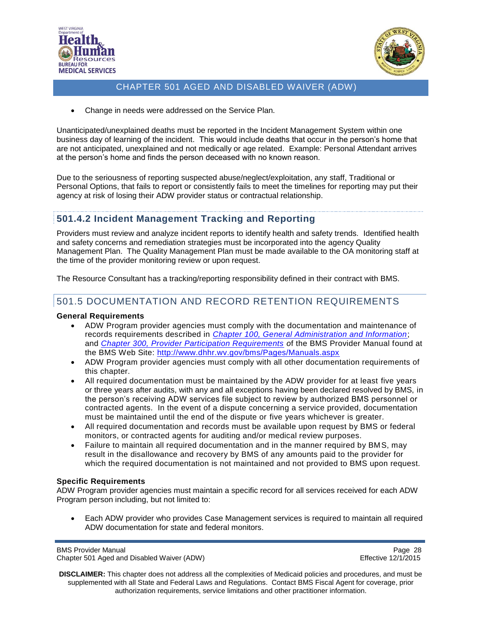



Change in needs were addressed on the Service Plan.

Unanticipated/unexplained deaths must be reported in the Incident Management System within one business day of learning of the incident. This would include deaths that occur in the person's home that are not anticipated, unexplained and not medically or age related. Example: Personal Attendant arrives at the person's home and finds the person deceased with no known reason.

Due to the seriousness of reporting suspected abuse/neglect/exploitation, any staff, Traditional or Personal Options, that fails to report or consistently fails to meet the timelines for reporting may put their agency at risk of losing their ADW provider status or contractual relationship.

## <span id="page-27-0"></span>**501.4.2 Incident Management Tracking and Reporting**

Providers must review and analyze incident reports to identify health and safety trends. Identified health and safety concerns and remediation strategies must be incorporated into the agency Quality Management Plan. The Quality Management Plan must be made available to the OA monitoring staff at the time of the provider monitoring review or upon request.

The Resource Consultant has a tracking/reporting responsibility defined in their contract with BMS.

## <span id="page-27-1"></span>501.5 DOCUMENTATION AND RECORD RETENTION REQUIREMENTS

#### **General Requirements**

- ADW Program provider agencies must comply with the documentation and maintenance of records requirements described in *[Chapter 100, General Administration and Information](http://www.dhhr.wv.gov/bms/Pages/Manuals.aspx)*; and *[Chapter 300, Provider Participation Requirements](http://www.dhhr.wv.gov/bms/Pages/Manuals.aspx) o*f the BMS Provider Manual found at the BMS Web Site:<http://www.dhhr.wv.gov/bms/Pages/Manuals.aspx>
- ADW Program provider agencies must comply with all other documentation requirements of this chapter.
- All required documentation must be maintained by the ADW provider for at least five years or three years after audits, with any and all exceptions having been declared resolved by BMS, in the person's receiving ADW services file subject to review by authorized BMS personnel or contracted agents. In the event of a dispute concerning a service provided, documentation must be maintained until the end of the dispute or five years whichever is greater.
- All required documentation and records must be available upon request by BMS or federal monitors, or contracted agents for auditing and/or medical review purposes.
- Failure to maintain all required documentation and in the manner required by BMS, may result in the disallowance and recovery by BMS of any amounts paid to the provider for which the required documentation is not maintained and not provided to BMS upon request.

#### **Specific Requirements**

ADW Program provider agencies must maintain a specific record for all services received for each ADW Program person including, but not limited to:

 Each ADW provider who provides Case Management services is required to maintain all required ADW documentation for state and federal monitors.

BMS Provider Manual Page 28<br>Chapter 501 Aged and Disabled Waiver (ADW) example a series of the effective 12/1/2015 Chapter 501 Aged and Disabled Waiver (ADW)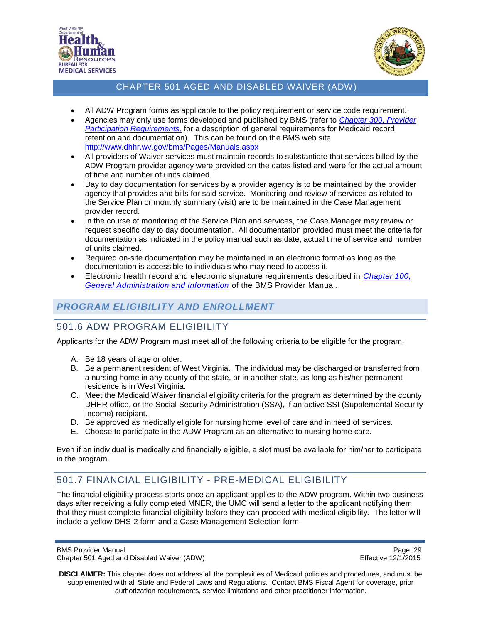



- All ADW Program forms as applicable to the policy requirement or service code requirement.
- Agencies may only use forms developed and published by BMS (refer to *[Chapter 300, Provider](http://www.dhhr.wv.gov/bms/Pages/Manuals.aspx)  [Participation Requirements,](http://www.dhhr.wv.gov/bms/Pages/Manuals.aspx)* for a description of general requirements for Medicaid record retention and documentation). This can be found on the BMS web site <http://www.dhhr.wv.gov/bms/Pages/Manuals.aspx>
- All providers of Waiver services must maintain records to substantiate that services billed by the ADW Program provider agency were provided on the dates listed and were for the actual amount of time and number of units claimed.
- Day to day documentation for services by a provider agency is to be maintained by the provider agency that provides and bills for said service. Monitoring and review of services as related to the Service Plan or monthly summary (visit) are to be maintained in the Case Management provider record.
- In the course of monitoring of the Service Plan and services, the Case Manager may review or request specific day to day documentation. All documentation provided must meet the criteria for documentation as indicated in the policy manual such as date, actual time of service and number of units claimed.
- Required on-site documentation may be maintained in an electronic format as long as the documentation is accessible to individuals who may need to access it.
- Electronic health record and electronic signature requirements described in *[Chapter 100,](http://www.dhhr.wv.gov/bms/Pages/Manuals.aspx)  [General Administration and Information](http://www.dhhr.wv.gov/bms/Pages/Manuals.aspx)* of the BMS Provider Manual.

# <span id="page-28-0"></span>*PROGRAM ELIGIBILITY AND ENROLLMENT*

# <span id="page-28-1"></span>501.6 ADW PROGRAM ELIGIBILITY

Applicants for the ADW Program must meet all of the following criteria to be eligible for the program:

- A. Be 18 years of age or older.
- B. Be a permanent resident of West Virginia. The individual may be discharged or transferred from a nursing home in any county of the state, or in another state, as long as his/her permanent residence is in West Virginia.
- C. Meet the Medicaid Waiver financial eligibility criteria for the program as determined by the county DHHR office, or the Social Security Administration (SSA), if an active SSI (Supplemental Security Income) recipient.
- D. Be approved as medically eligible for nursing home level of care and in need of services.
- E. Choose to participate in the ADW Program as an alternative to nursing home care.

Even if an individual is medically and financially eligible, a slot must be available for him/her to participate in the program.

# <span id="page-28-2"></span>501.7 FINANCIAL ELIGIBILITY - PRE-MEDICAL ELIGIBILITY

The financial eligibility process starts once an applicant applies to the ADW program. Within two business days after receiving a fully completed MNER, the UMC will send a letter to the applicant notifying them that they must complete financial eligibility before they can proceed with medical eligibility. The letter will include a yellow DHS-2 form and a Case Management Selection form.

BMS Provider Manual Page 29<br>Chapter 501 Aged and Disabled Waiver (ADW) example and the example of the Effective 12/1/2015 Chapter 501 Aged and Disabled Waiver (ADW)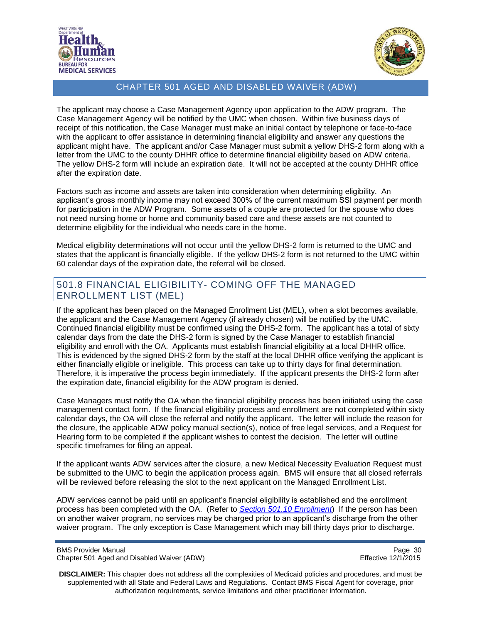



The applicant may choose a Case Management Agency upon application to the ADW program. The Case Management Agency will be notified by the UMC when chosen. Within five business days of receipt of this notification, the Case Manager must make an initial contact by telephone or face-to-face with the applicant to offer assistance in determining financial eligibility and answer any questions the applicant might have. The applicant and/or Case Manager must submit a yellow DHS-2 form along with a letter from the UMC to the county DHHR office to determine financial eligibility based on ADW criteria. The yellow DHS-2 form will include an expiration date. It will not be accepted at the county DHHR office after the expiration date.

Factors such as income and assets are taken into consideration when determining eligibility. An applicant's gross monthly income may not exceed 300% of the current maximum SSI payment per month for participation in the ADW Program. Some assets of a couple are protected for the spouse who does not need nursing home or home and community based care and these assets are not counted to determine eligibility for the individual who needs care in the home.

Medical eligibility determinations will not occur until the yellow DHS-2 form is returned to the UMC and states that the applicant is financially eligible. If the yellow DHS-2 form is not returned to the UMC within 60 calendar days of the expiration date, the referral will be closed.

## <span id="page-29-0"></span>501.8 FINANCIAL ELIGIBILITY- COMING OFF THE MANAGED ENROLLMENT LIST (MEL)

If the applicant has been placed on the Managed Enrollment List (MEL), when a slot becomes available, the applicant and the Case Management Agency (if already chosen) will be notified by the UMC. Continued financial eligibility must be confirmed using the DHS-2 form. The applicant has a total of sixty calendar days from the date the DHS-2 form is signed by the Case Manager to establish financial eligibility and enroll with the OA. Applicants must establish financial eligibility at a local DHHR office. This is evidenced by the signed DHS-2 form by the staff at the local DHHR office verifying the applicant is either financially eligible or ineligible. This process can take up to thirty days for final determination. Therefore, it is imperative the process begin immediately. If the applicant presents the DHS-2 form after the expiration date, financial eligibility for the ADW program is denied.

Case Managers must notify the OA when the financial eligibility process has been initiated using the case management contact form. If the financial eligibility process and enrollment are not completed within sixty calendar days, the OA will close the referral and notify the applicant. The letter will include the reason for the closure, the applicable ADW policy manual section(s), notice of free legal services, and a Request for Hearing form to be completed if the applicant wishes to contest the decision. The letter will outline specific timeframes for filing an appeal.

If the applicant wants ADW services after the closure, a new Medical Necessity Evaluation Request must be submitted to the UMC to begin the application process again. BMS will ensure that all closed referrals will be reviewed before releasing the slot to the next applicant on the Managed Enrollment List.

ADW services cannot be paid until an applicant's financial eligibility is established and the enrollment process has been completed with the OA. (Refer to *[Section 501.10](#page-35-0) Enrollment*) If the person has been on another waiver program, no services may be charged prior to an applicant's discharge from the other waiver program. The only exception is Case Management which may bill thirty days prior to discharge.

BMS Provider Manual Page 30<br>Chapter 501 Aged and Disabled Waiver (ADW) example a state of the effective 12/1/2015 Chapter 501 Aged and Disabled Waiver (ADW)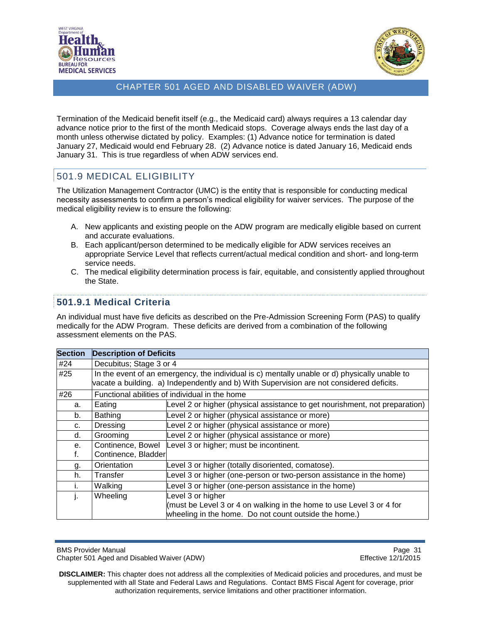



Termination of the Medicaid benefit itself (e.g., the Medicaid card) always requires a 13 calendar day advance notice prior to the first of the month Medicaid stops. Coverage always ends the last day of a month unless otherwise dictated by policy. Examples: (1) Advance notice for termination is dated January 27, Medicaid would end February 28. (2) Advance notice is dated January 16, Medicaid ends January 31. This is true regardless of when ADW services end.

## <span id="page-30-0"></span>501.9 MEDICAL ELIGIBILITY

The Utilization Management Contractor (UMC) is the entity that is responsible for conducting medical necessity assessments to confirm a person's medical eligibility for waiver services. The purpose of the medical eligibility review is to ensure the following:

- A. New applicants and existing people on the ADW program are medically eligible based on current and accurate evaluations.
- B. Each applicant/person determined to be medically eligible for ADW services receives an appropriate Service Level that reflects current/actual medical condition and short- and long-term service needs.
- C. The medical eligibility determination process is fair, equitable, and consistently applied throughout the State.

## <span id="page-30-1"></span>**501.9.1 Medical Criteria**

An individual must have five deficits as described on the Pre-Admission Screening Form (PAS) to qualify medically for the ADW Program. These deficits are derived from a combination of the following assessment elements on the PAS.

| <b>Section</b> | <b>Description of Deficits</b>                                                                                                                                                            |                                                                                                                                                    |  |
|----------------|-------------------------------------------------------------------------------------------------------------------------------------------------------------------------------------------|----------------------------------------------------------------------------------------------------------------------------------------------------|--|
| #24            | Decubitus; Stage 3 or 4                                                                                                                                                                   |                                                                                                                                                    |  |
| #25            | In the event of an emergency, the individual is c) mentally unable or d) physically unable to<br>vacate a building. a) Independently and b) With Supervision are not considered deficits. |                                                                                                                                                    |  |
| #26            |                                                                                                                                                                                           | Functional abilities of individual in the home                                                                                                     |  |
| а.             | Eating                                                                                                                                                                                    | Level 2 or higher (physical assistance to get nourishment, not preparation)                                                                        |  |
| b.             | <b>Bathing</b>                                                                                                                                                                            | Level 2 or higher (physical assistance or more)                                                                                                    |  |
| c.             | <b>Dressing</b>                                                                                                                                                                           | Level 2 or higher (physical assistance or more)                                                                                                    |  |
| d.             | Grooming                                                                                                                                                                                  | Level 2 or higher (physical assistance or more)                                                                                                    |  |
| е.<br>f.       | Continence, Bowel<br>Continence, Bladder                                                                                                                                                  | Level 3 or higher; must be incontinent.                                                                                                            |  |
| g.             | Orientation                                                                                                                                                                               | Level 3 or higher (totally disoriented, comatose).                                                                                                 |  |
| h.             | Transfer                                                                                                                                                                                  | Level 3 or higher (one-person or two-person assistance in the home)                                                                                |  |
|                | Walking                                                                                                                                                                                   | Level 3 or higher (one-person assistance in the home)                                                                                              |  |
| Ŀ.             | Wheeling                                                                                                                                                                                  | Level 3 or higher<br>(must be Level 3 or 4 on walking in the home to use Level 3 or 4 for<br>wheeling in the home. Do not count outside the home.) |  |

BMS Provider Manual **Page 31** Chapter 501 Aged and Disabled Waiver (ADW) Effective 12/1/2015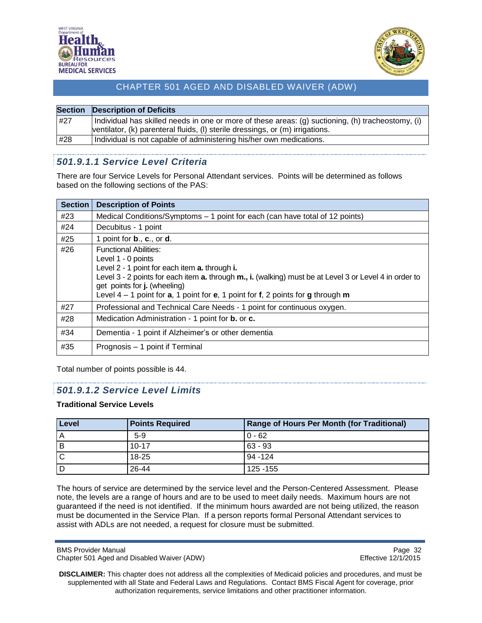



| <b>Section</b> | <b>Description of Deficits</b>                                                                                                                                                     |
|----------------|------------------------------------------------------------------------------------------------------------------------------------------------------------------------------------|
| #27            | Individual has skilled needs in one or more of these areas: (g) suctioning, (h) tracheostomy, (i)<br>ventilator, (k) parenteral fluids, (l) sterile dressings, or (m) irrigations. |
| #28            | Individual is not capable of administering his/her own medications.                                                                                                                |
|                |                                                                                                                                                                                    |

## <span id="page-31-0"></span>*501.9.1.1 Service Level Criteria*

There are four Service Levels for Personal Attendant services. Points will be determined as follows based on the following sections of the PAS:

| <b>Section</b> | <b>Description of Points</b>                                                                                                                                                                                                                                                                                                                |
|----------------|---------------------------------------------------------------------------------------------------------------------------------------------------------------------------------------------------------------------------------------------------------------------------------------------------------------------------------------------|
| #23            | Medical Conditions/Symptoms – 1 point for each (can have total of 12 points)                                                                                                                                                                                                                                                                |
| #24            | Decubitus - 1 point                                                                                                                                                                                                                                                                                                                         |
| #25            | 1 point for $\mathbf{b}$ ., $\mathbf{c}$ ., or $\mathbf{d}$ .                                                                                                                                                                                                                                                                               |
| #26            | <b>Functional Abilities:</b><br>Level 1 - 0 points<br>Level 2 - 1 point for each item a. through i.<br>Level 3 - 2 points for each item a. through m., i. (walking) must be at Level 3 or Level 4 in order to<br>get points for j. (wheeling)<br>Level $4 - 1$ point for $a$ , 1 point for $e$ , 1 point for $f$ , 2 points for g through m |
| #27            | Professional and Technical Care Needs - 1 point for continuous oxygen.                                                                                                                                                                                                                                                                      |
| #28            | Medication Administration - 1 point for <b>b.</b> or <b>c.</b>                                                                                                                                                                                                                                                                              |
| #34            | Dementia - 1 point if Alzheimer's or other dementia                                                                                                                                                                                                                                                                                         |
| #35            | Prognosis – 1 point if Terminal                                                                                                                                                                                                                                                                                                             |

Total number of points possible is 44.

### <span id="page-31-1"></span>*501.9.1.2 Service Level Limits*

#### **Traditional Service Levels**

| Level | <b>Points Required</b> | <b>Range of Hours Per Month (for Traditional)</b> |
|-------|------------------------|---------------------------------------------------|
| A     | $5-9$                  | $0 - 62$                                          |
| В     | $10 - 17$              | $63 - 93$                                         |
| C     | 18-25                  | 94 - 124                                          |
| . D   | 26-44                  | 125 - 155                                         |

The hours of service are determined by the service level and the Person-Centered Assessment. Please note, the levels are a range of hours and are to be used to meet daily needs. Maximum hours are not guaranteed if the need is not identified. If the minimum hours awarded are not being utilized, the reason must be documented in the Service Plan. If a person reports formal Personal Attendant services to assist with ADLs are not needed, a request for closure must be submitted.

BMS Provider Manual Page 32<br>Chapter 501 Aged and Disabled Waiver (ADW) example a series of the effective 12/1/2015 Chapter 501 Aged and Disabled Waiver (ADW)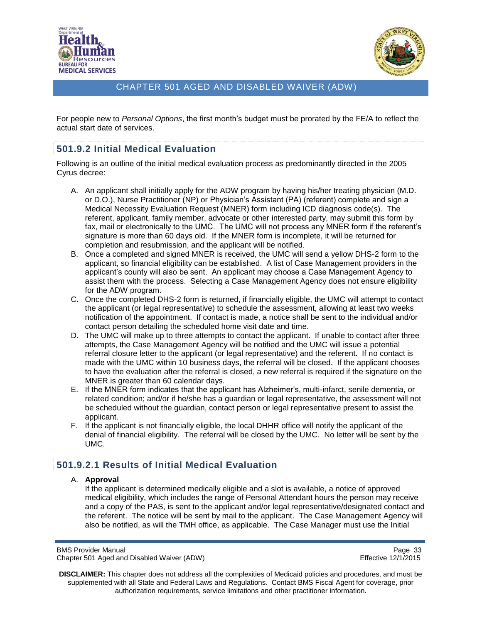



For people new to *Personal Options*, the first month's budget must be prorated by the FE/A to reflect the actual start date of services.

## <span id="page-32-0"></span>**501.9.2 Initial Medical Evaluation**

Following is an outline of the initial medical evaluation process as predominantly directed in the 2005 Cyrus decree:

- A. An applicant shall initially apply for the ADW program by having his/her treating physician (M.D. or D.O.), Nurse Practitioner (NP) or Physician's Assistant (PA) (referent) complete and sign a Medical Necessity Evaluation Request (MNER) form including ICD diagnosis code(s). The referent, applicant, family member, advocate or other interested party, may submit this form by fax, mail or electronically to the UMC. The UMC will not process any MNER form if the referent's signature is more than 60 days old. If the MNER form is incomplete, it will be returned for completion and resubmission, and the applicant will be notified.
- B. Once a completed and signed MNER is received, the UMC will send a yellow DHS-2 form to the applicant, so financial eligibility can be established. A list of Case Management providers in the applicant's county will also be sent. An applicant may choose a Case Management Agency to assist them with the process. Selecting a Case Management Agency does not ensure eligibility for the ADW program.
- C. Once the completed DHS-2 form is returned, if financially eligible, the UMC will attempt to contact the applicant (or legal representative) to schedule the assessment, allowing at least two weeks notification of the appointment. If contact is made, a notice shall be sent to the individual and/or contact person detailing the scheduled home visit date and time.
- D. The UMC will make up to three attempts to contact the applicant. If unable to contact after three attempts, the Case Management Agency will be notified and the UMC will issue a potential referral closure letter to the applicant (or legal representative) and the referent. If no contact is made with the UMC within 10 business days, the referral will be closed. If the applicant chooses to have the evaluation after the referral is closed, a new referral is required if the signature on the MNER is greater than 60 calendar days.
- E. If the MNER form indicates that the applicant has Alzheimer's, multi-infarct, senile dementia, or related condition; and/or if he/she has a guardian or legal representative, the assessment will not be scheduled without the guardian, contact person or legal representative present to assist the applicant.
- F. If the applicant is not financially eligible, the local DHHR office will notify the applicant of the denial of financial eligibility. The referral will be closed by the UMC. No letter will be sent by the UMC.

## <span id="page-32-1"></span>**501.9.2.1 Results of Initial Medical Evaluation**

#### A. **Approval**

If the applicant is determined medically eligible and a slot is available, a notice of approved medical eligibility, which includes the range of Personal Attendant hours the person may receive and a copy of the PAS, is sent to the applicant and/or legal representative/designated contact and the referent. The notice will be sent by mail to the applicant. The Case Management Agency will also be notified, as will the TMH office, as applicable. The Case Manager must use the Initial

BMS Provider Manual Page 33<br>Chapter 501 Aged and Disabled Waiver (ADW) example and the example of the Effective 12/1/2015 Chapter 501 Aged and Disabled Waiver (ADW)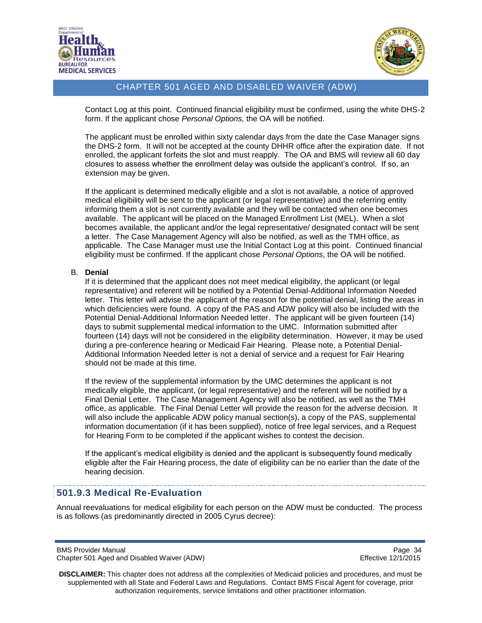



Contact Log at this point. Continued financial eligibility must be confirmed, using the white DHS-2 form. If the applicant chose *Personal Options,* the OA will be notified.

The applicant must be enrolled within sixty calendar days from the date the Case Manager signs the DHS-2 form. It will not be accepted at the county DHHR office after the expiration date. If not enrolled, the applicant forfeits the slot and must reapply. The OA and BMS will review all 60 day closures to assess whether the enrollment delay was outside the applicant's control. If so, an extension may be given.

If the applicant is determined medically eligible and a slot is not available, a notice of approved medical eligibility will be sent to the applicant (or legal representative) and the referring entity informing them a slot is not currently available and they will be contacted when one becomes available. The applicant will be placed on the Managed Enrollment List (MEL). When a slot becomes available, the applicant and/or the legal representative/ designated contact will be sent a letter. The Case Management Agency will also be notified, as well as the TMH office, as applicable. The Case Manager must use the Initial Contact Log at this point. Continued financial eligibility must be confirmed. If the applicant chose *Personal Options*, the OA will be notified.

#### B. **Denial**

If it is determined that the applicant does not meet medical eligibility, the applicant (or legal representative) and referent will be notified by a Potential Denial-Additional Information Needed letter. This letter will advise the applicant of the reason for the potential denial, listing the areas in which deficiencies were found. A copy of the PAS and ADW policy will also be included with the Potential Denial-Additional Information Needed letter. The applicant will be given fourteen (14) days to submit supplemental medical information to the UMC. Information submitted after fourteen (14) days will not be considered in the eligibility determination. However, it may be used during a pre-conference hearing or Medicaid Fair Hearing. Please note, a Potential Denial-Additional Information Needed letter is not a denial of service and a request for Fair Hearing should not be made at this time.

If the review of the supplemental information by the UMC determines the applicant is not medically eligible, the applicant, (or legal representative) and the referent will be notified by a Final Denial Letter. The Case Management Agency will also be notified, as well as the TMH office, as applicable. The Final Denial Letter will provide the reason for the adverse decision. It will also include the applicable ADW policy manual section(s), a copy of the PAS, supplemental information documentation (if it has been supplied), notice of free legal services, and a Request for Hearing Form to be completed if the applicant wishes to contest the decision.

If the applicant's medical eligibility is denied and the applicant is subsequently found medically eligible after the Fair Hearing process, the date of eligibility can be no earlier than the date of the hearing decision.

### <span id="page-33-0"></span>**501.9.3 Medical Re-Evaluation**

Annual reevaluations for medical eligibility for each person on the ADW must be conducted. The process is as follows (as predominantly directed in 2005 Cyrus decree):

BMS Provider Manual Page 34<br>Chapter 501 Aged and Disabled Waiver (ADW) National Page 34 Chapter 501 Aged 20172015 Chapter 501 Aged and Disabled Waiver (ADW)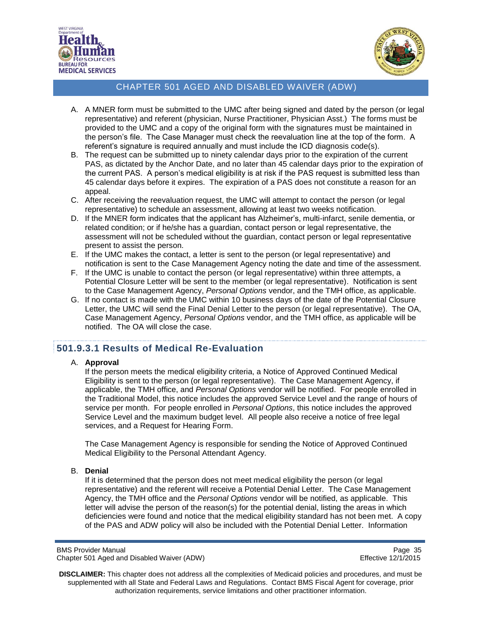



- A. A MNER form must be submitted to the UMC after being signed and dated by the person (or legal representative) and referent (physician, Nurse Practitioner, Physician Asst.) The forms must be provided to the UMC and a copy of the original form with the signatures must be maintained in the person's file. The Case Manager must check the reevaluation line at the top of the form. A referent's signature is required annually and must include the ICD diagnosis code(s).
- B. The request can be submitted up to ninety calendar days prior to the expiration of the current PAS, as dictated by the Anchor Date, and no later than 45 calendar days prior to the expiration of the current PAS. A person's medical eligibility is at risk if the PAS request is submitted less than 45 calendar days before it expires. The expiration of a PAS does not constitute a reason for an appeal.
- C. After receiving the reevaluation request, the UMC will attempt to contact the person (or legal representative) to schedule an assessment, allowing at least two weeks notification.
- D. If the MNER form indicates that the applicant has Alzheimer's, multi-infarct, senile dementia, or related condition; or if he/she has a guardian, contact person or legal representative, the assessment will not be scheduled without the guardian, contact person or legal representative present to assist the person.
- E. If the UMC makes the contact, a letter is sent to the person (or legal representative) and notification is sent to the Case Management Agency noting the date and time of the assessment.
- F. If the UMC is unable to contact the person (or legal representative) within three attempts, a Potential Closure Letter will be sent to the member (or legal representative). Notification is sent to the Case Management Agency, *Personal Options* vendor, and the TMH office, as applicable.
- G. If no contact is made with the UMC within 10 business days of the date of the Potential Closure Letter, the UMC will send the Final Denial Letter to the person (or legal representative). The OA, Case Management Agency, *Personal Options* vendor, and the TMH office, as applicable will be notified. The OA will close the case.

## <span id="page-34-0"></span>**501.9.3.1 Results of Medical Re-Evaluation**

#### A. **Approval**

If the person meets the medical eligibility criteria, a Notice of Approved Continued Medical Eligibility is sent to the person (or legal representative). The Case Management Agency, if applicable, the TMH office, and *Personal Options* vendor will be notified. For people enrolled in the Traditional Model, this notice includes the approved Service Level and the range of hours of service per month. For people enrolled in *Personal Options*, this notice includes the approved Service Level and the maximum budget level. All people also receive a notice of free legal services, and a Request for Hearing Form.

The Case Management Agency is responsible for sending the Notice of Approved Continued Medical Eligibility to the Personal Attendant Agency.

#### B. **Denial**

If it is determined that the person does not meet medical eligibility the person (or legal representative) and the referent will receive a Potential Denial Letter. The Case Management Agency, the TMH office and the *Personal Options* vendor will be notified, as applicable. This letter will advise the person of the reason(s) for the potential denial, listing the areas in which deficiencies were found and notice that the medical eligibility standard has not been met. A copy of the PAS and ADW policy will also be included with the Potential Denial Letter. Information

BMS Provider Manual Page 35<br>Chapter 501 Aged and Disabled Waiver (ADW) example and the example of the Effective 12/1/2015 Chapter 501 Aged and Disabled Waiver (ADW)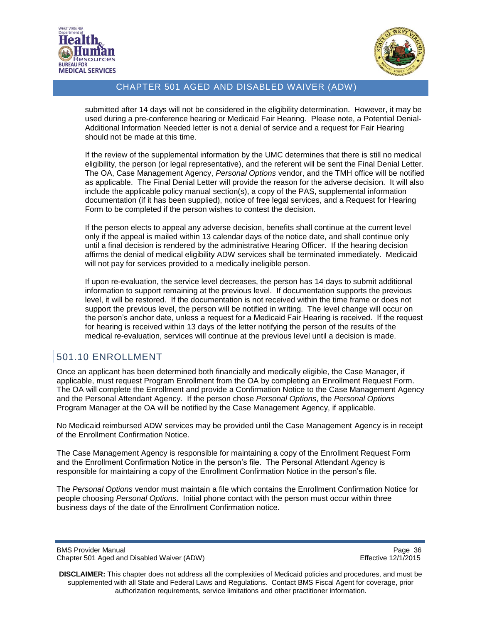



submitted after 14 days will not be considered in the eligibility determination. However, it may be used during a pre-conference hearing or Medicaid Fair Hearing. Please note, a Potential Denial-Additional Information Needed letter is not a denial of service and a request for Fair Hearing should not be made at this time.

If the review of the supplemental information by the UMC determines that there is still no medical eligibility, the person (or legal representative), and the referent will be sent the Final Denial Letter. The OA, Case Management Agency, *Personal Options* vendor, and the TMH office will be notified as applicable. The Final Denial Letter will provide the reason for the adverse decision. It will also include the applicable policy manual section(s), a copy of the PAS, supplemental information documentation (if it has been supplied), notice of free legal services, and a Request for Hearing Form to be completed if the person wishes to contest the decision.

If the person elects to appeal any adverse decision, benefits shall continue at the current level only if the appeal is mailed within 13 calendar days of the notice date, and shall continue only until a final decision is rendered by the administrative Hearing Officer. If the hearing decision affirms the denial of medical eligibility ADW services shall be terminated immediately. Medicaid will not pay for services provided to a medically ineligible person.

If upon re-evaluation, the service level decreases, the person has 14 days to submit additional information to support remaining at the previous level. If documentation supports the previous level, it will be restored. If the documentation is not received within the time frame or does not support the previous level, the person will be notified in writing. The level change will occur on the person's anchor date, unless a request for a Medicaid Fair Hearing is received. If the request for hearing is received within 13 days of the letter notifying the person of the results of the medical re-evaluation, services will continue at the previous level until a decision is made.

## <span id="page-35-0"></span>501.10 ENROLLMENT

Once an applicant has been determined both financially and medically eligible, the Case Manager, if applicable, must request Program Enrollment from the OA by completing an Enrollment Request Form. The OA will complete the Enrollment and provide a Confirmation Notice to the Case Management Agency and the Personal Attendant Agency. If the person chose *Personal Options*, the *Personal Options* Program Manager at the OA will be notified by the Case Management Agency, if applicable.

No Medicaid reimbursed ADW services may be provided until the Case Management Agency is in receipt of the Enrollment Confirmation Notice.

The Case Management Agency is responsible for maintaining a copy of the Enrollment Request Form and the Enrollment Confirmation Notice in the person's file. The Personal Attendant Agency is responsible for maintaining a copy of the Enrollment Confirmation Notice in the person's file.

The *Personal Options* vendor must maintain a file which contains the Enrollment Confirmation Notice for people choosing *Personal Options*. Initial phone contact with the person must occur within three business days of the date of the Enrollment Confirmation notice.

BMS Provider Manual **Page 36** Chapter 501 Aged and Disabled Waiver (ADW) **Effective 12/1/2015**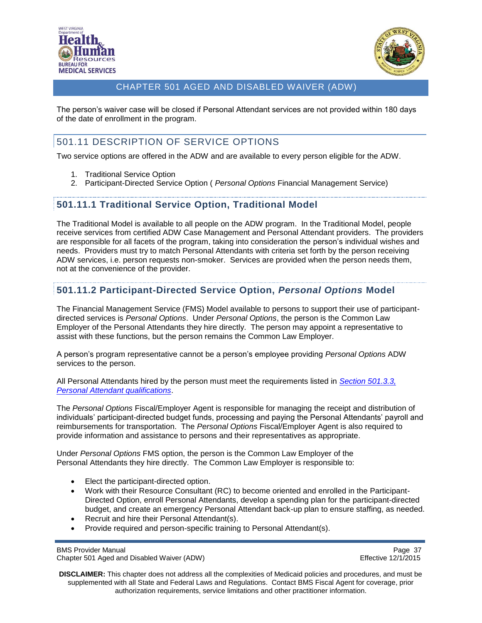



The person's waiver case will be closed if Personal Attendant services are not provided within 180 days of the date of enrollment in the program.

# <span id="page-36-0"></span>501.11 DESCRIPTION OF SERVICE OPTIONS

Two service options are offered in the ADW and are available to every person eligible for the ADW.

- 1. Traditional Service Option
- 2. Participant-Directed Service Option ( *Personal Options* Financial Management Service)

### <span id="page-36-1"></span>**501.11.1 Traditional Service Option, Traditional Model**

The Traditional Model is available to all people on the ADW program. In the Traditional Model, people receive services from certified ADW Case Management and Personal Attendant providers. The providers are responsible for all facets of the program, taking into consideration the person's individual wishes and needs. Providers must try to match Personal Attendants with criteria set forth by the person receiving ADW services, i.e. person requests non-smoker. Services are provided when the person needs them, not at the convenience of the provider.

## <span id="page-36-2"></span>**501.11.2 Participant-Directed Service Option,** *Personal Options* **Model**

The Financial Management Service (FMS) Model available to persons to support their use of participantdirected services is *Personal Options*. Under *Personal Options*, the person is the Common Law Employer of the Personal Attendants they hire directly. The person may appoint a representative to assist with these functions, but the person remains the Common Law Employer.

A person's program representative cannot be a person's employee providing *Personal Options* ADW services to the person.

All Personal Attendants hired by the person must meet the requirements listed in *[Section 501.3.3,](#page-22-0)  [Personal Attendant qualifications](#page-22-0)*.

The *Personal Options* Fiscal/Employer Agent is responsible for managing the receipt and distribution of individuals' participant-directed budget funds, processing and paying the Personal Attendants' payroll and reimbursements for transportation. The *Personal Options* Fiscal/Employer Agent is also required to provide information and assistance to persons and their representatives as appropriate.

Under *Personal Options* FMS option, the person is the Common Law Employer of the Personal Attendants they hire directly. The Common Law Employer is responsible to:

- Elect the participant-directed option.
- Work with their Resource Consultant (RC) to become oriented and enrolled in the Participant-Directed Option, enroll Personal Attendants, develop a spending plan for the participant-directed budget, and create an emergency Personal Attendant back-up plan to ensure staffing, as needed.
- Recruit and hire their Personal Attendant(s).
- Provide required and person-specific training to Personal Attendant(s).

BMS Provider Manual Page 37<br>Chapter 501 Aged and Disabled Waiver (ADW) example a series of the effective 12/1/2015 Chapter 501 Aged and Disabled Waiver (ADW)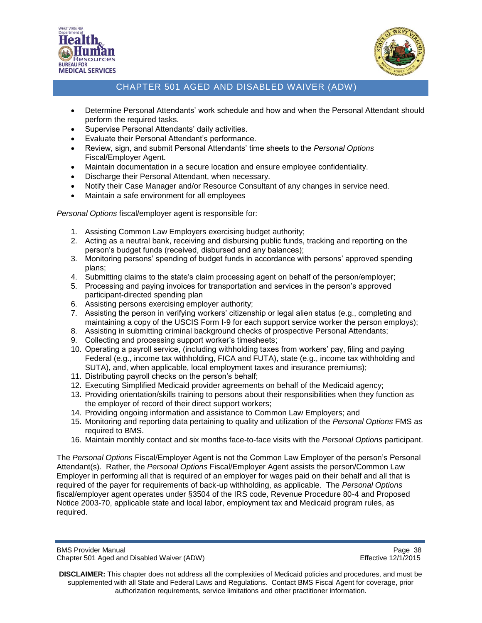



- Determine Personal Attendants' work schedule and how and when the Personal Attendant should perform the required tasks.
- Supervise Personal Attendants' daily activities.
- Evaluate their Personal Attendant's performance.
- Review, sign, and submit Personal Attendants' time sheets to the *Personal Options* Fiscal/Employer Agent.
- Maintain documentation in a secure location and ensure employee confidentiality.
- Discharge their Personal Attendant, when necessary.
- Notify their Case Manager and/or Resource Consultant of any changes in service need.
- Maintain a safe environment for all employees

*Personal Options* fiscal/employer agent is responsible for:

- 1. Assisting Common Law Employers exercising budget authority;
- 2. Acting as a neutral bank, receiving and disbursing public funds, tracking and reporting on the person's budget funds (received, disbursed and any balances);
- 3. Monitoring persons' spending of budget funds in accordance with persons' approved spending plans;
- 4. Submitting claims to the state's claim processing agent on behalf of the person/employer;
- 5. Processing and paying invoices for transportation and services in the person's approved participant-directed spending plan
- 6. Assisting persons exercising employer authority;
- 7. Assisting the person in verifying workers' citizenship or legal alien status (e.g., completing and maintaining a copy of the USCIS Form I-9 for each support service worker the person employs);
- 8. Assisting in submitting criminal background checks of prospective Personal Attendants;
- 9. Collecting and processing support worker's timesheets;
- 10. Operating a payroll service, (including withholding taxes from workers' pay, filing and paying Federal (e.g., income tax withholding, FICA and FUTA), state (e.g., income tax withholding and SUTA), and, when applicable, local employment taxes and insurance premiums);
- 11. Distributing payroll checks on the person's behalf;
- 12. Executing Simplified Medicaid provider agreements on behalf of the Medicaid agency;
- 13. Providing orientation/skills training to persons about their responsibilities when they function as the employer of record of their direct support workers;
- 14. Providing ongoing information and assistance to Common Law Employers; and
- 15. Monitoring and reporting data pertaining to quality and utilization of the *Personal Options* FMS as required to BMS.
- 16. Maintain monthly contact and six months face-to-face visits with the *Personal Options* participant.

The *Personal Options* Fiscal/Employer Agent is not the Common Law Employer of the person's Personal Attendant(s). Rather, the *Personal Options* Fiscal/Employer Agent assists the person/Common Law Employer in performing all that is required of an employer for wages paid on their behalf and all that is required of the payer for requirements of back-up withholding, as applicable. The *Personal Options* fiscal/employer agent operates under §3504 of the IRS code, Revenue Procedure 80-4 and Proposed Notice 2003-70, applicable state and local labor, employment tax and Medicaid program rules, as required.

BMS Provider Manual Page 38<br>Chapter 501 Aged and Disabled Waiver (ADW) National Page 38 Chapter 501 Aged 2/1/2015 Chapter 501 Aged and Disabled Waiver (ADW)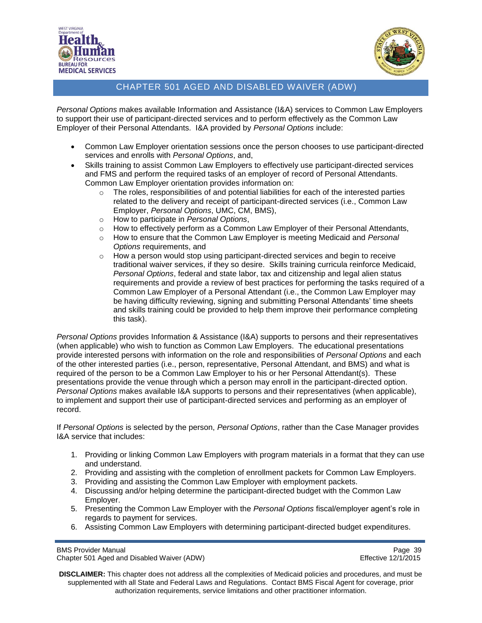



*Personal Options* makes available Information and Assistance (I&A) services to Common Law Employers to support their use of participant-directed services and to perform effectively as the Common Law Employer of their Personal Attendants. I&A provided by *Personal Options* include:

- Common Law Employer orientation sessions once the person chooses to use participant-directed services and enrolls with *Personal Options*, and,
- Skills training to assist Common Law Employers to effectively use participant-directed services and FMS and perform the required tasks of an employer of record of Personal Attendants. Common Law Employer orientation provides information on:
	- $\circ$  The roles, responsibilities of and potential liabilities for each of the interested parties related to the delivery and receipt of participant-directed services (i.e., Common Law Employer, *Personal Options*, UMC, CM, BMS),
	- o How to participate in *Personal Options*,
	- $\circ$  How to effectively perform as a Common Law Employer of their Personal Attendants,
	- o How to ensure that the Common Law Employer is meeting Medicaid and *Personal Options* requirements, and
	- o How a person would stop using participant-directed services and begin to receive traditional waiver services, if they so desire. Skills training curricula reinforce Medicaid, *Personal Options*, federal and state labor, tax and citizenship and legal alien status requirements and provide a review of best practices for performing the tasks required of a Common Law Employer of a Personal Attendant (i.e., the Common Law Employer may be having difficulty reviewing, signing and submitting Personal Attendants' time sheets and skills training could be provided to help them improve their performance completing this task).

*Personal Options* provides Information & Assistance (I&A) supports to persons and their representatives (when applicable) who wish to function as Common Law Employers. The educational presentations provide interested persons with information on the role and responsibilities of *Personal Options* and each of the other interested parties (i.e., person, representative, Personal Attendant, and BMS) and what is required of the person to be a Common Law Employer to his or her Personal Attendant(s). These presentations provide the venue through which a person may enroll in the participant-directed option. *Personal Options* makes available I&A supports to persons and their representatives (when applicable), to implement and support their use of participant-directed services and performing as an employer of record.

If *Personal Options* is selected by the person, *Personal Options*, rather than the Case Manager provides I&A service that includes:

- 1. Providing or linking Common Law Employers with program materials in a format that they can use and understand.
- 2. Providing and assisting with the completion of enrollment packets for Common Law Employers.
- 3. Providing and assisting the Common Law Employer with employment packets.
- 4. Discussing and/or helping determine the participant-directed budget with the Common Law Employer.
- 5. Presenting the Common Law Employer with the *Personal Options* fiscal/employer agent's role in regards to payment for services.
- 6. Assisting Common Law Employers with determining participant-directed budget expenditures.

BMS Provider Manual Page 39<br>Chapter 501 Aged and Disabled Waiver (ADW) National Page 39 Reflective 12/1/2015 Chapter 501 Aged and Disabled Waiver (ADW)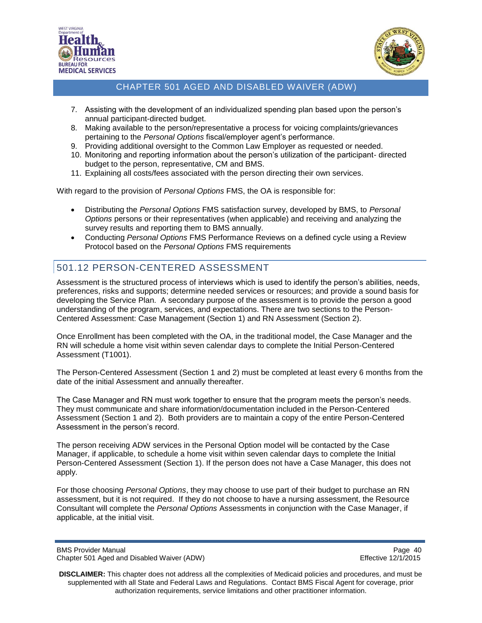



- 7. Assisting with the development of an individualized spending plan based upon the person's annual participant-directed budget.
- 8. Making available to the person/representative a process for voicing complaints/grievances pertaining to the *Personal Options* fiscal/employer agent's performance.
- 9. Providing additional oversight to the Common Law Employer as requested or needed.
- 10. Monitoring and reporting information about the person's utilization of the participant- directed budget to the person, representative, CM and BMS.
- 11. Explaining all costs/fees associated with the person directing their own services.

With regard to the provision of *Personal Options* FMS, the OA is responsible for:

- Distributing the *Personal Options* FMS satisfaction survey, developed by BMS, to *Personal Options* persons or their representatives (when applicable) and receiving and analyzing the survey results and reporting them to BMS annually.
- Conducting *Personal Options* FMS Performance Reviews on a defined cycle using a Review Protocol based on the *Personal Options* FMS requirements

# <span id="page-39-0"></span>501.12 PERSON-CENTERED ASSESSMENT

Assessment is the structured process of interviews which is used to identify the person's abilities, needs, preferences, risks and supports; determine needed services or resources; and provide a sound basis for developing the Service Plan. A secondary purpose of the assessment is to provide the person a good understanding of the program, services, and expectations. There are two sections to the Person-Centered Assessment: Case Management (Section 1) and RN Assessment (Section 2).

Once Enrollment has been completed with the OA, in the traditional model, the Case Manager and the RN will schedule a home visit within seven calendar days to complete the Initial Person-Centered Assessment (T1001).

The Person-Centered Assessment (Section 1 and 2) must be completed at least every 6 months from the date of the initial Assessment and annually thereafter.

The Case Manager and RN must work together to ensure that the program meets the person's needs. They must communicate and share information/documentation included in the Person-Centered Assessment (Section 1 and 2). Both providers are to maintain a copy of the entire Person-Centered Assessment in the person's record.

The person receiving ADW services in the Personal Option model will be contacted by the Case Manager, if applicable, to schedule a home visit within seven calendar days to complete the Initial Person-Centered Assessment (Section 1). If the person does not have a Case Manager, this does not apply.

For those choosing *Personal Options*, they may choose to use part of their budget to purchase an RN assessment, but it is not required. If they do not choose to have a nursing assessment, the Resource Consultant will complete the *Personal Options* Assessments in conjunction with the Case Manager, if applicable, at the initial visit.

BMS Provider Manual Page 40<br>Chapter 501 Aged and Disabled Waiver (ADW) example and the example of the Effective 12/1/2015 Chapter 501 Aged and Disabled Waiver (ADW)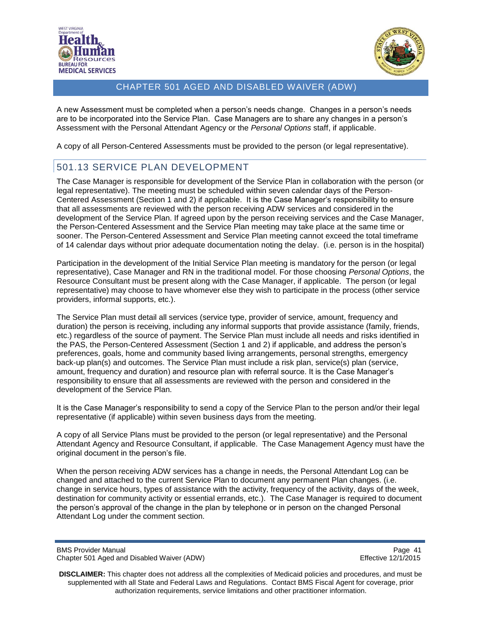



A new Assessment must be completed when a person's needs change. Changes in a person's needs are to be incorporated into the Service Plan. Case Managers are to share any changes in a person's Assessment with the Personal Attendant Agency or the *Personal Options* staff, if applicable.

A copy of all Person-Centered Assessments must be provided to the person (or legal representative).

# <span id="page-40-0"></span>501.13 SERVICE PLAN DEVELOPMENT

The Case Manager is responsible for development of the Service Plan in collaboration with the person (or legal representative). The meeting must be scheduled within seven calendar days of the Person-Centered Assessment (Section 1 and 2) if applicable. It is the Case Manager's responsibility to ensure that all assessments are reviewed with the person receiving ADW services and considered in the development of the Service Plan. If agreed upon by the person receiving services and the Case Manager, the Person-Centered Assessment and the Service Plan meeting may take place at the same time or sooner. The Person-Centered Assessment and Service Plan meeting cannot exceed the total timeframe of 14 calendar days without prior adequate documentation noting the delay. (i.e. person is in the hospital)

Participation in the development of the Initial Service Plan meeting is mandatory for the person (or legal representative), Case Manager and RN in the traditional model. For those choosing *Personal Options*, the Resource Consultant must be present along with the Case Manager, if applicable. The person (or legal representative) may choose to have whomever else they wish to participate in the process (other service providers, informal supports, etc.).

The Service Plan must detail all services (service type, provider of service, amount, frequency and duration) the person is receiving, including any informal supports that provide assistance (family, friends, etc.) regardless of the source of payment. The Service Plan must include all needs and risks identified in the PAS, the Person-Centered Assessment (Section 1 and 2) if applicable, and address the person's preferences, goals, home and community based living arrangements, personal strengths, emergency back-up plan(s) and outcomes. The Service Plan must include a risk plan, service(s) plan (service, amount, frequency and duration) and resource plan with referral source. It is the Case Manager's responsibility to ensure that all assessments are reviewed with the person and considered in the development of the Service Plan.

It is the Case Manager's responsibility to send a copy of the Service Plan to the person and/or their legal representative (if applicable) within seven business days from the meeting.

A copy of all Service Plans must be provided to the person (or legal representative) and the Personal Attendant Agency and Resource Consultant, if applicable. The Case Management Agency must have the original document in the person's file.

When the person receiving ADW services has a change in needs, the Personal Attendant Log can be changed and attached to the current Service Plan to document any permanent Plan changes. (i.e. change in service hours, types of assistance with the activity, frequency of the activity, days of the week, destination for community activity or essential errands, etc.). The Case Manager is required to document the person's approval of the change in the plan by telephone or in person on the changed Personal Attendant Log under the comment section.

BMS Provider Manual Page 41<br>Chapter 501 Aged and Disabled Waiver (ADW) National Page 41 Chapter 501 Aged 2/1/2015 Chapter 501 Aged and Disabled Waiver (ADW)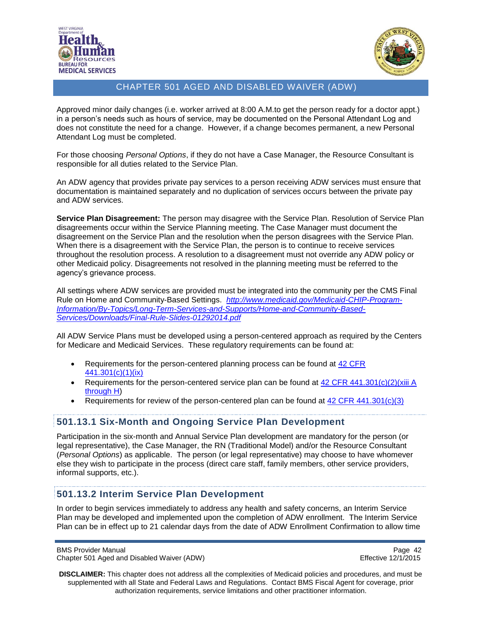



Approved minor daily changes (i.e. worker arrived at 8:00 A.M.to get the person ready for a doctor appt.) in a person's needs such as hours of service, may be documented on the Personal Attendant Log and does not constitute the need for a change. However, if a change becomes permanent, a new Personal Attendant Log must be completed.

For those choosing *Personal Options*, if they do not have a Case Manager, the Resource Consultant is responsible for all duties related to the Service Plan.

An ADW agency that provides private pay services to a person receiving ADW services must ensure that documentation is maintained separately and no duplication of services occurs between the private pay and ADW services.

**Service Plan Disagreement:** The person may disagree with the Service Plan. Resolution of Service Plan disagreements occur within the Service Planning meeting. The Case Manager must document the disagreement on the Service Plan and the resolution when the person disagrees with the Service Plan. When there is a disagreement with the Service Plan, the person is to continue to receive services throughout the resolution process. A resolution to a disagreement must not override any ADW policy or other Medicaid policy. Disagreements not resolved in the planning meeting must be referred to the agency's grievance process.

All settings where ADW services are provided must be integrated into the community per the CMS Final Rule on Home and Community-Based Settings. *[http://www.medicaid.gov/Medicaid-CHIP-Program-](http://www.medicaid.gov/Medicaid-CHIP-Program-Information/By-Topics/Long-Term-Services-and-Supports/Home-and-Community-Based-Services/Downloads/Final-Rule-Slides-01292014.pdf)[Information/By-Topics/Long-Term-Services-and-Supports/Home-and-Community-Based-](http://www.medicaid.gov/Medicaid-CHIP-Program-Information/By-Topics/Long-Term-Services-and-Supports/Home-and-Community-Based-Services/Downloads/Final-Rule-Slides-01292014.pdf)[Services/Downloads/Final-Rule-Slides-01292014.pdf](http://www.medicaid.gov/Medicaid-CHIP-Program-Information/By-Topics/Long-Term-Services-and-Supports/Home-and-Community-Based-Services/Downloads/Final-Rule-Slides-01292014.pdf)*

All ADW Service Plans must be developed using a person-centered approach as required by the Centers for Medicare and Medicaid Services. These regulatory requirements can be found at:

- Requirements for the person-centered planning process can be found at 42 CFR [441.301\(c\)\(1\)\(ix\)](http://www.ecfr.gov/cgi-bin/text-idx?node=se42.4.441_1301&rgn=div8)
- **•** Requirements for the person-centered service plan can be found at  $42$  CFR  $441.301(c)(2)(xiii)$  A [through H\)](http://www.ecfr.gov/cgi-bin/text-idx?node=se42.4.441_1301&rgn=div8)
- Requirements for review of the person-centered plan can be found at [42 CFR 441.301\(c\)\(3\)](http://www.ecfr.gov/cgi-bin/text-idx?node=se42.4.441_1301&rgn=div8)

### <span id="page-41-0"></span>**501.13.1 Six-Month and Ongoing Service Plan Development**

Participation in the six-month and Annual Service Plan development are mandatory for the person (or legal representative), the Case Manager, the RN (Traditional Model) and/or the Resource Consultant (*Personal Options*) as applicable. The person (or legal representative) may choose to have whomever else they wish to participate in the process (direct care staff, family members, other service providers, informal supports, etc.).

#### <span id="page-41-1"></span>**501.13.2 Interim Service Plan Development**

In order to begin services immediately to address any health and safety concerns, an Interim Service Plan may be developed and implemented upon the completion of ADW enrollment. The Interim Service Plan can be in effect up to 21 calendar days from the date of ADW Enrollment Confirmation to allow time

BMS Provider Manual Page 42<br>Chapter 501 Aged and Disabled Waiver (ADW) example a series of the effective 12/1/2015 Chapter 501 Aged and Disabled Waiver (ADW)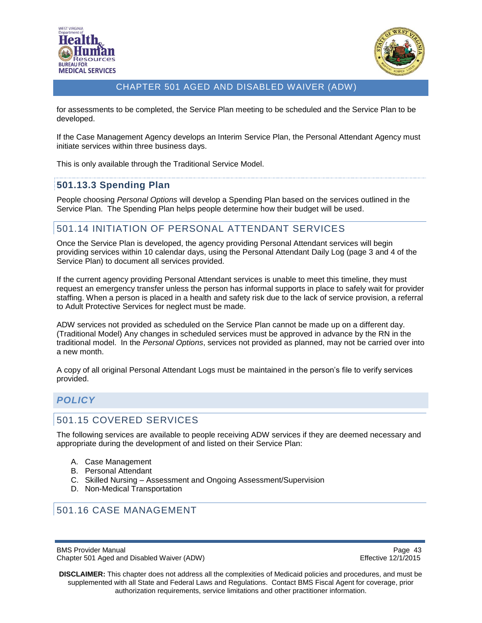



for assessments to be completed, the Service Plan meeting to be scheduled and the Service Plan to be developed.

If the Case Management Agency develops an Interim Service Plan, the Personal Attendant Agency must initiate services within three business days.

This is only available through the Traditional Service Model.

### <span id="page-42-0"></span>**501.13.3 Spending Plan**

People choosing *Personal Options* will develop a Spending Plan based on the services outlined in the Service Plan. The Spending Plan helps people determine how their budget will be used.

## <span id="page-42-1"></span>501.14 INITIATION OF PERSONAL ATTENDANT SERVICES

Once the Service Plan is developed, the agency providing Personal Attendant services will begin providing services within 10 calendar days, using the Personal Attendant Daily Log (page 3 and 4 of the Service Plan) to document all services provided.

If the current agency providing Personal Attendant services is unable to meet this timeline, they must request an emergency transfer unless the person has informal supports in place to safely wait for provider staffing. When a person is placed in a health and safety risk due to the lack of service provision, a referral to Adult Protective Services for neglect must be made.

ADW services not provided as scheduled on the Service Plan cannot be made up on a different day. (Traditional Model) Any changes in scheduled services must be approved in advance by the RN in the traditional model. In the *Personal Options*, services not provided as planned, may not be carried over into a new month.

A copy of all original Personal Attendant Logs must be maintained in the person's file to verify services provided.

## <span id="page-42-2"></span>*POLICY*

### <span id="page-42-3"></span>501.15 COVERED SERVICES

The following services are available to people receiving ADW services if they are deemed necessary and appropriate during the development of and listed on their Service Plan:

- A. Case Management
- B. Personal Attendant
- C. Skilled Nursing Assessment and Ongoing Assessment/Supervision
- D. Non-Medical Transportation

## <span id="page-42-4"></span>501.16 CASE MANAGEMENT

BMS Provider Manual Page 43<br>Chapter 501 Aged and Disabled Waiver (ADW) example a series of the effective 12/1/2015 Chapter 501 Aged and Disabled Waiver (ADW)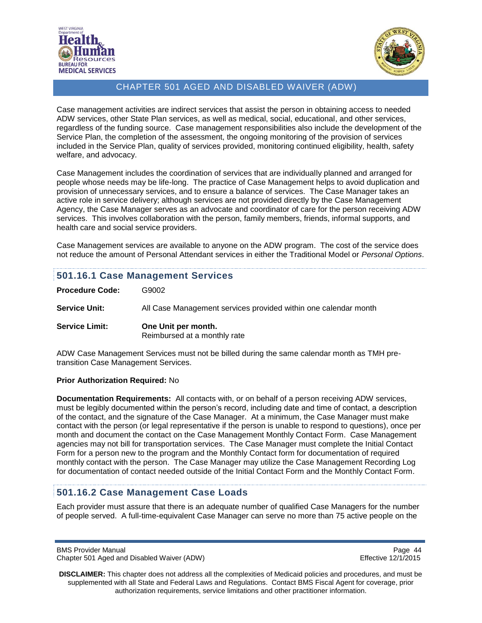



Case management activities are indirect services that assist the person in obtaining access to needed ADW services, other State Plan services, as well as medical, social, educational, and other services, regardless of the funding source. Case management responsibilities also include the development of the Service Plan, the completion of the assessment, the ongoing monitoring of the provision of services included in the Service Plan, quality of services provided, monitoring continued eligibility, health, safety welfare, and advocacy.

Case Management includes the coordination of services that are individually planned and arranged for people whose needs may be life-long. The practice of Case Management helps to avoid duplication and provision of unnecessary services, and to ensure a balance of services. The Case Manager takes an active role in service delivery; although services are not provided directly by the Case Management Agency, the Case Manager serves as an advocate and coordinator of care for the person receiving ADW services. This involves collaboration with the person, family members, friends, informal supports, and health care and social service providers.

Case Management services are available to anyone on the ADW program. The cost of the service does not reduce the amount of Personal Attendant services in either the Traditional Model or *Personal Options*.

### <span id="page-43-0"></span>**501.16.1 Case Management Services**

| <b>Procedure Code:</b> | G9002                                                           |
|------------------------|-----------------------------------------------------------------|
| <b>Service Unit:</b>   | All Case Management services provided within one calendar month |
| <b>Service Limit:</b>  | One Unit per month.<br>Reimbursed at a monthly rate             |

ADW Case Management Services must not be billed during the same calendar month as TMH pretransition Case Management Services.

#### **Prior Authorization Required:** No

**Documentation Requirements:** All contacts with, or on behalf of a person receiving ADW services, must be legibly documented within the person's record, including date and time of contact, a description of the contact, and the signature of the Case Manager. At a minimum, the Case Manager must make contact with the person (or legal representative if the person is unable to respond to questions), once per month and document the contact on the Case Management Monthly Contact Form. Case Management agencies may not bill for transportation services. The Case Manager must complete the Initial Contact Form for a person new to the program and the Monthly Contact form for documentation of required monthly contact with the person. The Case Manager may utilize the Case Management Recording Log for documentation of contact needed outside of the Initial Contact Form and the Monthly Contact Form.

### <span id="page-43-1"></span>**501.16.2 Case Management Case Loads**

Each provider must assure that there is an adequate number of qualified Case Managers for the number of people served. A full-time-equivalent Case Manager can serve no more than 75 active people on the

BMS Provider Manual Page 44<br>Chapter 501 Aged and Disabled Waiver (ADW) example a series of the effective 12/1/2015 Chapter 501 Aged and Disabled Waiver (ADW)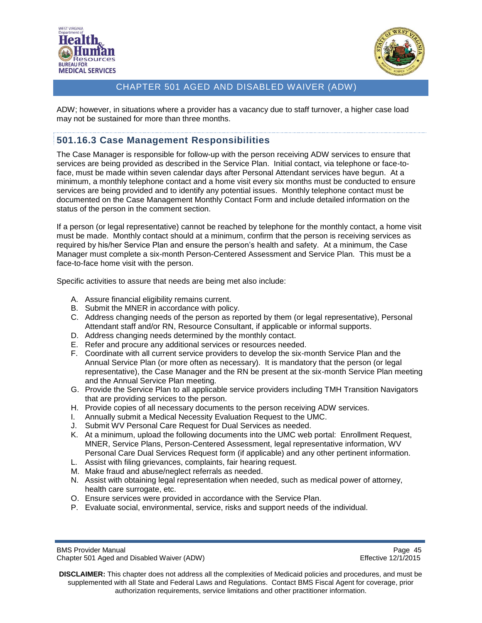



ADW; however, in situations where a provider has a vacancy due to staff turnover, a higher case load may not be sustained for more than three months.

## <span id="page-44-0"></span>**501.16.3 Case Management Responsibilities**

The Case Manager is responsible for follow-up with the person receiving ADW services to ensure that services are being provided as described in the Service Plan. Initial contact, via telephone or face-toface, must be made within seven calendar days after Personal Attendant services have begun. At a minimum, a monthly telephone contact and a home visit every six months must be conducted to ensure services are being provided and to identify any potential issues. Monthly telephone contact must be documented on the Case Management Monthly Contact Form and include detailed information on the status of the person in the comment section.

If a person (or legal representative) cannot be reached by telephone for the monthly contact, a home visit must be made. Monthly contact should at a minimum, confirm that the person is receiving services as required by his/her Service Plan and ensure the person's health and safety. At a minimum, the Case Manager must complete a six-month Person-Centered Assessment and Service Plan. This must be a face-to-face home visit with the person.

Specific activities to assure that needs are being met also include:

- A. Assure financial eligibility remains current.
- B. Submit the MNER in accordance with policy.
- C. Address changing needs of the person as reported by them (or legal representative), Personal Attendant staff and/or RN, Resource Consultant, if applicable or informal supports.
- D. Address changing needs determined by the monthly contact.
- E. Refer and procure any additional services or resources needed.
- F. Coordinate with all current service providers to develop the six-month Service Plan and the Annual Service Plan (or more often as necessary). It is mandatory that the person (or legal representative), the Case Manager and the RN be present at the six-month Service Plan meeting and the Annual Service Plan meeting.
- G. Provide the Service Plan to all applicable service providers including TMH Transition Navigators that are providing services to the person.
- H. Provide copies of all necessary documents to the person receiving ADW services.
- I. Annually submit a Medical Necessity Evaluation Request to the UMC.
- J. Submit WV Personal Care Request for Dual Services as needed.
- K. At a minimum, upload the following documents into the UMC web portal: Enrollment Request, MNER, Service Plans, Person-Centered Assessment, legal representative information, WV Personal Care Dual Services Request form (if applicable) and any other pertinent information.
- L. Assist with filing grievances, complaints, fair hearing request.
- M. Make fraud and abuse/neglect referrals as needed.
- N. Assist with obtaining legal representation when needed, such as medical power of attorney, health care surrogate, etc.
- O. Ensure services were provided in accordance with the Service Plan.
- P. Evaluate social, environmental, service, risks and support needs of the individual.

**DISCLAIMER:** This chapter does not address all the complexities of Medicaid policies and procedures, and must be supplemented with all State and Federal Laws and Regulations. Contact BMS Fiscal Agent for coverage, prior authorization requirements, service limitations and other practitioner information.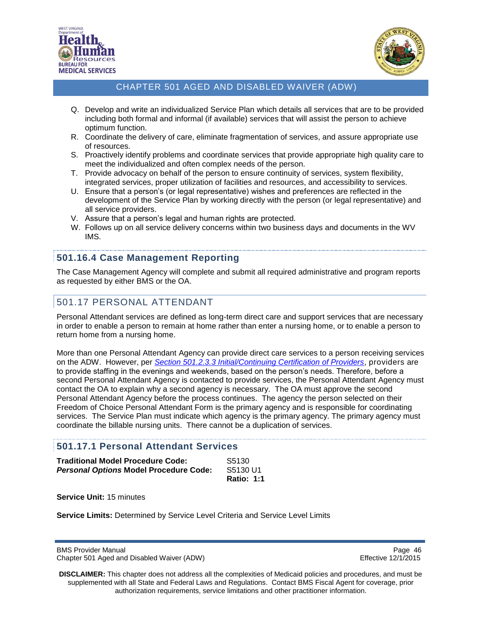



- Q. Develop and write an individualized Service Plan which details all services that are to be provided including both formal and informal (if available) services that will assist the person to achieve optimum function.
- R. Coordinate the delivery of care, eliminate fragmentation of services, and assure appropriate use of resources.
- S. Proactively identify problems and coordinate services that provide appropriate high quality care to meet the individualized and often complex needs of the person.
- T. Provide advocacy on behalf of the person to ensure continuity of services, system flexibility, integrated services, proper utilization of facilities and resources, and accessibility to services.
- U. Ensure that a person's (or legal representative) wishes and preferences are reflected in the development of the Service Plan by working directly with the person (or legal representative) and all service providers.
- V. Assure that a person's legal and human rights are protected.
- W. Follows up on all service delivery concerns within two business days and documents in the WV IMS.

## <span id="page-45-0"></span>**501.16.4 Case Management Reporting**

The Case Management Agency will complete and submit all required administrative and program reports as requested by either BMS or the OA.

## <span id="page-45-1"></span>501.17 PERSONAL ATTENDANT

Personal Attendant services are defined as long-term direct care and support services that are necessary in order to enable a person to remain at home rather than enter a nursing home, or to enable a person to return home from a nursing home.

More than one Personal Attendant Agency can provide direct care services to a person receiving services on the ADW. However, per *Section 501.2.3.3 [Initial/Continuing Certification of Providers](#page-17-0)*, providers are to provide staffing in the evenings and weekends, based on the person's needs. Therefore, before a second Personal Attendant Agency is contacted to provide services, the Personal Attendant Agency must contact the OA to explain why a second agency is necessary. The OA must approve the second Personal Attendant Agency before the process continues. The agency the person selected on their Freedom of Choice Personal Attendant Form is the primary agency and is responsible for coordinating services. The Service Plan must indicate which agency is the primary agency. The primary agency must coordinate the billable nursing units. There cannot be a duplication of services.

## <span id="page-45-2"></span>**501.17.1 Personal Attendant Services**

| <b>Traditional Model Procedure Code:</b>      | S5130             |
|-----------------------------------------------|-------------------|
| <b>Personal Options Model Procedure Code:</b> | S5130 U1          |
|                                               | <b>Ratio: 1:1</b> |

**Service Unit:** 15 minutes

**Service Limits:** Determined by Service Level Criteria and Service Level Limits

BMS Provider Manual Page 46<br>Chapter 501 Aged and Disabled Waiver (ADW) example and the example of the Effective 12/1/2015 Chapter 501 Aged and Disabled Waiver (ADW)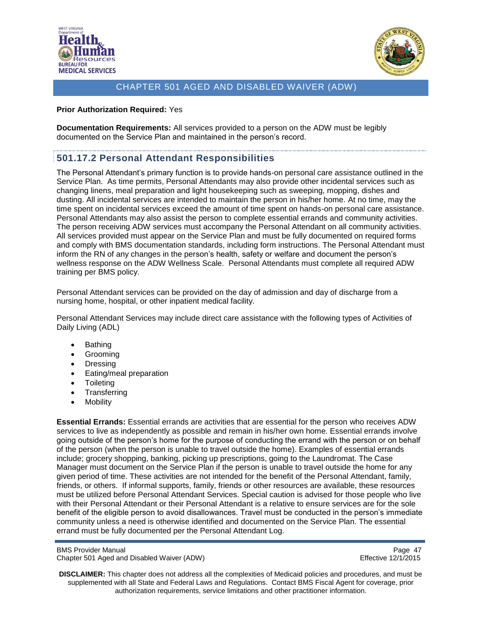



#### **Prior Authorization Required:** Yes

**Documentation Requirements:** All services provided to a person on the ADW must be legibly documented on the Service Plan and maintained in the person's record.

## <span id="page-46-0"></span>**501.17.2 Personal Attendant Responsibilities**

The Personal Attendant's primary function is to provide hands-on personal care assistance outlined in the Service Plan. As time permits, Personal Attendants may also provide other incidental services such as changing linens, meal preparation and light housekeeping such as sweeping, mopping, dishes and dusting. All incidental services are intended to maintain the person in his/her home. At no time, may the time spent on incidental services exceed the amount of time spent on hands-on personal care assistance. Personal Attendants may also assist the person to complete essential errands and community activities. The person receiving ADW services must accompany the Personal Attendant on all community activities. All services provided must appear on the Service Plan and must be fully documented on required forms and comply with BMS documentation standards, including form instructions. The Personal Attendant must inform the RN of any changes in the person's health, safety or welfare and document the person's wellness response on the ADW Wellness Scale. Personal Attendants must complete all required ADW training per BMS policy.

Personal Attendant services can be provided on the day of admission and day of discharge from a nursing home, hospital, or other inpatient medical facility.

Personal Attendant Services may include direct care assistance with the following types of Activities of Daily Living (ADL)

- Bathing
- Grooming
- Dressing
- Eating/meal preparation
- Toileting
- Transferring
- Mobility

**Essential Errands:** Essential errands are activities that are essential for the person who receives ADW services to live as independently as possible and remain in his/her own home. Essential errands involve going outside of the person's home for the purpose of conducting the errand with the person or on behalf of the person (when the person is unable to travel outside the home). Examples of essential errands include; grocery shopping, banking, picking up prescriptions, going to the Laundromat. The Case Manager must document on the Service Plan if the person is unable to travel outside the home for any given period of time. These activities are not intended for the benefit of the Personal Attendant, family, friends, or others. If informal supports, family, friends or other resources are available, these resources must be utilized before Personal Attendant Services. Special caution is advised for those people who live with their Personal Attendant or their Personal Attendant is a relative to ensure services are for the sole benefit of the eligible person to avoid disallowances. Travel must be conducted in the person's immediate community unless a need is otherwise identified and documented on the Service Plan. The essential errand must be fully documented per the Personal Attendant Log.

BMS Provider Manual Page 47<br>Chapter 501 Aged and Disabled Waiver (ADW) example a series of the effective 12/1/2015 Chapter 501 Aged and Disabled Waiver (ADW)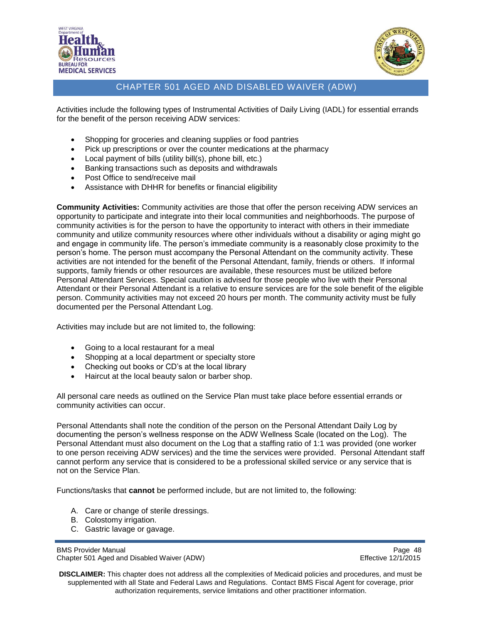



Activities include the following types of Instrumental Activities of Daily Living (IADL) for essential errands for the benefit of the person receiving ADW services:

- Shopping for groceries and cleaning supplies or food pantries
- Pick up prescriptions or over the counter medications at the pharmacy
- Local payment of bills (utility bill(s), phone bill, etc.)
- Banking transactions such as deposits and withdrawals
- Post Office to send/receive mail
- Assistance with DHHR for benefits or financial eligibility

**Community Activities:** Community activities are those that offer the person receiving ADW services an opportunity to participate and integrate into their local communities and neighborhoods. The purpose of community activities is for the person to have the opportunity to interact with others in their immediate community and utilize community resources where other individuals without a disability or aging might go and engage in community life. The person's immediate community is a reasonably close proximity to the person's home. The person must accompany the Personal Attendant on the community activity. These activities are not intended for the benefit of the Personal Attendant, family, friends or others. If informal supports, family friends or other resources are available, these resources must be utilized before Personal Attendant Services. Special caution is advised for those people who live with their Personal Attendant or their Personal Attendant is a relative to ensure services are for the sole benefit of the eligible person. Community activities may not exceed 20 hours per month. The community activity must be fully documented per the Personal Attendant Log.

Activities may include but are not limited to, the following:

- Going to a local restaurant for a meal
- Shopping at a local department or specialty store
- Checking out books or CD's at the local library
- Haircut at the local beauty salon or barber shop.

All personal care needs as outlined on the Service Plan must take place before essential errands or community activities can occur.

Personal Attendants shall note the condition of the person on the Personal Attendant Daily Log by documenting the person's wellness response on the ADW Wellness Scale (located on the Log). The Personal Attendant must also document on the Log that a staffing ratio of 1:1 was provided (one worker to one person receiving ADW services) and the time the services were provided. Personal Attendant staff cannot perform any service that is considered to be a professional skilled service or any service that is not on the Service Plan.

Functions/tasks that **cannot** be performed include, but are not limited to, the following:

- A. Care or change of sterile dressings.
- B. Colostomy irrigation.
- C. Gastric lavage or gavage.

```
BMS Provider Manual Page 48<br>Chapter 501 Aged and Disabled Waiver (ADW) example a series of the effective 12/1/2015
Chapter 501 Aged and Disabled Waiver (ADW)
```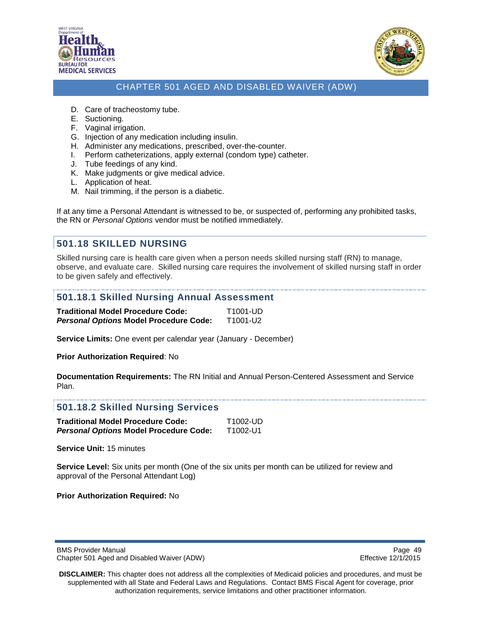



- D. Care of tracheostomy tube.
- E. Suctioning.
- F. Vaginal irrigation.
- G. Injection of any medication including insulin.
- H. Administer any medications, prescribed, over-the-counter.
- I. Perform catheterizations, apply external (condom type) catheter.
- J. Tube feedings of any kind.
- K. Make judgments or give medical advice.
- L. Application of heat.
- M. Nail trimming, if the person is a diabetic.

If at any time a Personal Attendant is witnessed to be, or suspected of, performing any prohibited tasks, the RN or *Personal Options* vendor must be notified immediately.

### <span id="page-48-0"></span>**501.18 SKILLED NURSING**

Skilled nursing care is health care given when a person needs skilled nursing staff (RN) to manage, observe, and evaluate care. Skilled nursing care requires the involvement of skilled nursing staff in order to be given safely and effectively.

#### <span id="page-48-1"></span>**501.18.1 Skilled Nursing Annual Assessment**

| <b>Traditional Model Procedure Code:</b>      | T1001-UD |
|-----------------------------------------------|----------|
| <b>Personal Options Model Procedure Code:</b> | T1001-U2 |

**Service Limits:** One event per calendar year (January - December)

**Prior Authorization Required**: No

**Documentation Requirements:** The RN Initial and Annual Person-Centered Assessment and Service Plan.

#### <span id="page-48-2"></span>**501.18.2 Skilled Nursing Services**

| Traditional Model Procedure Code:             | T1002-UD |
|-----------------------------------------------|----------|
| <b>Personal Options Model Procedure Code:</b> | T1002-U1 |

**Service Unit:** 15 minutes

**Service Level:** Six units per month (One of the six units per month can be utilized for review and approval of the Personal Attendant Log)

**Prior Authorization Required:** No

BMS Provider Manual Page 49<br>Chapter 501 Aged and Disabled Waiver (ADW) National Page 49 Chapter 501 Aged 20172015 Chapter 501 Aged and Disabled Waiver (ADW)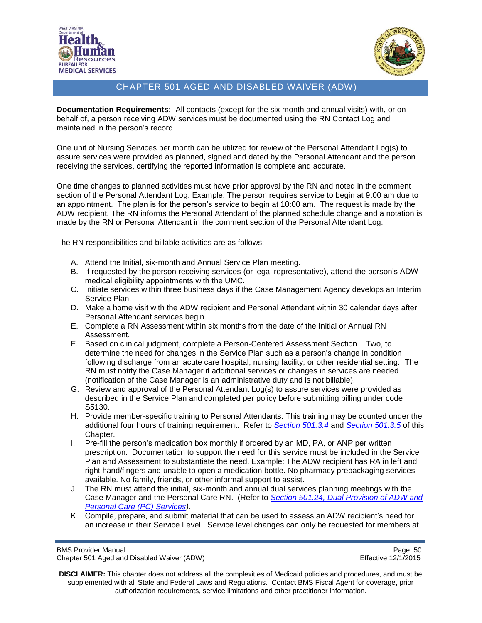



**Documentation Requirements:** All contacts (except for the six month and annual visits) with, or on behalf of, a person receiving ADW services must be documented using the RN Contact Log and maintained in the person's record.

One unit of Nursing Services per month can be utilized for review of the Personal Attendant Log(s) to assure services were provided as planned, signed and dated by the Personal Attendant and the person receiving the services, certifying the reported information is complete and accurate.

One time changes to planned activities must have prior approval by the RN and noted in the comment section of the Personal Attendant Log. Example: The person requires service to begin at 9:00 am due to an appointment. The plan is for the person's service to begin at 10:00 am. The request is made by the ADW recipient. The RN informs the Personal Attendant of the planned schedule change and a notation is made by the RN or Personal Attendant in the comment section of the Personal Attendant Log.

The RN responsibilities and billable activities are as follows:

- A. Attend the Initial, six-month and Annual Service Plan meeting.
- B. If requested by the person receiving services (or legal representative), attend the person's ADW medical eligibility appointments with the UMC.
- C. Initiate services within three business days if the Case Management Agency develops an Interim Service Plan.
- D. Make a home visit with the ADW recipient and Personal Attendant within 30 calendar days after Personal Attendant services begin.
- E. Complete a RN Assessment within six months from the date of the Initial or Annual RN Assessment.
- F. Based on clinical judgment, complete a Person-Centered Assessment Section Two, to determine the need for changes in the Service Plan such as a person's change in condition following discharge from an acute care hospital, nursing facility, or other residential setting. The RN must notify the Case Manager if additional services or changes in services are needed (notification of the Case Manager is an administrative duty and is not billable).
- G. Review and approval of the Personal Attendant Log(s) to assure services were provided as described in the Service Plan and completed per policy before submitting billing under code S5130.
- H. Provide member-specific training to Personal Attendants. This training may be counted under the additional four hours of training requirement. Refer to *[Section 501.3.4](#page-22-1)* and *[Section 501.3.5](#page-23-0)* of this Chapter.
- I. Pre-fill the person's medication box monthly if ordered by an MD, PA, or ANP per written prescription. Documentation to support the need for this service must be included in the Service Plan and Assessment to substantiate the need. Example: The ADW recipient has RA in left and right hand/fingers and unable to open a medication bottle. No pharmacy prepackaging services available. No family, friends, or other informal support to assist.
- J. The RN must attend the initial, six-month and annual dual services planning meetings with the Case Manager and the Personal Care RN. (Refer to *Section 501.24, [Dual Provision of ADW and](#page-53-0)  [Personal Care \(PC\) Services\)](#page-53-0).*
- K. Compile, prepare, and submit material that can be used to assess an ADW recipient's need for an increase in their Service Level. Service level changes can only be requested for members at

BMS Provider Manual Page 50<br>Chapter 501 Aged and Disabled Waiver (ADW) example and the example of the Effective 12/1/2015 Chapter 501 Aged and Disabled Waiver (ADW)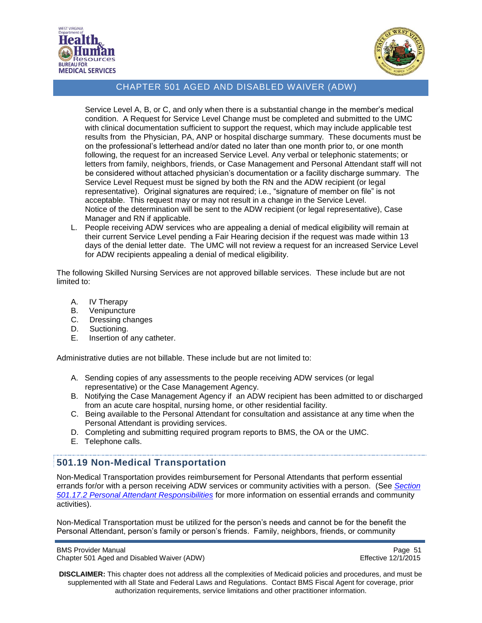



Service Level A, B, or C, and only when there is a substantial change in the member's medical condition. A Request for Service Level Change must be completed and submitted to the UMC with clinical documentation sufficient to support the request, which may include applicable test results from the Physician, PA, ANP or hospital discharge summary. These documents must be on the professional's letterhead and/or dated no later than one month prior to, or one month following, the request for an increased Service Level. Any verbal or telephonic statements; or letters from family, neighbors, friends, or Case Management and Personal Attendant staff will not be considered without attached physician's documentation or a facility discharge summary. The Service Level Request must be signed by both the RN and the ADW recipient (or legal representative). Original signatures are required; i.e., "signature of member on file" is not acceptable. This request may or may not result in a change in the Service Level. Notice of the determination will be sent to the ADW recipient (or legal representative), Case Manager and RN if applicable.

L. People receiving ADW services who are appealing a denial of medical eligibility will remain at their current Service Level pending a Fair Hearing decision if the request was made within 13 days of the denial letter date. The UMC will not review a request for an increased Service Level for ADW recipients appealing a denial of medical eligibility.

The following Skilled Nursing Services are not approved billable services. These include but are not limited to:

- A. IV Therapy
- B. Venipuncture
- C. Dressing changes
- D. Suctioning.
- E. Insertion of any catheter.

Administrative duties are not billable. These include but are not limited to:

- A. Sending copies of any assessments to the people receiving ADW services (or legal representative) or the Case Management Agency.
- B. Notifying the Case Management Agency if an ADW recipient has been admitted to or discharged from an acute care hospital, nursing home, or other residential facility.
- C. Being available to the Personal Attendant for consultation and assistance at any time when the Personal Attendant is providing services.
- D. Completing and submitting required program reports to BMS, the OA or the UMC.
- E. Telephone calls.

### <span id="page-50-0"></span>**501.19 Non-Medical Transportation**

Non-Medical Transportation provides reimbursement for Personal Attendants that perform essential errands for/or with a person receiving ADW services or community activities with a person. (See *[Section](#page-46-0)  [501.17.2 Personal Attendant Responsibilities](#page-46-0)* for more information on essential errands and community activities).

Non-Medical Transportation must be utilized for the person's needs and cannot be for the benefit the Personal Attendant, person's family or person's friends. Family, neighbors, friends, or community

BMS Provider Manual Page 51<br>Chapter 501 Aged and Disabled Waiver (ADW) National Page 12/1/2015 Chapter 501 Aged and Disabled Waiver (ADW)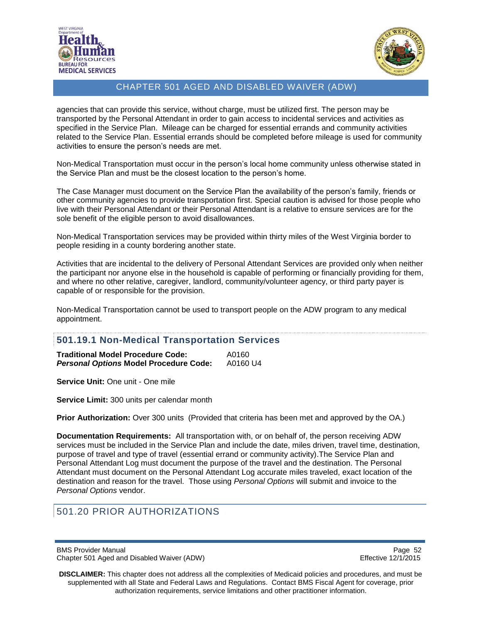



agencies that can provide this service, without charge, must be utilized first. The person may be transported by the Personal Attendant in order to gain access to incidental services and activities as specified in the Service Plan. Mileage can be charged for essential errands and community activities related to the Service Plan. Essential errands should be completed before mileage is used for community activities to ensure the person's needs are met.

Non-Medical Transportation must occur in the person's local home community unless otherwise stated in the Service Plan and must be the closest location to the person's home.

The Case Manager must document on the Service Plan the availability of the person's family, friends or other community agencies to provide transportation first. Special caution is advised for those people who live with their Personal Attendant or their Personal Attendant is a relative to ensure services are for the sole benefit of the eligible person to avoid disallowances.

Non-Medical Transportation services may be provided within thirty miles of the West Virginia border to people residing in a county bordering another state.

Activities that are incidental to the delivery of Personal Attendant Services are provided only when neither the participant nor anyone else in the household is capable of performing or financially providing for them, and where no other relative, caregiver, landlord, community/volunteer agency, or third party payer is capable of or responsible for the provision.

Non-Medical Transportation cannot be used to transport people on the ADW program to any medical appointment.

#### <span id="page-51-0"></span>**501.19.1 Non-Medical Transportation Services**

| <b>Traditional Model Procedure Code:</b>      | A0160    |
|-----------------------------------------------|----------|
| <b>Personal Options Model Procedure Code:</b> | A0160 U4 |

**Service Unit:** One unit - One mile

**Service Limit:** 300 units per calendar month

**Prior Authorization:** Over 300 units (Provided that criteria has been met and approved by the OA.)

**Documentation Requirements:** All transportation with, or on behalf of, the person receiving ADW services must be included in the Service Plan and include the date, miles driven, travel time, destination, purpose of travel and type of travel (essential errand or community activity).The Service Plan and Personal Attendant Log must document the purpose of the travel and the destination. The Personal Attendant must document on the Personal Attendant Log accurate miles traveled, exact location of the destination and reason for the travel. Those using *Personal Options* will submit and invoice to the *Personal Options* vendor.

<span id="page-51-1"></span>501.20 PRIOR AUTHORIZATIONS

BMS Provider Manual Page 52<br>Chapter 501 Aged and Disabled Waiver (ADW) example and the example of the Effective 12/1/2015 Chapter 501 Aged and Disabled Waiver (ADW)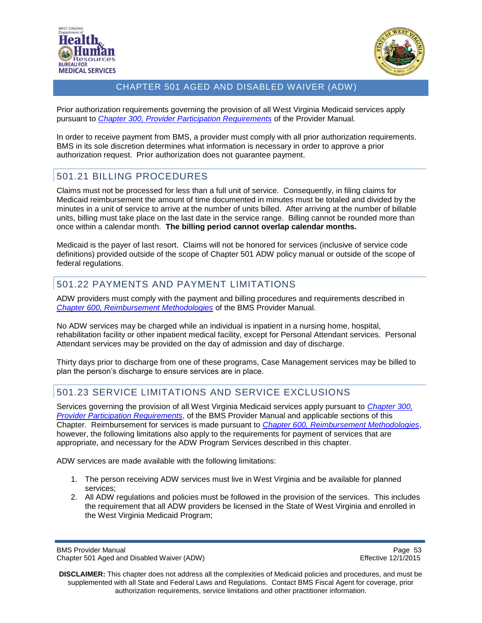



Prior authorization requirements governing the provision of all West Virginia Medicaid services apply pursuant to *[Chapter 300, Provider Participation Requirements](http://www.dhhr.wv.gov/bms/Pages/Manuals.aspx)* of the Provider Manual.

In order to receive payment from BMS, a provider must comply with all prior authorization requirements. BMS in its sole discretion determines what information is necessary in order to approve a prior authorization request. Prior authorization does not guarantee payment.

## <span id="page-52-0"></span>501.21 BILLING PROCEDURES

Claims must not be processed for less than a full unit of service. Consequently, in filing claims for Medicaid reimbursement the amount of time documented in minutes must be totaled and divided by the minutes in a unit of service to arrive at the number of units billed. After arriving at the number of billable units, billing must take place on the last date in the service range. Billing cannot be rounded more than once within a calendar month. **The billing period cannot overlap calendar months.** 

Medicaid is the payer of last resort. Claims will not be honored for services (inclusive of service code definitions) provided outside of the scope of Chapter 501 ADW policy manual or outside of the scope of federal regulations.

## <span id="page-52-1"></span>501.22 PAYMENTS AND PAYMENT LIMITATIONS

ADW providers must comply with the payment and billing procedures and requirements described in *[Chapter 600, Reimbursement Methodologies](http://www.dhhr.wv.gov/bms/Pages/Manuals.aspx)* of the BMS Provider Manual.

No ADW services may be charged while an individual is inpatient in a nursing home, hospital, rehabilitation facility or other inpatient medical facility, except for Personal Attendant services. Personal Attendant services may be provided on the day of admission and day of discharge.

Thirty days prior to discharge from one of these programs, Case Management services may be billed to plan the person's discharge to ensure services are in place.

## <span id="page-52-2"></span>501.23 SERVICE LIMITATIONS AND SERVICE EXCLUSIONS

Services governing the provision of all West Virginia Medicaid services apply pursuant to *[Chapter 300,](http://www.dhhr.wv.gov/bms/Pages/Manuals.aspx)  [Provider Participation Requirements](http://www.dhhr.wv.gov/bms/Pages/Manuals.aspx)*, of the BMS Provider Manual and applicable sections of this Chapter. Reimbursement for services is made pursuant to *[Chapter 600, Reimbursement Methodologies](http://www.dhhr.wv.gov/bms/Pages/Manuals.aspx)*, however, the following limitations also apply to the requirements for payment of services that are appropriate, and necessary for the ADW Program Services described in this chapter.

ADW services are made available with the following limitations:

- 1. The person receiving ADW services must live in West Virginia and be available for planned services;
- 2. All ADW regulations and policies must be followed in the provision of the services. This includes the requirement that all ADW providers be licensed in the State of West Virginia and enrolled in the West Virginia Medicaid Program;

BMS Provider Manual Page 53<br>Chapter 501 Aged and Disabled Waiver (ADW) example a matrix of the effective 12/1/2015 Chapter 501 Aged and Disabled Waiver (ADW)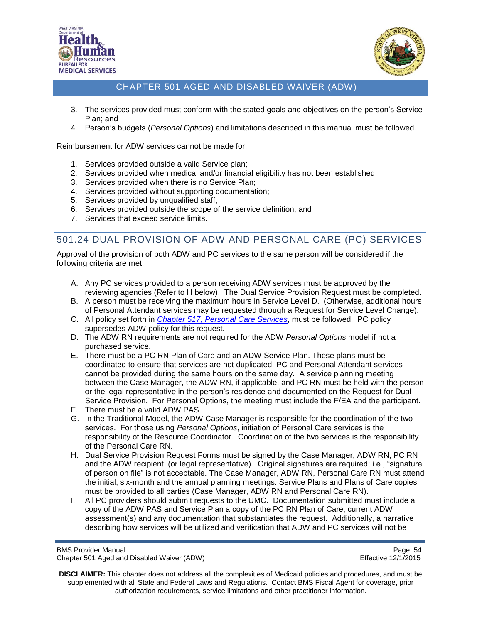



- 3. The services provided must conform with the stated goals and objectives on the person's Service Plan; and
- 4. Person's budgets (*Personal Options*) and limitations described in this manual must be followed.

Reimbursement for ADW services cannot be made for:

- 1. Services provided outside a valid Service plan;
- 2. Services provided when medical and/or financial eligibility has not been established;
- 3. Services provided when there is no Service Plan;
- 4. Services provided without supporting documentation;
- 5. Services provided by unqualified staff;
- 6. Services provided outside the scope of the service definition; and
- 7. Services that exceed service limits.

# <span id="page-53-0"></span>501.24 DUAL PROVISION OF ADW AND PERSONAL CARE (PC) SERVICES

Approval of the provision of both ADW and PC services to the same person will be considered if the following criteria are met:

- A. Any PC services provided to a person receiving ADW services must be approved by the reviewing agencies (Refer to H below). The Dual Service Provision Request must be completed.
- B. A person must be receiving the maximum hours in Service Level D. (Otherwise, additional hours of Personal Attendant services may be requested through a Request for Service Level Change).
- C. All policy set forth in *[Chapter 517, Personal Care Services](http://www.dhhr.wv.gov/bms/Pages/Manuals.aspx)*, must be followed. PC policy supersedes ADW policy for this request.
- D. The ADW RN requirements are not required for the ADW *Personal Options* model if not a purchased service.
- E. There must be a PC RN Plan of Care and an ADW Service Plan. These plans must be coordinated to ensure that services are not duplicated. PC and Personal Attendant services cannot be provided during the same hours on the same day. A service planning meeting between the Case Manager, the ADW RN, if applicable, and PC RN must be held with the person or the legal representative in the person's residence and documented on the Request for Dual Service Provision. For Personal Options, the meeting must include the F/EA and the participant.
- F. There must be a valid ADW PAS.
- G. In the Traditional Model, the ADW Case Manager is responsible for the coordination of the two services. For those using *Personal Options*, initiation of Personal Care services is the responsibility of the Resource Coordinator. Coordination of the two services is the responsibility of the Personal Care RN.
- H. Dual Service Provision Request Forms must be signed by the Case Manager, ADW RN, PC RN and the ADW recipient (or legal representative). Original signatures are required; i.e., "signature of person on file" is not acceptable. The Case Manager, ADW RN, Personal Care RN must attend the initial, six-month and the annual planning meetings. Service Plans and Plans of Care copies must be provided to all parties (Case Manager, ADW RN and Personal Care RN).
- I. All PC providers should submit requests to the UMC. Documentation submitted must include a copy of the ADW PAS and Service Plan a copy of the PC RN Plan of Care, current ADW assessment(s) and any documentation that substantiates the request. Additionally, a narrative describing how services will be utilized and verification that ADW and PC services will not be

BMS Provider Manual Page 54<br>Chapter 501 Aged and Disabled Waiver (ADW) example a series of the effective 12/1/2015 Chapter 501 Aged and Disabled Waiver (ADW)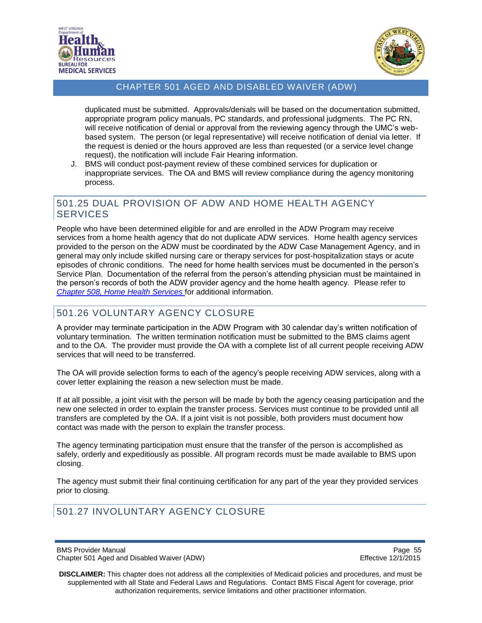



duplicated must be submitted. Approvals/denials will be based on the documentation submitted, appropriate program policy manuals, PC standards, and professional judgments. The PC RN, will receive notification of denial or approval from the reviewing agency through the UMC's webbased system. The person (or legal representative) will receive notification of denial via letter. If the request is denied or the hours approved are less than requested (or a service level change request), the notification will include Fair Hearing information.

J. BMS will conduct post-payment review of these combined services for duplication or inappropriate services. The OA and BMS will review compliance during the agency monitoring process.

## <span id="page-54-0"></span>501.25 DUAL PROVISION OF ADW AND HOME HEALTH AGENCY **SERVICES**

People who have been determined eligible for and are enrolled in the ADW Program may receive services from a home health agency that do not duplicate ADW services. Home health agency services provided to the person on the ADW must be coordinated by the ADW Case Management Agency, and in general may only include skilled nursing care or therapy services for post-hospitalization stays or acute episodes of chronic conditions. The need for home health services must be documented in the person's Service Plan. Documentation of the referral from the person's attending physician must be maintained in the person's records of both the ADW provider agency and the home health agency. Please refer to *[Chapter 508, Home Health Services](http://www.dhhr.wv.gov/bms/Pages/Manuals.aspx)* for additional information.

# <span id="page-54-1"></span>501.26 VOLUNTARY AGENCY CLOSURE

A provider may terminate participation in the ADW Program with 30 calendar day's written notification of voluntary termination. The written termination notification must be submitted to the BMS claims agent and to the OA. The provider must provide the OA with a complete list of all current people receiving ADW services that will need to be transferred.

The OA will provide selection forms to each of the agency's people receiving ADW services, along with a cover letter explaining the reason a new selection must be made.

If at all possible, a joint visit with the person will be made by both the agency ceasing participation and the new one selected in order to explain the transfer process. Services must continue to be provided until all transfers are completed by the OA. If a joint visit is not possible, both providers must document how contact was made with the person to explain the transfer process.

The agency terminating participation must ensure that the transfer of the person is accomplished as safely, orderly and expeditiously as possible. All program records must be made available to BMS upon closing.

The agency must submit their final continuing certification for any part of the year they provided services prior to closing.

# <span id="page-54-2"></span>501.27 INVOLUNTARY AGENCY CLOSURE

BMS Provider Manual Page 55<br>Chapter 501 Aged and Disabled Waiver (ADW) National Page 12/1/2015 Chapter 501 Aged and Disabled Waiver (ADW)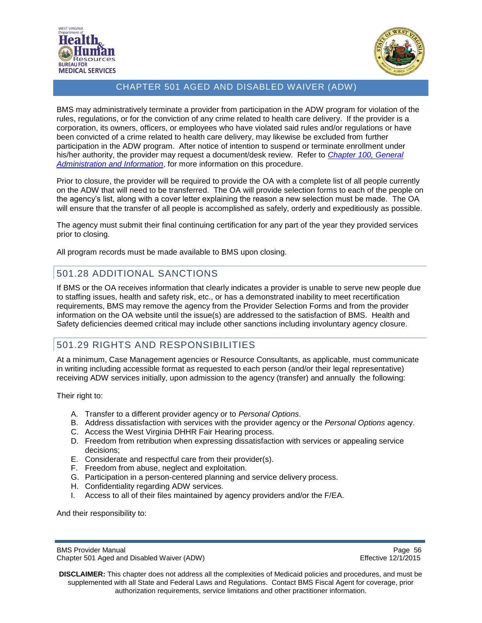



BMS may administratively terminate a provider from participation in the ADW program for violation of the rules, regulations, or for the conviction of any crime related to health care delivery. If the provider is a corporation, its owners, officers, or employees who have violated said rules and/or regulations or have been convicted of a crime related to health care delivery, may likewise be excluded from further participation in the ADW program. After notice of intention to suspend or terminate enrollment under his/her authority, the provider may request a document/desk review. Refer to *[Chapter 100, General](http://www.dhhr.wv.gov/bms/Pages/Manuals.aspx)  [Administration and Information](http://www.dhhr.wv.gov/bms/Pages/Manuals.aspx)*, for more information on this procedure.

Prior to closure, the provider will be required to provide the OA with a complete list of all people currently on the ADW that will need to be transferred. The OA will provide selection forms to each of the people on the agency's list, along with a cover letter explaining the reason a new selection must be made. The OA will ensure that the transfer of all people is accomplished as safely, orderly and expeditiously as possible.

The agency must submit their final continuing certification for any part of the year they provided services prior to closing.

All program records must be made available to BMS upon closing.

### <span id="page-55-0"></span>501.28 ADDITIONAL SANCTIONS

If BMS or the OA receives information that clearly indicates a provider is unable to serve new people due to staffing issues, health and safety risk, etc., or has a demonstrated inability to meet recertification requirements, BMS may remove the agency from the Provider Selection Forms and from the provider information on the OA website until the issue(s) are addressed to the satisfaction of BMS. Health and Safety deficiencies deemed critical may include other sanctions including involuntary agency closure.

## <span id="page-55-1"></span>501.29 RIGHTS AND RESPONSIBILITIES

At a minimum, Case Management agencies or Resource Consultants, as applicable, must communicate in writing including accessible format as requested to each person (and/or their legal representative) receiving ADW services initially, upon admission to the agency (transfer) and annually the following:

Their right to:

- A. Transfer to a different provider agency or to *Personal Options*.
- B. Address dissatisfaction with services with the provider agency or the *Personal Options* agency.
- C. Access the West Virginia DHHR Fair Hearing process.
- D. Freedom from retribution when expressing dissatisfaction with services or appealing service decisions;
- E. Considerate and respectful care from their provider(s).
- F. Freedom from abuse, neglect and exploitation.
- G. Participation in a person-centered planning and service delivery process.
- H. Confidentiality regarding ADW services.
- I. Access to all of their files maintained by agency providers and/or the F/EA.

And their responsibility to:

BMS Provider Manual Page 56<br>Chapter 501 Aged and Disabled Waiver (ADW) National Page 12/1/2015 Chapter 501 Aged and Disabled Waiver (ADW)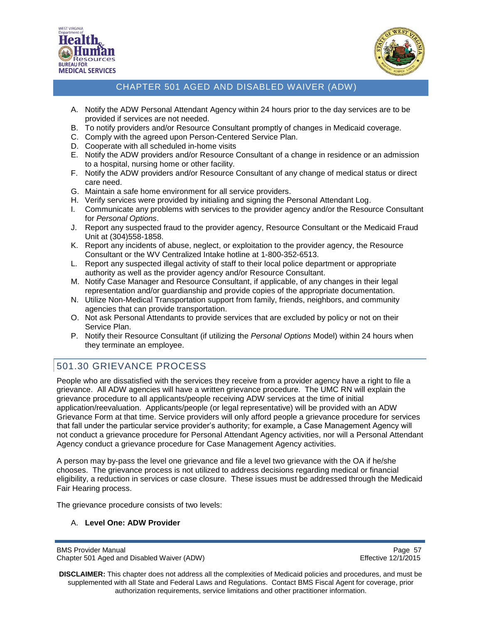



- A. Notify the ADW Personal Attendant Agency within 24 hours prior to the day services are to be provided if services are not needed.
- B. To notify providers and/or Resource Consultant promptly of changes in Medicaid coverage.
- C. Comply with the agreed upon Person-Centered Service Plan.
- D. Cooperate with all scheduled in-home visits
- E. Notify the ADW providers and/or Resource Consultant of a change in residence or an admission to a hospital, nursing home or other facility.
- F. Notify the ADW providers and/or Resource Consultant of any change of medical status or direct care need.
- G. Maintain a safe home environment for all service providers.
- H. Verify services were provided by initialing and signing the Personal Attendant Log.
- I. Communicate any problems with services to the provider agency and/or the Resource Consultant for *Personal Options*.
- J. Report any suspected fraud to the provider agency, Resource Consultant or the Medicaid Fraud Unit at (304)558-1858.
- K. Report any incidents of abuse, neglect, or exploitation to the provider agency, the Resource Consultant or the WV Centralized Intake hotline at 1-800-352-6513.
- L. Report any suspected illegal activity of staff to their local police department or appropriate authority as well as the provider agency and/or Resource Consultant.
- M. Notify Case Manager and Resource Consultant, if applicable, of any changes in their legal representation and/or guardianship and provide copies of the appropriate documentation.
- N. Utilize Non-Medical Transportation support from family, friends, neighbors, and community agencies that can provide transportation.
- O. Not ask Personal Attendants to provide services that are excluded by policy or not on their Service Plan.
- P. Notify their Resource Consultant (if utilizing the *Personal Options* Model) within 24 hours when they terminate an employee.

# <span id="page-56-0"></span>501.30 GRIEVANCE PROCESS

People who are dissatisfied with the services they receive from a provider agency have a right to file a grievance. All ADW agencies will have a written grievance procedure. The UMC RN will explain the grievance procedure to all applicants/people receiving ADW services at the time of initial application/reevaluation. Applicants/people (or legal representative) will be provided with an ADW Grievance Form at that time. Service providers will only afford people a grievance procedure for services that fall under the particular service provider's authority; for example, a Case Management Agency will not conduct a grievance procedure for Personal Attendant Agency activities, nor will a Personal Attendant Agency conduct a grievance procedure for Case Management Agency activities.

A person may by-pass the level one grievance and file a level two grievance with the OA if he/she chooses. The grievance process is not utilized to address decisions regarding medical or financial eligibility, a reduction in services or case closure. These issues must be addressed through the Medicaid Fair Hearing process.

The grievance procedure consists of two levels:

#### A. **Level One: ADW Provider**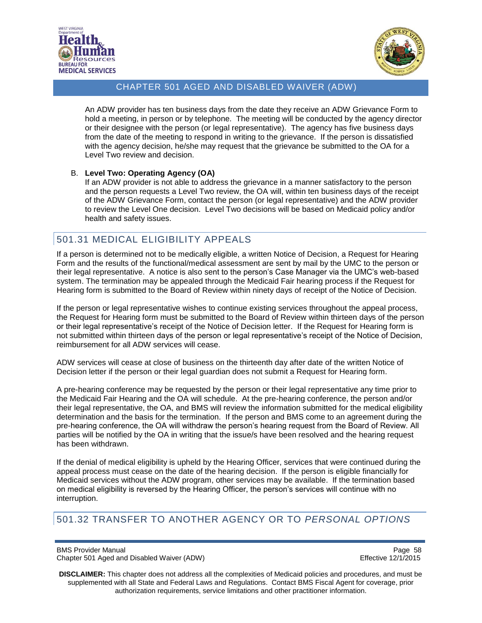



An ADW provider has ten business days from the date they receive an ADW Grievance Form to hold a meeting, in person or by telephone. The meeting will be conducted by the agency director or their designee with the person (or legal representative). The agency has five business days from the date of the meeting to respond in writing to the grievance. If the person is dissatisfied with the agency decision, he/she may request that the grievance be submitted to the OA for a Level Two review and decision.

#### B. **Level Two: Operating Agency (OA)**

If an ADW provider is not able to address the grievance in a manner satisfactory to the person and the person requests a Level Two review, the OA will, within ten business days of the receipt of the ADW Grievance Form, contact the person (or legal representative) and the ADW provider to review the Level One decision. Level Two decisions will be based on Medicaid policy and/or health and safety issues.

## <span id="page-57-0"></span>501.31 MEDICAL ELIGIBILITY APPEALS

If a person is determined not to be medically eligible, a written Notice of Decision, a Request for Hearing Form and the results of the functional/medical assessment are sent by mail by the UMC to the person or their legal representative. A notice is also sent to the person's Case Manager via the UMC's web-based system. The termination may be appealed through the Medicaid Fair hearing process if the Request for Hearing form is submitted to the Board of Review within ninety days of receipt of the Notice of Decision.

If the person or legal representative wishes to continue existing services throughout the appeal process, the Request for Hearing form must be submitted to the Board of Review within thirteen days of the person or their legal representative's receipt of the Notice of Decision letter. If the Request for Hearing form is not submitted within thirteen days of the person or legal representative's receipt of the Notice of Decision, reimbursement for all ADW services will cease.

ADW services will cease at close of business on the thirteenth day after date of the written Notice of Decision letter if the person or their legal guardian does not submit a Request for Hearing form.

A pre-hearing conference may be requested by the person or their legal representative any time prior to the Medicaid Fair Hearing and the OA will schedule. At the pre-hearing conference, the person and/or their legal representative, the OA, and BMS will review the information submitted for the medical eligibility determination and the basis for the termination. If the person and BMS come to an agreement during the pre-hearing conference, the OA will withdraw the person's hearing request from the Board of Review. All parties will be notified by the OA in writing that the issue/s have been resolved and the hearing request has been withdrawn.

If the denial of medical eligibility is upheld by the Hearing Officer, services that were continued during the appeal process must cease on the date of the hearing decision. If the person is eligible financially for Medicaid services without the ADW program, other services may be available. If the termination based on medical eligibility is reversed by the Hearing Officer, the person's services will continue with no interruption.

## <span id="page-57-1"></span>501.32 TRANSFER TO ANOTHER AGENCY OR TO *PERSONAL OPTIONS*

BMS Provider Manual Page 58<br>Chapter 501 Aged and Disabled Waiver (ADW) National Page 12/1/2015 Chapter 501 Aged and Disabled Waiver (ADW)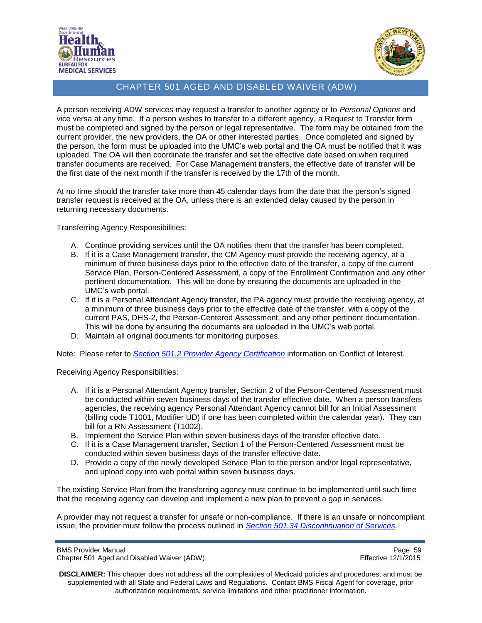



A person receiving ADW services may request a transfer to another agency or to *Personal Options* and vice versa at any time. If a person wishes to transfer to a different agency, a Request to Transfer form must be completed and signed by the person or legal representative. The form may be obtained from the current provider, the new providers, the OA or other interested parties. Once completed and signed by the person, the form must be uploaded into the UMC's web portal and the OA must be notified that it was uploaded. The OA will then coordinate the transfer and set the effective date based on when required transfer documents are received. For Case Management transfers, the effective date of transfer will be the first date of the next month if the transfer is received by the 17th of the month.

At no time should the transfer take more than 45 calendar days from the date that the person's signed transfer request is received at the OA, unless there is an extended delay caused by the person in returning necessary documents.

Transferring Agency Responsibilities:

- A. Continue providing services until the OA notifies them that the transfer has been completed.
- B. If it is a Case Management transfer, the CM Agency must provide the receiving agency, at a minimum of three business days prior to the effective date of the transfer, a copy of the current Service Plan, Person-Centered Assessment, a copy of the Enrollment Confirmation and any other pertinent documentation. This will be done by ensuring the documents are uploaded in the UMC's web portal.
- C. If it is a Personal Attendant Agency transfer, the PA agency must provide the receiving agency, at a minimum of three business days prior to the effective date of the transfer, with a copy of the current PAS, DHS-2, the Person-Centered Assessment, and any other pertinent documentation. This will be done by ensuring the documents are uploaded in the UMC's web portal.
- D. Maintain all original documents for monitoring purposes.

Note: Please refer to *Section 501.2 [Provider Agency Certification](#page-8-2)* information on Conflict of Interest*.* 

Receiving Agency Responsibilities:

- A. If it is a Personal Attendant Agency transfer, Section 2 of the Person-Centered Assessment must be conducted within seven business days of the transfer effective date. When a person transfers agencies, the receiving agency Personal Attendant Agency cannot bill for an Initial Assessment (billing code T1001, Modifier UD) if one has been completed within the calendar year). They can bill for a RN Assessment (T1002).
- B. Implement the Service Plan within seven business days of the transfer effective date.
- C. If it is a Case Management transfer, Section 1 of the Person-Centered Assessment must be conducted within seven business days of the transfer effective date.
- D. Provide a copy of the newly developed Service Plan to the person and/or legal representative, and upload copy into web portal within seven business days.

The existing Service Plan from the transferring agency must continue to be implemented until such time that the receiving agency can develop and implement a new plan to prevent a gap in services.

A provider may not request a transfer for unsafe or non-compliance. If there is an unsafe or noncompliant issue, the provider must follow the process outlined in *[Section 501.34 Discontinuation of Services.](#page-59-1)*

BMS Provider Manual Page 59<br>Chapter 501 Aged and Disabled Waiver (ADW) example and the example of the Effective 12/1/2015 Chapter 501 Aged and Disabled Waiver (ADW)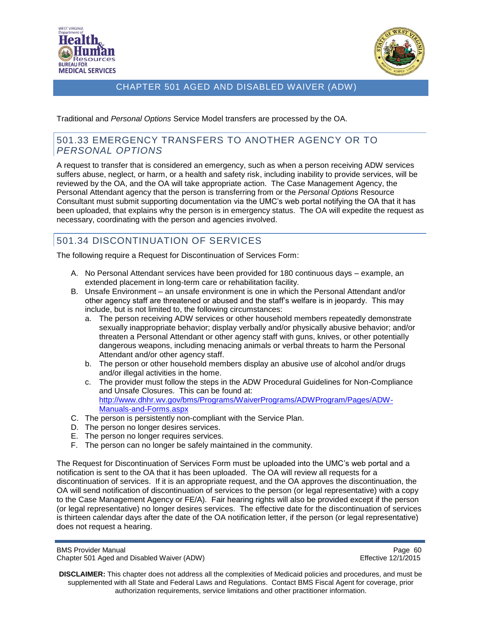



Traditional and *Personal Options* Service Model transfers are processed by the OA.

#### <span id="page-59-0"></span>501.33 EMERGENCY TRANSFERS TO ANOTHER AGENCY OR TO *PERSONAL OPTIONS*

A request to transfer that is considered an emergency, such as when a person receiving ADW services suffers abuse, neglect, or harm, or a health and safety risk, including inability to provide services, will be reviewed by the OA, and the OA will take appropriate action. The Case Management Agency, the Personal Attendant agency that the person is transferring from or the *Personal Options* Resource Consultant must submit supporting documentation via the UMC's web portal notifying the OA that it has been uploaded, that explains why the person is in emergency status. The OA will expedite the request as necessary, coordinating with the person and agencies involved.

# <span id="page-59-1"></span>501.34 DISCONTINUATION OF SERVICES

The following require a Request for Discontinuation of Services Form:

- A. No Personal Attendant services have been provided for 180 continuous days example, an extended placement in long-term care or rehabilitation facility.
- B. Unsafe Environment an unsafe environment is one in which the Personal Attendant and/or other agency staff are threatened or abused and the staff's welfare is in jeopardy. This may include, but is not limited to, the following circumstances:
	- a. The person receiving ADW services or other household members repeatedly demonstrate sexually inappropriate behavior; display verbally and/or physically abusive behavior; and/or threaten a Personal Attendant or other agency staff with guns, knives, or other potentially dangerous weapons, including menacing animals or verbal threats to harm the Personal Attendant and/or other agency staff.
	- b. The person or other household members display an abusive use of alcohol and/or drugs and/or illegal activities in the home.
	- c. The provider must follow the steps in the ADW Procedural Guidelines for Non-Compliance and Unsafe Closures. This can be found at: [http://www.dhhr.wv.gov/bms/Programs/WaiverPrograms/ADWProgram/Pages/ADW-](http://www.dhhr.wv.gov/bms/Programs/WaiverPrograms/ADWProgram/Pages/ADW-Policy-and-Forms.aspx)[Manuals-and-Forms.aspx](http://www.dhhr.wv.gov/bms/Programs/WaiverPrograms/ADWProgram/Pages/ADW-Policy-and-Forms.aspx)
- C. The person is persistently non-compliant with the Service Plan.
- D. The person no longer desires services.
- E. The person no longer requires services.
- F. The person can no longer be safely maintained in the community.

The Request for Discontinuation of Services Form must be uploaded into the UMC's web portal and a notification is sent to the OA that it has been uploaded. The OA will review all requests for a discontinuation of services. If it is an appropriate request, and the OA approves the discontinuation, the OA will send notification of discontinuation of services to the person (or legal representative) with a copy to the Case Management Agency or FE/A). Fair hearing rights will also be provided except if the person (or legal representative) no longer desires services. The effective date for the discontinuation of services is thirteen calendar days after the date of the OA notification letter, if the person (or legal representative) does not request a hearing.

```
BMS Provider Manual Page 60<br>Chapter 501 Aged and Disabled Waiver (ADW) National Page 60 Chapter 501 Aged 2/1/2015
Chapter 501 Aged and Disabled Waiver (ADW)
```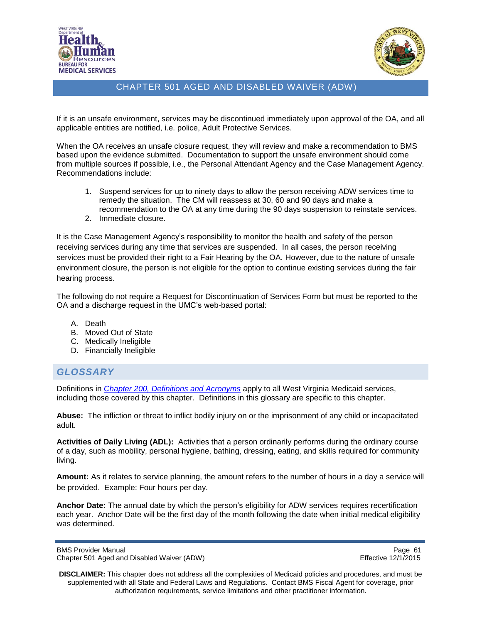



If it is an unsafe environment, services may be discontinued immediately upon approval of the OA, and all applicable entities are notified, i.e. police, Adult Protective Services.

When the OA receives an unsafe closure request, they will review and make a recommendation to BMS based upon the evidence submitted. Documentation to support the unsafe environment should come from multiple sources if possible, i.e., the Personal Attendant Agency and the Case Management Agency. Recommendations include:

- 1. Suspend services for up to ninety days to allow the person receiving ADW services time to remedy the situation. The CM will reassess at 30, 60 and 90 days and make a recommendation to the OA at any time during the 90 days suspension to reinstate services.
- 2. Immediate closure.

It is the Case Management Agency's responsibility to monitor the health and safety of the person receiving services during any time that services are suspended. In all cases, the person receiving services must be provided their right to a Fair Hearing by the OA. However, due to the nature of unsafe environment closure, the person is not eligible for the option to continue existing services during the fair hearing process.

The following do not require a Request for Discontinuation of Services Form but must be reported to the OA and a discharge request in the UMC's web-based portal:

- A. Death
- B. Moved Out of State
- C. Medically Ineligible
- D. Financially Ineligible

### <span id="page-60-0"></span>*GLOSSARY*

Definitions in *[Chapter 200, Definitions and Acronyms](http://www.dhhr.wv.gov/bms/Pages/Manuals.aspx)* apply to all West Virginia Medicaid services, including those covered by this chapter. Definitions in this glossary are specific to this chapter.

**Abuse:** The infliction or threat to inflict bodily injury on or the imprisonment of any child or incapacitated adult.

**Activities of Daily Living (ADL):** Activities that a person ordinarily performs during the ordinary course of a day, such as mobility, personal hygiene, bathing, dressing, eating, and skills required for community living.

**Amount:** As it relates to service planning, the amount refers to the number of hours in a day a service will be provided. Example: Four hours per day.

**Anchor Date:** The annual date by which the person's eligibility for ADW services requires recertification each year. Anchor Date will be the first day of the month following the date when initial medical eligibility was determined.

BMS Provider Manual **Page 61** Chapter 501 Aged and Disabled Waiver (ADW) **Effective 12/1/2015**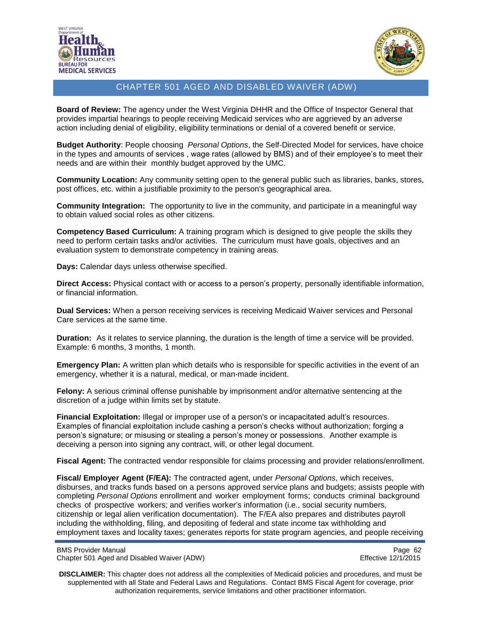



**Board of Review:** The agency under the West Virginia DHHR and the Office of Inspector General that provides impartial hearings to people receiving Medicaid services who are aggrieved by an adverse action including denial of eligibility, eligibility terminations or denial of a covered benefit or service.

**Budget Authority**: People choosing *Personal Options*, the Self-Directed Model for services, have choice in the types and amounts of services , wage rates (allowed by BMS) and of their employee's to meet their needs and are within their monthly budget approved by the UMC.

**Community Location:** Any community setting open to the general public such as libraries, banks, stores, post offices, etc. within a justifiable proximity to the person's geographical area.

**Community Integration:** The opportunity to live in the community, and participate in a meaningful way to obtain valued social roles as other citizens.

**Competency Based Curriculum:** A training program which is designed to give people the skills they need to perform certain tasks and/or activities. The curriculum must have goals, objectives and an evaluation system to demonstrate competency in training areas.

**Days:** Calendar days unless otherwise specified.

**Direct Access:** Physical contact with or access to a person's property, personally identifiable information, or financial information.

**Dual Services:** When a person receiving services is receiving Medicaid Waiver services and Personal Care services at the same time.

**Duration:** As it relates to service planning, the duration is the length of time a service will be provided. Example: 6 months, 3 months, 1 month.

**Emergency Plan:** A written plan which details who is responsible for specific activities in the event of an emergency, whether it is a natural, medical, or man-made incident.

**Felony:** A serious criminal offense punishable by imprisonment and/or alternative sentencing at the discretion of a judge within limits set by statute.

**Financial Exploitation:** Illegal or improper use of a person's or incapacitated adult's resources. Examples of financial exploitation include cashing a person's checks without authorization; forging a person's signature; or misusing or stealing a person's money or possessions. Another example is deceiving a person into signing any contract, will, or other legal document.

**Fiscal Agent:** The contracted vendor responsible for claims processing and provider relations/enrollment.

**Fiscal/ Employer Agent (F/EA):** The contracted agent, under *Personal Options*, which receives, disburses, and tracks funds based on a persons approved service plans and budgets; assists people with completing *Personal Options* enrollment and worker employment forms; conducts criminal background checks of prospective workers; and verifies worker's information (i.e., social security numbers, citizenship or legal alien verification documentation). The F/EA also prepares and distributes payroll including the withholding, filing, and depositing of federal and state income tax withholding and employment taxes and locality taxes; generates reports for state program agencies, and people receiving

BMS Provider Manual Page 62<br>Chapter 501 Aged and Disabled Waiver (ADW) example and the example of the Effective 12/1/2015 Chapter 501 Aged and Disabled Waiver (ADW)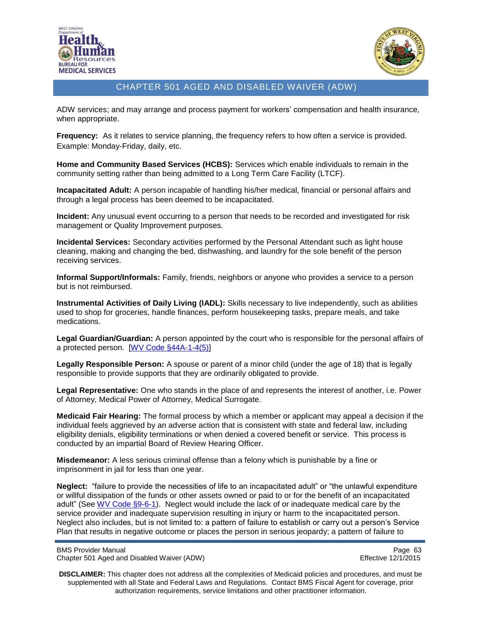



ADW services; and may arrange and process payment for workers' compensation and health insurance, when appropriate.

**Frequency:** As it relates to service planning, the frequency refers to how often a service is provided. Example: Monday-Friday, daily, etc.

**Home and Community Based Services (HCBS):** Services which enable individuals to remain in the community setting rather than being admitted to a Long Term Care Facility (LTCF).

**Incapacitated Adult:** A person incapable of handling his/her medical, financial or personal affairs and through a legal process has been deemed to be incapacitated.

**Incident:** Any unusual event occurring to a person that needs to be recorded and investigated for risk management or Quality Improvement purposes.

**Incidental Services:** Secondary activities performed by the Personal Attendant such as light house cleaning, making and changing the bed, dishwashing, and laundry for the sole benefit of the person receiving services.

**Informal Support/Informals:** Family, friends, neighbors or anyone who provides a service to a person but is not reimbursed.

**Instrumental Activities of Daily Living (IADL):** Skills necessary to live independently, such as abilities used to shop for groceries, handle finances, perform housekeeping tasks, prepare meals, and take medications.

**Legal Guardian/Guardian:** A person appointed by the court who is responsible for the personal affairs of a protected person. [\[WV Code §44A-1-4\(5\)\]](http://www.legis.state.wv.us/wvcode/ChapterEntire.cfm?chap=44a&art=1§ion=4#01)

**Legally Responsible Person:** A spouse or parent of a minor child (under the age of 18) that is legally responsible to provide supports that they are ordinarily obligated to provide.

**Legal Representative:** One who stands in the place of and represents the interest of another, i.e. Power of Attorney, Medical Power of Attorney, Medical Surrogate.

**Medicaid Fair Hearing:** The formal process by which a member or applicant may appeal a decision if the individual feels aggrieved by an adverse action that is consistent with state and federal law, including eligibility denials, eligibility terminations or when denied a covered benefit or service. This process is conducted by an impartial Board of Review Hearing Officer.

**Misdemeanor:** A less serious criminal offense than a felony which is punishable by a fine or imprisonment in jail for less than one year.

**Neglect:** "failure to provide the necessities of life to an incapacitated adult" or "the unlawful expenditure or willful dissipation of the funds or other assets owned or paid to or for the benefit of an incapacitated adult" (See [WV Code §9-6-1\)](http://www.legis.state.wv.us/wvcode/ChapterEntire.cfm?chap=09&art=6). Neglect would include the lack of or inadequate medical care by the service provider and inadequate supervision resulting in injury or harm to the incapacitated person. Neglect also includes, but is not limited to: a pattern of failure to establish or carry out a person's Service Plan that results in negative outcome or places the person in serious jeopardy; a pattern of failure to

BMS Provider Manual Page 63<br>Chapter 501 Aged and Disabled Waiver (ADW) National Page 63 Chapter 501 Aged 2/1/2015 Chapter 501 Aged and Disabled Waiver (ADW)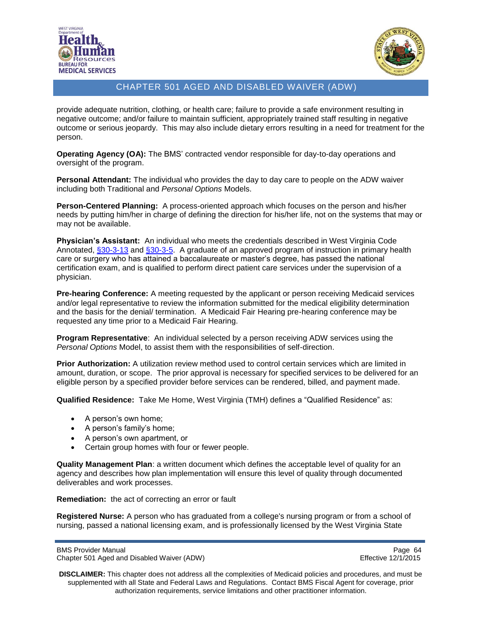



provide adequate nutrition, clothing, or health care; failure to provide a safe environment resulting in negative outcome; and/or failure to maintain sufficient, appropriately trained staff resulting in negative outcome or serious jeopardy. This may also include dietary errors resulting in a need for treatment for the person.

**Operating Agency (OA):** The BMS' contracted vendor responsible for day-to-day operations and oversight of the program.

**Personal Attendant:** The individual who provides the day to day care to people on the ADW waiver including both Traditional and *Personal Options* Models.

**Person-Centered Planning:** A process-oriented approach which focuses on the person and his/her needs by putting him/her in charge of defining the direction for his/her life, not on the systems that may or may not be available.

**Physician's Assistant:** An individual who meets the credentials described in West Virginia Code Annotated, [§30-3-13](http://www.legis.state.wv.us/wvcode/ChapterEntire.cfm?chap=30&art=3§ion=13#03) and [§30-3-5.](http://www.legis.state.wv.us/wvcode/ChapterEntire.cfm?chap=30&art=3§ion=5#03) A graduate of an approved program of instruction in primary health care or surgery who has attained a baccalaureate or master's degree, has passed the national certification exam, and is qualified to perform direct patient care services under the supervision of a physician.

**Pre-hearing Conference:** A meeting requested by the applicant or person receiving Medicaid services and/or legal representative to review the information submitted for the medical eligibility determination and the basis for the denial/ termination. A Medicaid Fair Hearing pre-hearing conference may be requested any time prior to a Medicaid Fair Hearing.

**Program Representative**: An individual selected by a person receiving ADW services using the *Personal Options* Model, to assist them with the responsibilities of self-direction.

**Prior Authorization:** A utilization review method used to control certain services which are limited in amount, duration, or scope. The prior approval is necessary for specified services to be delivered for an eligible person by a specified provider before services can be rendered, billed, and payment made.

**Qualified Residence:** Take Me Home, West Virginia (TMH) defines a "Qualified Residence" as:

- A person's own home;
- A person's family's home;
- A person's own apartment, or
- Certain group homes with four or fewer people.

**Quality Management Plan**: a written document which defines the acceptable level of quality for an agency and describes how plan implementation will ensure this level of quality through documented deliverables and work processes.

**Remediation:** the act of correcting an error or fault

**Registered Nurse:** A person who has graduated from a college's nursing program or from a school of nursing, passed a national licensing exam, and is professionally licensed by the West Virginia State

BMS Provider Manual Page 64<br>Chapter 501 Aged and Disabled Waiver (ADW) example and the example of the Effective 12/1/2015 Chapter 501 Aged and Disabled Waiver (ADW)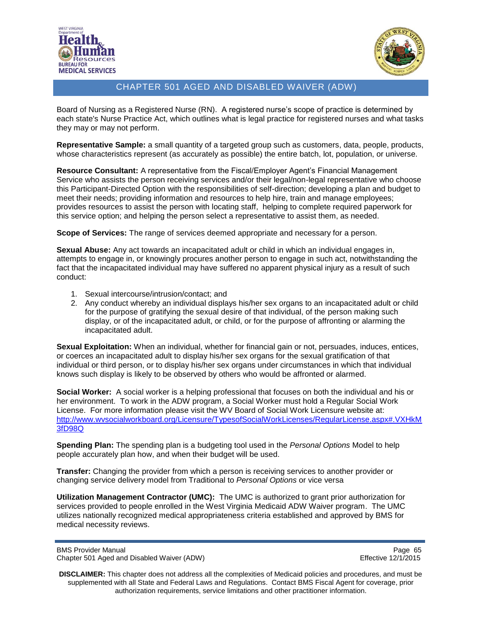



Board of Nursing as a Registered Nurse (RN). A registered nurse's scope of practice is determined by each state's Nurse Practice Act, which outlines what is legal practice for registered nurses and what tasks they may or may not perform.

**Representative Sample:** a small quantity of a targeted group such as customers, data, people, products, whose characteristics represent (as accurately as possible) the entire batch, lot, population, or universe.

**Resource Consultant:** A representative from the Fiscal/Employer Agent's Financial Management Service who assists the person receiving services and/or their legal/non-legal representative who choose this Participant-Directed Option with the responsibilities of self-direction; developing a plan and budget to meet their needs; providing information and resources to help hire, train and manage employees; provides resources to assist the person with locating staff, helping to complete required paperwork for this service option; and helping the person select a representative to assist them, as needed.

**Scope of Services:** The range of services deemed appropriate and necessary for a person.

**Sexual Abuse:** Any act towards an incapacitated adult or child in which an individual engages in, attempts to engage in, or knowingly procures another person to engage in such act, notwithstanding the fact that the incapacitated individual may have suffered no apparent physical injury as a result of such conduct:

- 1. Sexual intercourse/intrusion/contact; and
- 2. Any conduct whereby an individual displays his/her sex organs to an incapacitated adult or child for the purpose of gratifying the sexual desire of that individual, of the person making such display, or of the incapacitated adult, or child, or for the purpose of affronting or alarming the incapacitated adult.

**Sexual Exploitation:** When an individual, whether for financial gain or not, persuades, induces, entices, or coerces an incapacitated adult to display his/her sex organs for the sexual gratification of that individual or third person, or to display his/her sex organs under circumstances in which that individual knows such display is likely to be observed by others who would be affronted or alarmed.

**Social Worker:** A social worker is a helping professional that focuses on both the individual and his or her environment. To work in the ADW program, a Social Worker must hold a Regular Social Work License. For more information please visit the WV Board of Social Work Licensure website at: [http://www.wvsocialworkboard.org/Licensure/TypesofSocialWorkLicenses/RegularLicense.aspx#.VXHkM](http://www.wvsocialworkboard.org/Licensure/TypesofSocialWorkLicenses/RegularLicense.aspx#.VXHkM3fD98Q) [3fD98Q](http://www.wvsocialworkboard.org/Licensure/TypesofSocialWorkLicenses/RegularLicense.aspx#.VXHkM3fD98Q)

**Spending Plan:** The spending plan is a budgeting tool used in the *Personal Options* Model to help people accurately plan how, and when their budget will be used.

**Transfer:** Changing the provider from which a person is receiving services to another provider or changing service delivery model from Traditional to *Personal Options* or vice versa

**Utilization Management Contractor (UMC):** The UMC is authorized to grant prior authorization for services provided to people enrolled in the West Virginia Medicaid ADW Waiver program. The UMC utilizes nationally recognized medical appropriateness criteria established and approved by BMS for medical necessity reviews.